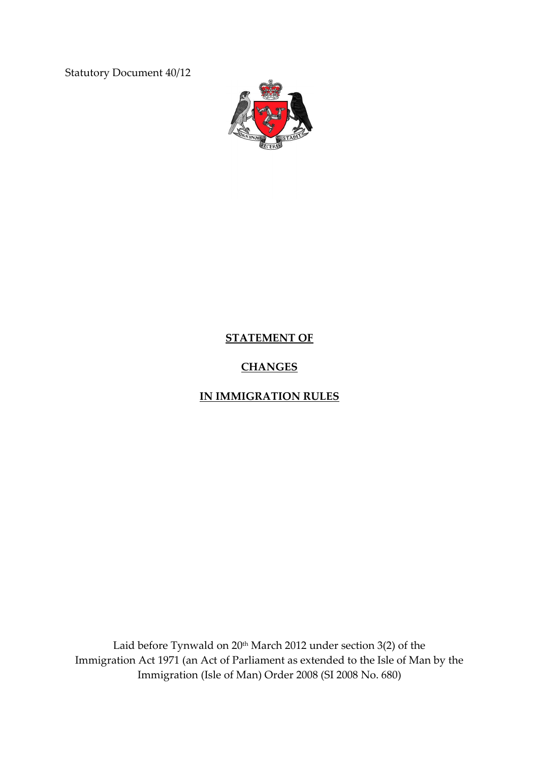Statutory Document 40/12



# **STATEMENT OF**

# **CHANGES**

# **IN IMMIGRATION RULES**

Laid before Tynwald on 20<sup>th</sup> March 2012 under section 3(2) of the Immigration Act 1971 (an Act of Parliament as extended to the Isle of Man by the Immigration (Isle of Man) Order 2008 (SI 2008 No. 680)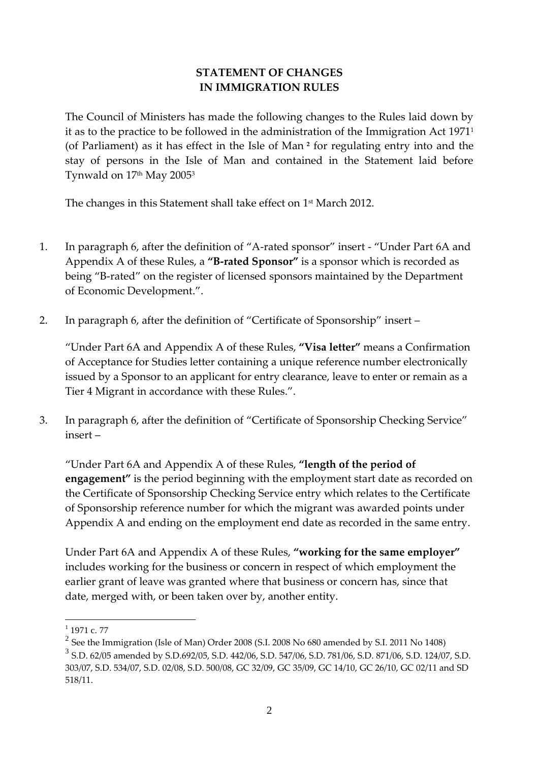### **STATEMENT OF CHANGES IN IMMIGRATION RULES**

The Council of Ministers has made the following changes to the Rules laid down by it as to the practice to be followed in the administration of the Immigration Act 1971<sup>1</sup> (of Parliament) as it has effect in the Isle of Man **<sup>2</sup>** for regulating entry into and the stay of persons in the Isle of Man and contained in the Statement laid before Tynwald on 17<sup>th</sup> May 2005<sup>3</sup>

The changes in this Statement shall take effect on 1 st March 2012.

- 1. In paragraph 6, after the definition of "A-rated sponsor" insert "Under Part 6A and Appendix A of these Rules, a **"B-rated Sponsor"** is a sponsor which is recorded as being "B-rated" on the register of licensed sponsors maintained by the Department of Economic Development.".
- 2. In paragraph 6, after the definition of "Certificate of Sponsorship" insert –

"Under Part 6A and Appendix A of these Rules, **"Visa letter"** means a Confirmation of Acceptance for Studies letter containing a unique reference number electronically issued by a Sponsor to an applicant for entry clearance, leave to enter or remain as a Tier 4 Migrant in accordance with these Rules.".

3. In paragraph 6, after the definition of "Certificate of Sponsorship Checking Service" insert –

"Under Part 6A and Appendix A of these Rules, **"length of the period of engagement"** is the period beginning with the employment start date as recorded on the Certificate of Sponsorship Checking Service entry which relates to the Certificate of Sponsorship reference number for which the migrant was awarded points under Appendix A and ending on the employment end date as recorded in the same entry.

Under Part 6A and Appendix A of these Rules, **"working for the same employer"**  includes working for the business or concern in respect of which employment the earlier grant of leave was granted where that business or concern has, since that date, merged with, or been taken over by, another entity.

 $\frac{1}{1}$  1971 c. 77

 $^2$  See the Immigration (Isle of Man) Order 2008 (S.I. 2008 No 680 amended by S.I. 2011 No 1408)

<sup>3</sup> S.D. 62/05 amended by S.D.692/05, S.D. 442/06, S.D. 547/06, S.D. 781/06, S.D. 871/06, S.D. 124/07, S.D. 303/07, S.D. 534/07, S.D. 02/08, S.D. 500/08, GC 32/09, GC 35/09, GC 14/10, GC 26/10, GC 02/11 and SD 518/11.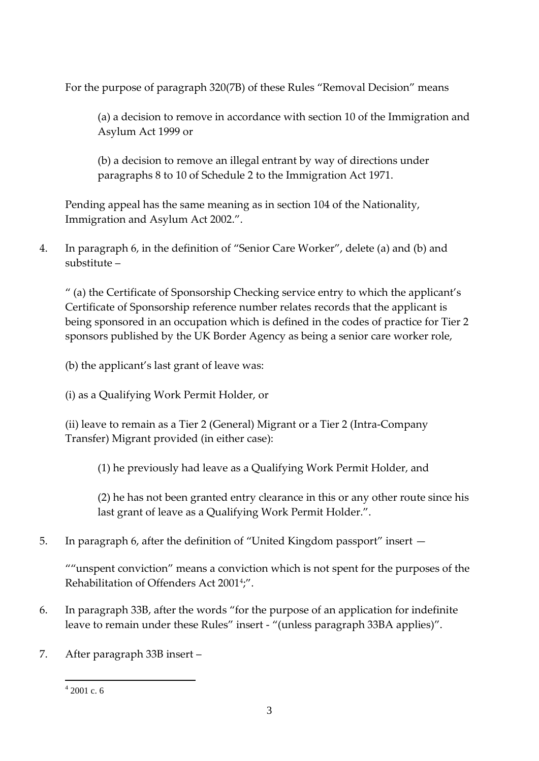For the purpose of paragraph 320(7B) of these Rules "Removal Decision" means

(a) a decision to remove in accordance with section 10 of the Immigration and Asylum Act 1999 or

(b) a decision to remove an illegal entrant by way of directions under paragraphs 8 to 10 of Schedule 2 to the Immigration Act 1971.

Pending appeal has the same meaning as in section 104 of the Nationality, Immigration and Asylum Act 2002.".

4. In paragraph 6, in the definition of "Senior Care Worker", delete (a) and (b) and substitute –

" (a) the Certificate of Sponsorship Checking service entry to which the applicant's Certificate of Sponsorship reference number relates records that the applicant is being sponsored in an occupation which is defined in the codes of practice for Tier 2 sponsors published by the UK Border Agency as being a senior care worker role,

(b) the applicant's last grant of leave was:

(i) as a Qualifying Work Permit Holder, or

(ii) leave to remain as a Tier 2 (General) Migrant or a Tier 2 (Intra-Company Transfer) Migrant provided (in either case):

(1) he previously had leave as a Qualifying Work Permit Holder, and

(2) he has not been granted entry clearance in this or any other route since his last grant of leave as a Qualifying Work Permit Holder.".

5. In paragraph 6, after the definition of "United Kingdom passport" insert —

""unspent conviction" means a conviction which is not spent for the purposes of the Rehabilitation of Offenders Act 2001<sup>4</sup> ;".

- 6. In paragraph 33B, after the words "for the purpose of an application for indefinite leave to remain under these Rules" insert - "(unless paragraph 33BA applies)".
- 7. After paragraph 33B insert –

<sup>1</sup>  $42001$  c. 6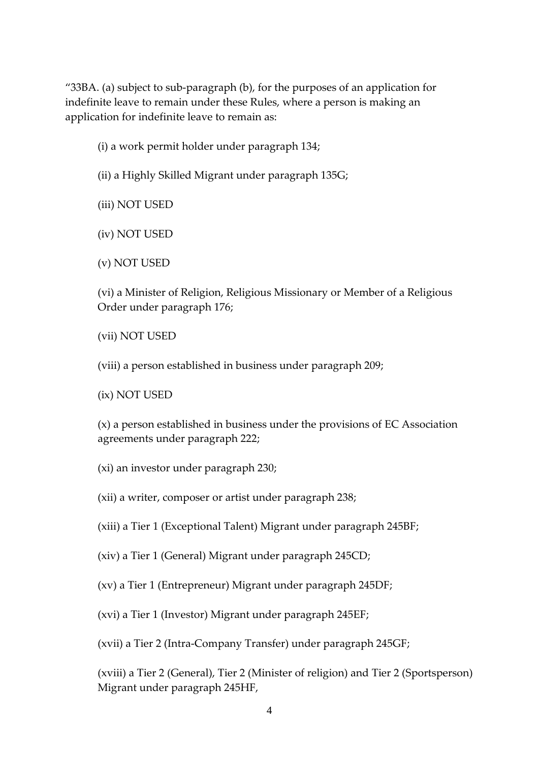"33BA. (a) subject to sub-paragraph (b), for the purposes of an application for indefinite leave to remain under these Rules, where a person is making an application for indefinite leave to remain as:

- (i) a work permit holder under paragraph 134;
- (ii) a Highly Skilled Migrant under paragraph 135G;

(iii) NOT USED

(iv) NOT USED

(v) NOT USED

(vi) a Minister of Religion, Religious Missionary or Member of a Religious Order under paragraph 176;

(vii) NOT USED

(viii) a person established in business under paragraph 209;

(ix) NOT USED

(x) a person established in business under the provisions of EC Association agreements under paragraph 222;

(xi) an investor under paragraph 230;

(xii) a writer, composer or artist under paragraph 238;

(xiii) a Tier 1 (Exceptional Talent) Migrant under paragraph 245BF;

(xiv) a Tier 1 (General) Migrant under paragraph 245CD;

(xv) a Tier 1 (Entrepreneur) Migrant under paragraph 245DF;

(xvi) a Tier 1 (Investor) Migrant under paragraph 245EF;

(xvii) a Tier 2 (Intra-Company Transfer) under paragraph 245GF;

(xviii) a Tier 2 (General), Tier 2 (Minister of religion) and Tier 2 (Sportsperson) Migrant under paragraph 245HF,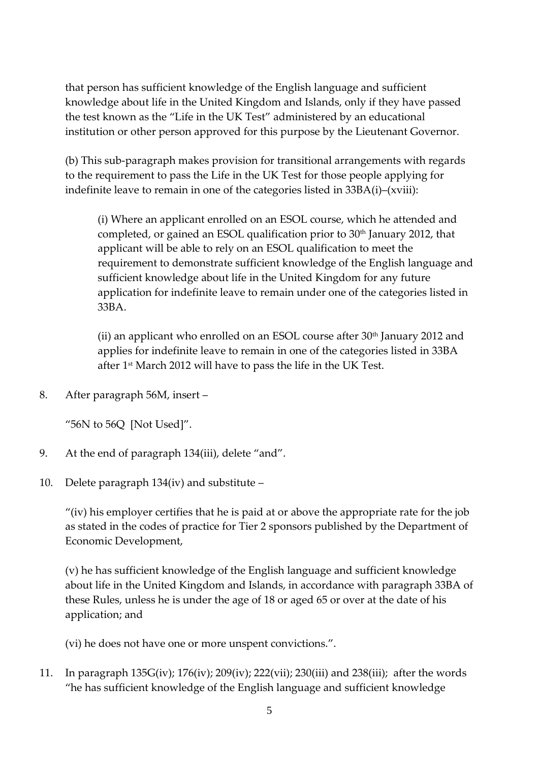that person has sufficient knowledge of the English language and sufficient knowledge about life in the United Kingdom and Islands, only if they have passed the test known as the "Life in the UK Test" administered by an educational institution or other person approved for this purpose by the Lieutenant Governor.

(b) This sub-paragraph makes provision for transitional arrangements with regards to the requirement to pass the Life in the UK Test for those people applying for indefinite leave to remain in one of the categories listed in 33BA(i)–(xviii):

(i) Where an applicant enrolled on an ESOL course, which he attended and completed, or gained an ESOL qualification prior to 30th January 2012, that applicant will be able to rely on an ESOL qualification to meet the requirement to demonstrate sufficient knowledge of the English language and sufficient knowledge about life in the United Kingdom for any future application for indefinite leave to remain under one of the categories listed in 33BA.

(ii) an applicant who enrolled on an ESOL course after  $30<sup>th</sup>$  January 2012 and applies for indefinite leave to remain in one of the categories listed in 33BA after 1 st March 2012 will have to pass the life in the UK Test.

8. After paragraph 56M, insert –

"56N to 56Q [Not Used]".

- 9. At the end of paragraph 134(iii), delete "and".
- 10. Delete paragraph 134(iv) and substitute –

"(iv) his employer certifies that he is paid at or above the appropriate rate for the job as stated in the codes of practice for Tier 2 sponsors published by the Department of Economic Development,

(v) he has sufficient knowledge of the English language and sufficient knowledge about life in the United Kingdom and Islands, in accordance with paragraph 33BA of these Rules, unless he is under the age of 18 or aged 65 or over at the date of his application; and

(vi) he does not have one or more unspent convictions.".

11. In paragraph 135G(iv); 176(iv); 209(iv); 222(vii); 230(iii) and 238(iii); after the words "he has sufficient knowledge of the English language and sufficient knowledge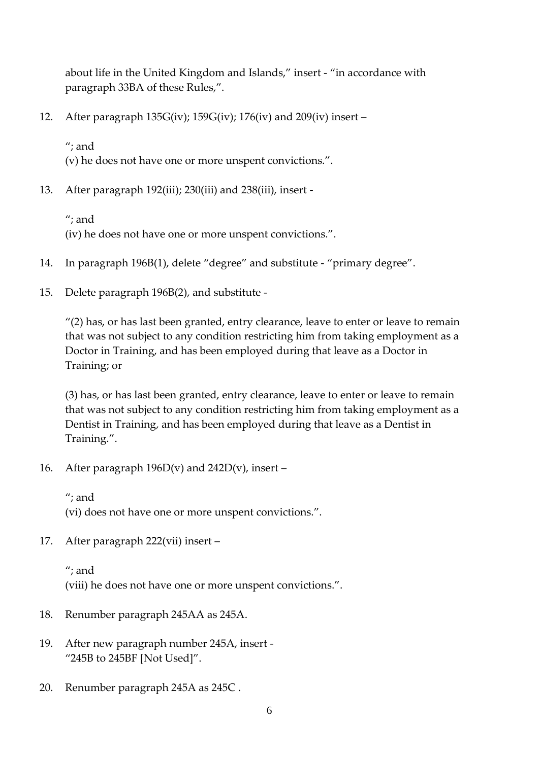about life in the United Kingdom and Islands," insert - "in accordance with paragraph 33BA of these Rules,".

12. After paragraph 135G(iv); 159G(iv); 176(iv) and 209(iv) insert –

"; and (v) he does not have one or more unspent convictions.".

13. After paragraph 192(iii); 230(iii) and 238(iii), insert -

"; and (iv) he does not have one or more unspent convictions.".

- 14. In paragraph 196B(1), delete "degree" and substitute "primary degree".
- 15. Delete paragraph 196B(2), and substitute -

"(2) has, or has last been granted, entry clearance, leave to enter or leave to remain that was not subject to any condition restricting him from taking employment as a Doctor in Training, and has been employed during that leave as a Doctor in Training; or

(3) has, or has last been granted, entry clearance, leave to enter or leave to remain that was not subject to any condition restricting him from taking employment as a Dentist in Training, and has been employed during that leave as a Dentist in Training.".

- 16. After paragraph  $196D(v)$  and  $242D(v)$ , insert
	- "; and

(vi) does not have one or more unspent convictions.".

17. After paragraph 222(vii) insert –

"; and (viii) he does not have one or more unspent convictions.".

- 18. Renumber paragraph 245AA as 245A.
- 19. After new paragraph number 245A, insert "245B to 245BF [Not Used]".
- 20. Renumber paragraph 245A as 245C .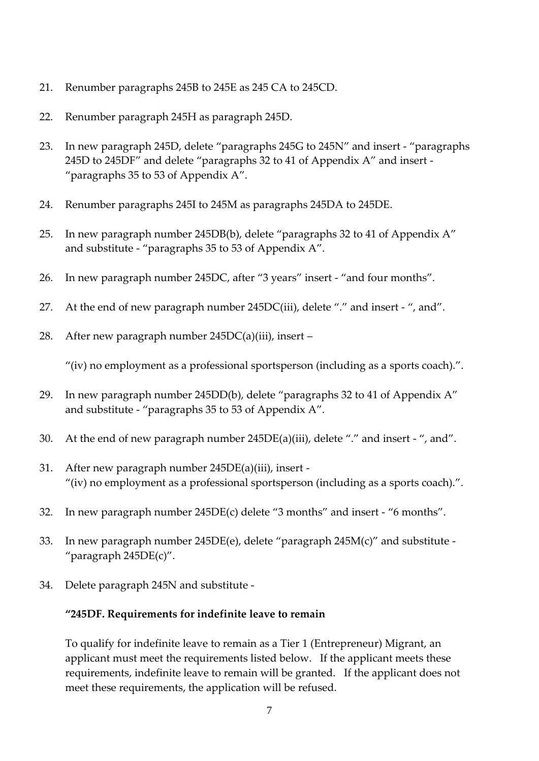- 21. Renumber paragraphs 245B to 245E as 245 CA to 245CD.
- 22. Renumber paragraph 245H as paragraph 245D.
- 23. In new paragraph 245D, delete "paragraphs 245G to 245N" and insert "paragraphs 245D to 245DF" and delete "paragraphs 32 to 41 of Appendix A" and insert - "paragraphs 35 to 53 of Appendix A".
- 24. Renumber paragraphs 245I to 245M as paragraphs 245DA to 245DE.
- 25. In new paragraph number 245DB(b), delete "paragraphs 32 to 41 of Appendix A" and substitute - "paragraphs 35 to 53 of Appendix A".
- 26. In new paragraph number 245DC, after "3 years" insert "and four months".
- 27. At the end of new paragraph number 245DC(iii), delete "." and insert ", and".
- 28. After new paragraph number 245DC(a)(iii), insert –

"(iv) no employment as a professional sportsperson (including as a sports coach).".

- 29. In new paragraph number 245DD(b), delete "paragraphs 32 to 41 of Appendix A" and substitute - "paragraphs 35 to 53 of Appendix A".
- 30. At the end of new paragraph number 245DE(a)(iii), delete "." and insert ", and".
- 31. After new paragraph number 245DE(a)(iii), insert "(iv) no employment as a professional sportsperson (including as a sports coach).".
- 32. In new paragraph number 245DE(c) delete "3 months" and insert "6 months".
- 33. In new paragraph number 245DE(e), delete "paragraph 245M(c)" and substitute "paragraph 245DE(c)".
- 34. Delete paragraph 245N and substitute -

#### **"245DF. Requirements for indefinite leave to remain**

To qualify for indefinite leave to remain as a Tier 1 (Entrepreneur) Migrant, an applicant must meet the requirements listed below. If the applicant meets these requirements, indefinite leave to remain will be granted. If the applicant does not meet these requirements, the application will be refused.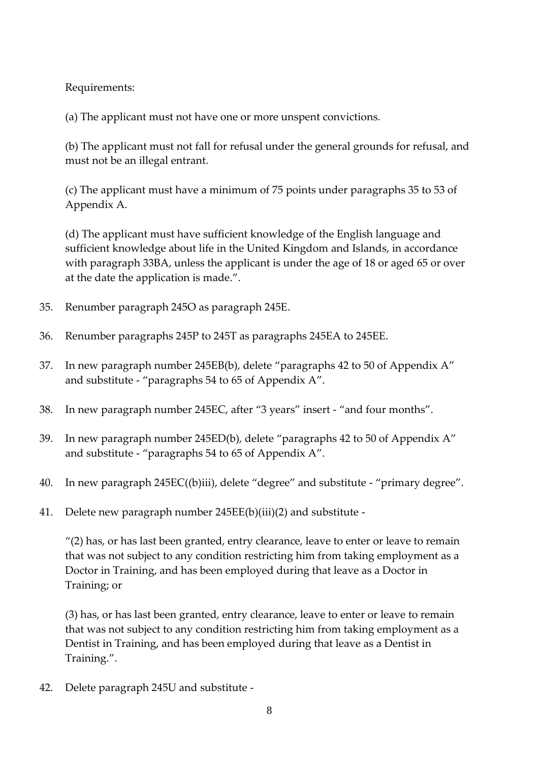Requirements:

(a) The applicant must not have one or more unspent convictions.

(b) The applicant must not fall for refusal under the general grounds for refusal, and must not be an illegal entrant.

(c) The applicant must have a minimum of 75 points under paragraphs 35 to 53 of Appendix A.

(d) The applicant must have sufficient knowledge of the English language and sufficient knowledge about life in the United Kingdom and Islands, in accordance with paragraph 33BA, unless the applicant is under the age of 18 or aged 65 or over at the date the application is made.".

- 35. Renumber paragraph 245O as paragraph 245E.
- 36. Renumber paragraphs 245P to 245T as paragraphs 245EA to 245EE.
- 37. In new paragraph number 245EB(b), delete "paragraphs 42 to 50 of Appendix A" and substitute - "paragraphs 54 to 65 of Appendix A".
- 38. In new paragraph number 245EC, after "3 years" insert "and four months".
- 39. In new paragraph number 245ED(b), delete "paragraphs 42 to 50 of Appendix A" and substitute - "paragraphs 54 to 65 of Appendix A".
- 40. In new paragraph 245EC((b)iii), delete "degree" and substitute "primary degree".
- 41. Delete new paragraph number 245EE(b)(iii)(2) and substitute -

 $''(2)$  has, or has last been granted, entry clearance, leave to enter or leave to remain that was not subject to any condition restricting him from taking employment as a Doctor in Training, and has been employed during that leave as a Doctor in Training; or

(3) has, or has last been granted, entry clearance, leave to enter or leave to remain that was not subject to any condition restricting him from taking employment as a Dentist in Training, and has been employed during that leave as a Dentist in Training.".

42. Delete paragraph 245U and substitute -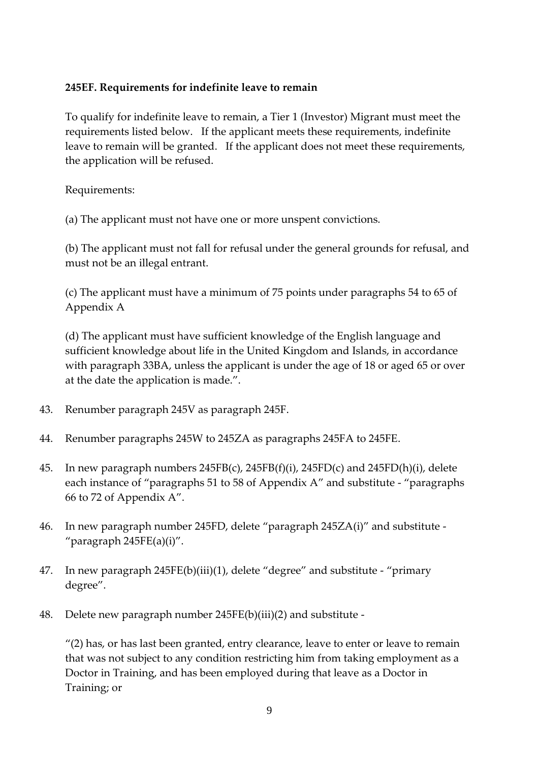## **245EF. Requirements for indefinite leave to remain**

To qualify for indefinite leave to remain, a Tier 1 (Investor) Migrant must meet the requirements listed below. If the applicant meets these requirements, indefinite leave to remain will be granted. If the applicant does not meet these requirements, the application will be refused.

Requirements:

(a) The applicant must not have one or more unspent convictions.

(b) The applicant must not fall for refusal under the general grounds for refusal, and must not be an illegal entrant.

(c) The applicant must have a minimum of 75 points under paragraphs 54 to 65 of Appendix A

(d) The applicant must have sufficient knowledge of the English language and sufficient knowledge about life in the United Kingdom and Islands, in accordance with paragraph 33BA, unless the applicant is under the age of 18 or aged 65 or over at the date the application is made.".

- 43. Renumber paragraph 245V as paragraph 245F.
- 44. Renumber paragraphs 245W to 245ZA as paragraphs 245FA to 245FE.
- 45. In new paragraph numbers 245FB(c), 245FB(f)(i), 245FD(c) and 245FD(h)(i), delete each instance of "paragraphs 51 to 58 of Appendix A" and substitute - "paragraphs 66 to 72 of Appendix A".
- 46. In new paragraph number 245FD, delete "paragraph 245ZA(i)" and substitute "paragraph 245FE(a)(i)".
- 47. In new paragraph 245FE(b)(iii)(1), delete "degree" and substitute "primary degree".
- 48. Delete new paragraph number 245FE(b)(iii)(2) and substitute -

 $''(2)$  has, or has last been granted, entry clearance, leave to enter or leave to remain that was not subject to any condition restricting him from taking employment as a Doctor in Training, and has been employed during that leave as a Doctor in Training; or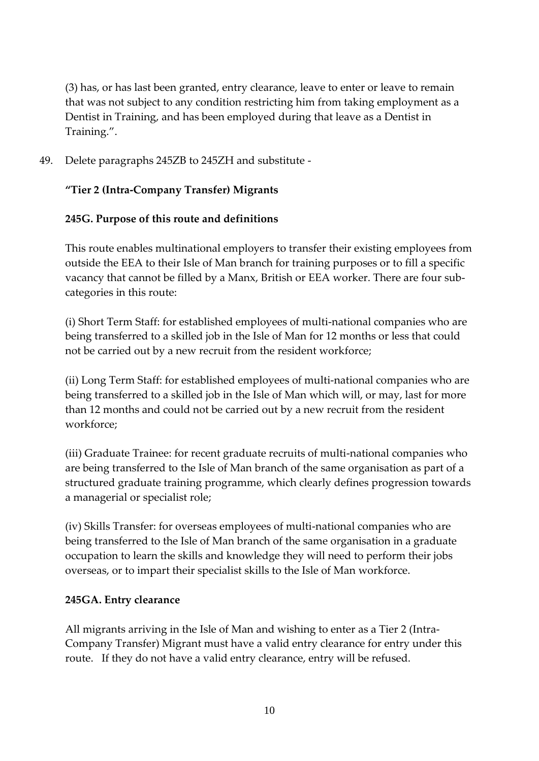(3) has, or has last been granted, entry clearance, leave to enter or leave to remain that was not subject to any condition restricting him from taking employment as a Dentist in Training, and has been employed during that leave as a Dentist in Training.".

49. Delete paragraphs 245ZB to 245ZH and substitute -

## **"Tier 2 (Intra-Company Transfer) Migrants**

## **245G. Purpose of this route and definitions**

This route enables multinational employers to transfer their existing employees from outside the EEA to their Isle of Man branch for training purposes or to fill a specific vacancy that cannot be filled by a Manx, British or EEA worker. There are four subcategories in this route:

(i) Short Term Staff: for established employees of multi-national companies who are being transferred to a skilled job in the Isle of Man for 12 months or less that could not be carried out by a new recruit from the resident workforce;

(ii) Long Term Staff: for established employees of multi-national companies who are being transferred to a skilled job in the Isle of Man which will, or may, last for more than 12 months and could not be carried out by a new recruit from the resident workforce;

(iii) Graduate Trainee: for recent graduate recruits of multi-national companies who are being transferred to the Isle of Man branch of the same organisation as part of a structured graduate training programme, which clearly defines progression towards a managerial or specialist role;

(iv) Skills Transfer: for overseas employees of multi-national companies who are being transferred to the Isle of Man branch of the same organisation in a graduate occupation to learn the skills and knowledge they will need to perform their jobs overseas, or to impart their specialist skills to the Isle of Man workforce.

### **245GA. Entry clearance**

All migrants arriving in the Isle of Man and wishing to enter as a Tier 2 (Intra-Company Transfer) Migrant must have a valid entry clearance for entry under this route. If they do not have a valid entry clearance, entry will be refused.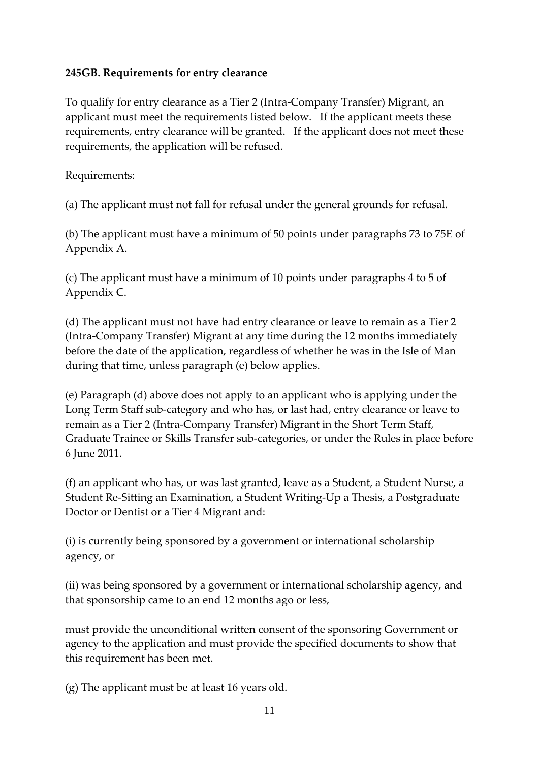### **245GB. Requirements for entry clearance**

To qualify for entry clearance as a Tier 2 (Intra-Company Transfer) Migrant, an applicant must meet the requirements listed below. If the applicant meets these requirements, entry clearance will be granted. If the applicant does not meet these requirements, the application will be refused.

Requirements:

(a) The applicant must not fall for refusal under the general grounds for refusal.

(b) The applicant must have a minimum of 50 points under paragraphs 73 to 75E of Appendix A.

(c) The applicant must have a minimum of 10 points under paragraphs 4 to 5 of Appendix C.

(d) The applicant must not have had entry clearance or leave to remain as a Tier 2 (Intra-Company Transfer) Migrant at any time during the 12 months immediately before the date of the application, regardless of whether he was in the Isle of Man during that time, unless paragraph (e) below applies.

(e) Paragraph (d) above does not apply to an applicant who is applying under the Long Term Staff sub-category and who has, or last had, entry clearance or leave to remain as a Tier 2 (Intra-Company Transfer) Migrant in the Short Term Staff, Graduate Trainee or Skills Transfer sub-categories, or under the Rules in place before 6 June 2011.

(f) an applicant who has, or was last granted, leave as a Student, a Student Nurse, a Student Re-Sitting an Examination, a Student Writing-Up a Thesis, a Postgraduate Doctor or Dentist or a Tier 4 Migrant and:

(i) is currently being sponsored by a government or international scholarship agency, or

(ii) was being sponsored by a government or international scholarship agency, and that sponsorship came to an end 12 months ago or less,

must provide the unconditional written consent of the sponsoring Government or agency to the application and must provide the specified documents to show that this requirement has been met.

(g) The applicant must be at least 16 years old.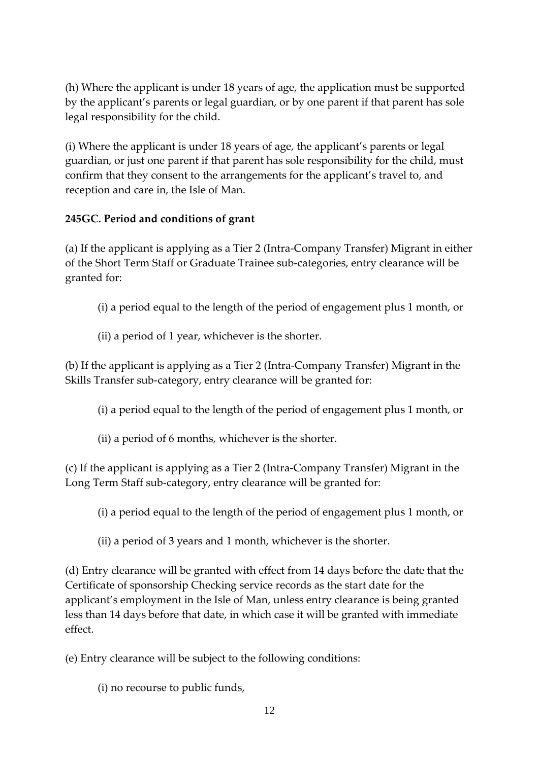(h) Where the applicant is under 18 years of age, the application must be supported by the applicant's parents or legal guardian, or by one parent if that parent has sole legal responsibility for the child.

(i) Where the applicant is under 18 years of age, the applicant's parents or legal guardian, or just one parent if that parent has sole responsibility for the child, must confirm that they consent to the arrangements for the applicant's travel to, and reception and care in, the Isle of Man.

# **245GC. Period and conditions of grant**

(a) If the applicant is applying as a Tier 2 (Intra-Company Transfer) Migrant in either of the Short Term Staff or Graduate Trainee sub-categories, entry clearance will be granted for:

- (i) a period equal to the length of the period of engagement plus 1 month, or
- (ii) a period of 1 year, whichever is the shorter.

(b) If the applicant is applying as a Tier 2 (Intra-Company Transfer) Migrant in the Skills Transfer sub-category, entry clearance will be granted for:

- (i) a period equal to the length of the period of engagement plus 1 month, or
- (ii) a period of 6 months, whichever is the shorter.

(c) If the applicant is applying as a Tier 2 (Intra-Company Transfer) Migrant in the Long Term Staff sub-category, entry clearance will be granted for:

- (i) a period equal to the length of the period of engagement plus 1 month, or
- (ii) a period of 3 years and 1 month, whichever is the shorter.

(d) Entry clearance will be granted with effect from 14 days before the date that the Certificate of sponsorship Checking service records as the start date for the applicant's employment in the Isle of Man, unless entry clearance is being granted less than 14 days before that date, in which case it will be granted with immediate effect.

(e) Entry clearance will be subject to the following conditions:

(i) no recourse to public funds,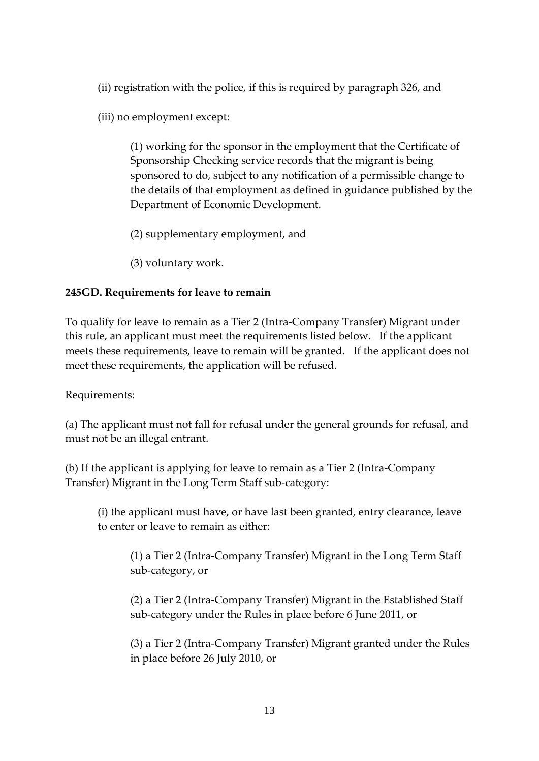(ii) registration with the police, if this is required by paragraph 326, and

(iii) no employment except:

(1) working for the sponsor in the employment that the Certificate of Sponsorship Checking service records that the migrant is being sponsored to do, subject to any notification of a permissible change to the details of that employment as defined in guidance published by the Department of Economic Development.

(2) supplementary employment, and

(3) voluntary work.

## **245GD. Requirements for leave to remain**

To qualify for leave to remain as a Tier 2 (Intra-Company Transfer) Migrant under this rule, an applicant must meet the requirements listed below. If the applicant meets these requirements, leave to remain will be granted. If the applicant does not meet these requirements, the application will be refused.

Requirements:

(a) The applicant must not fall for refusal under the general grounds for refusal, and must not be an illegal entrant.

(b) If the applicant is applying for leave to remain as a Tier 2 (Intra-Company Transfer) Migrant in the Long Term Staff sub-category:

(i) the applicant must have, or have last been granted, entry clearance, leave to enter or leave to remain as either:

(1) a Tier 2 (Intra-Company Transfer) Migrant in the Long Term Staff sub-category, or

(2) a Tier 2 (Intra-Company Transfer) Migrant in the Established Staff sub-category under the Rules in place before 6 June 2011, or

(3) a Tier 2 (Intra-Company Transfer) Migrant granted under the Rules in place before 26 July 2010, or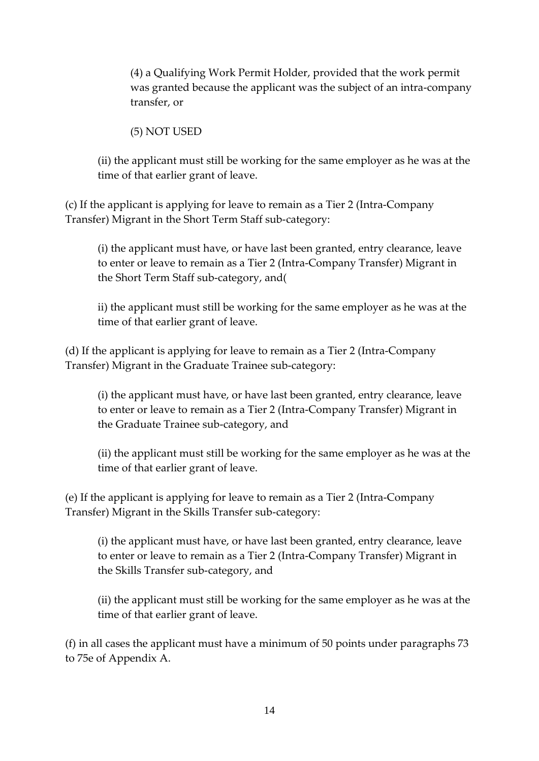(4) a Qualifying Work Permit Holder, provided that the work permit was granted because the applicant was the subject of an intra-company transfer, or

(5) NOT USED

(ii) the applicant must still be working for the same employer as he was at the time of that earlier grant of leave.

(c) If the applicant is applying for leave to remain as a Tier 2 (Intra-Company Transfer) Migrant in the Short Term Staff sub-category:

(i) the applicant must have, or have last been granted, entry clearance, leave to enter or leave to remain as a Tier 2 (Intra-Company Transfer) Migrant in the Short Term Staff sub-category, and(

ii) the applicant must still be working for the same employer as he was at the time of that earlier grant of leave.

(d) If the applicant is applying for leave to remain as a Tier 2 (Intra-Company Transfer) Migrant in the Graduate Trainee sub-category:

(i) the applicant must have, or have last been granted, entry clearance, leave to enter or leave to remain as a Tier 2 (Intra-Company Transfer) Migrant in the Graduate Trainee sub-category, and

(ii) the applicant must still be working for the same employer as he was at the time of that earlier grant of leave.

(e) If the applicant is applying for leave to remain as a Tier 2 (Intra-Company Transfer) Migrant in the Skills Transfer sub-category:

(i) the applicant must have, or have last been granted, entry clearance, leave to enter or leave to remain as a Tier 2 (Intra-Company Transfer) Migrant in the Skills Transfer sub-category, and

(ii) the applicant must still be working for the same employer as he was at the time of that earlier grant of leave.

(f) in all cases the applicant must have a minimum of 50 points under paragraphs 73 to 75e of Appendix A.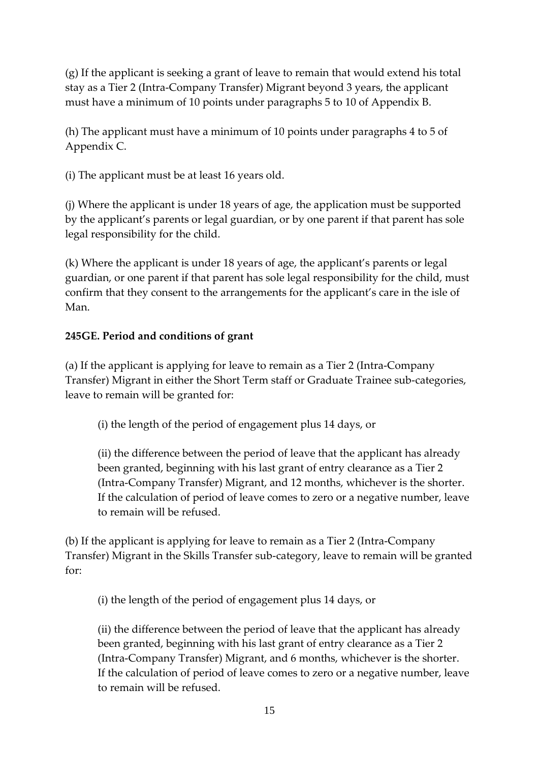(g) If the applicant is seeking a grant of leave to remain that would extend his total stay as a Tier 2 (Intra-Company Transfer) Migrant beyond 3 years, the applicant must have a minimum of 10 points under paragraphs 5 to 10 of Appendix B.

(h) The applicant must have a minimum of 10 points under paragraphs 4 to 5 of Appendix C.

(i) The applicant must be at least 16 years old.

(j) Where the applicant is under 18 years of age, the application must be supported by the applicant's parents or legal guardian, or by one parent if that parent has sole legal responsibility for the child.

(k) Where the applicant is under 18 years of age, the applicant's parents or legal guardian, or one parent if that parent has sole legal responsibility for the child, must confirm that they consent to the arrangements for the applicant's care in the isle of Man.

## **245GE. Period and conditions of grant**

(a) If the applicant is applying for leave to remain as a Tier 2 (Intra-Company Transfer) Migrant in either the Short Term staff or Graduate Trainee sub-categories, leave to remain will be granted for:

(i) the length of the period of engagement plus 14 days, or

(ii) the difference between the period of leave that the applicant has already been granted, beginning with his last grant of entry clearance as a Tier 2 (Intra-Company Transfer) Migrant, and 12 months, whichever is the shorter. If the calculation of period of leave comes to zero or a negative number, leave to remain will be refused.

(b) If the applicant is applying for leave to remain as a Tier 2 (Intra-Company Transfer) Migrant in the Skills Transfer sub-category, leave to remain will be granted for:

(i) the length of the period of engagement plus 14 days, or

(ii) the difference between the period of leave that the applicant has already been granted, beginning with his last grant of entry clearance as a Tier 2 (Intra-Company Transfer) Migrant, and 6 months, whichever is the shorter. If the calculation of period of leave comes to zero or a negative number, leave to remain will be refused.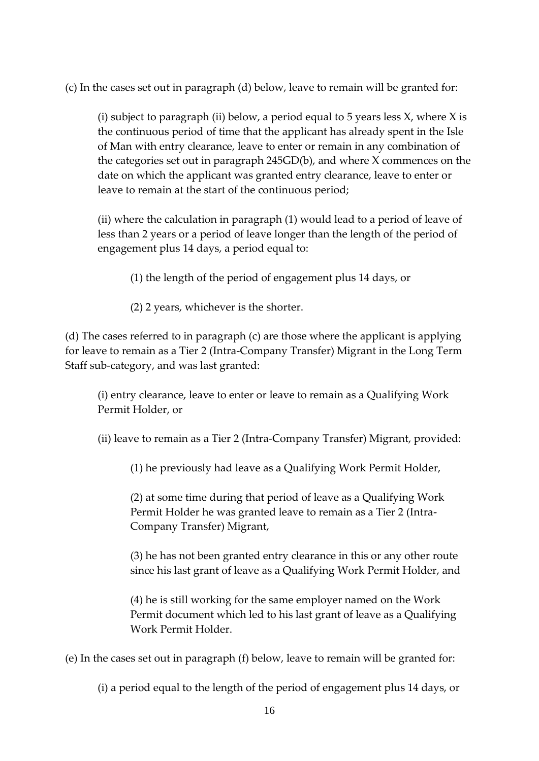(c) In the cases set out in paragraph (d) below, leave to remain will be granted for:

(i) subject to paragraph (ii) below, a period equal to 5 years less  $X$ , where  $X$  is the continuous period of time that the applicant has already spent in the Isle of Man with entry clearance, leave to enter or remain in any combination of the categories set out in paragraph 245GD(b), and where X commences on the date on which the applicant was granted entry clearance, leave to enter or leave to remain at the start of the continuous period;

(ii) where the calculation in paragraph (1) would lead to a period of leave of less than 2 years or a period of leave longer than the length of the period of engagement plus 14 days, a period equal to:

(1) the length of the period of engagement plus 14 days, or

(2) 2 years, whichever is the shorter.

(d) The cases referred to in paragraph (c) are those where the applicant is applying for leave to remain as a Tier 2 (Intra-Company Transfer) Migrant in the Long Term Staff sub-category, and was last granted:

(i) entry clearance, leave to enter or leave to remain as a Qualifying Work Permit Holder, or

(ii) leave to remain as a Tier 2 (Intra-Company Transfer) Migrant, provided:

(1) he previously had leave as a Qualifying Work Permit Holder,

(2) at some time during that period of leave as a Qualifying Work Permit Holder he was granted leave to remain as a Tier 2 (Intra-Company Transfer) Migrant,

(3) he has not been granted entry clearance in this or any other route since his last grant of leave as a Qualifying Work Permit Holder, and

(4) he is still working for the same employer named on the Work Permit document which led to his last grant of leave as a Qualifying Work Permit Holder.

(e) In the cases set out in paragraph (f) below, leave to remain will be granted for:

(i) a period equal to the length of the period of engagement plus 14 days, or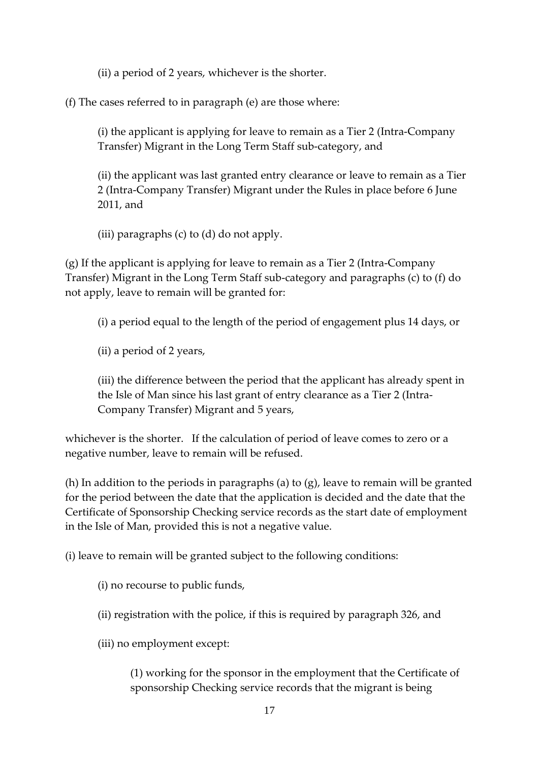(ii) a period of 2 years, whichever is the shorter.

(f) The cases referred to in paragraph (e) are those where:

(i) the applicant is applying for leave to remain as a Tier 2 (Intra-Company Transfer) Migrant in the Long Term Staff sub-category, and

(ii) the applicant was last granted entry clearance or leave to remain as a Tier 2 (Intra-Company Transfer) Migrant under the Rules in place before 6 June 2011, and

(iii) paragraphs (c) to (d) do not apply.

(g) If the applicant is applying for leave to remain as a Tier 2 (Intra-Company Transfer) Migrant in the Long Term Staff sub-category and paragraphs (c) to (f) do not apply, leave to remain will be granted for:

(i) a period equal to the length of the period of engagement plus 14 days, or

(ii) a period of 2 years,

(iii) the difference between the period that the applicant has already spent in the Isle of Man since his last grant of entry clearance as a Tier 2 (Intra-Company Transfer) Migrant and 5 years,

whichever is the shorter. If the calculation of period of leave comes to zero or a negative number, leave to remain will be refused.

(h) In addition to the periods in paragraphs (a) to (g), leave to remain will be granted for the period between the date that the application is decided and the date that the Certificate of Sponsorship Checking service records as the start date of employment in the Isle of Man, provided this is not a negative value.

(i) leave to remain will be granted subject to the following conditions:

(i) no recourse to public funds,

(ii) registration with the police, if this is required by paragraph 326, and

(iii) no employment except:

(1) working for the sponsor in the employment that the Certificate of sponsorship Checking service records that the migrant is being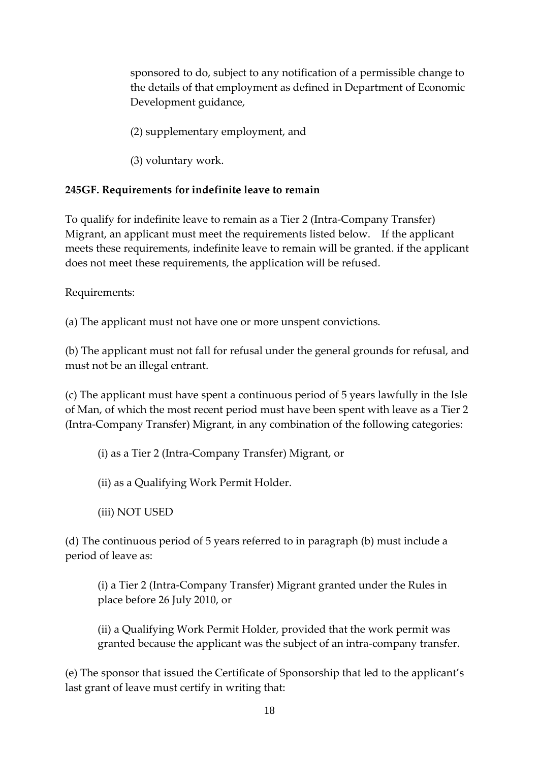sponsored to do, subject to any notification of a permissible change to the details of that employment as defined in Department of Economic Development guidance,

(2) supplementary employment, and

(3) voluntary work.

## **245GF. Requirements for indefinite leave to remain**

To qualify for indefinite leave to remain as a Tier 2 (Intra-Company Transfer) Migrant, an applicant must meet the requirements listed below. If the applicant meets these requirements, indefinite leave to remain will be granted. if the applicant does not meet these requirements, the application will be refused.

Requirements:

(a) The applicant must not have one or more unspent convictions.

(b) The applicant must not fall for refusal under the general grounds for refusal, and must not be an illegal entrant.

(c) The applicant must have spent a continuous period of 5 years lawfully in the Isle of Man, of which the most recent period must have been spent with leave as a Tier 2 (Intra-Company Transfer) Migrant, in any combination of the following categories:

(i) as a Tier 2 (Intra-Company Transfer) Migrant, or

(ii) as a Qualifying Work Permit Holder.

(iii) NOT USED

(d) The continuous period of 5 years referred to in paragraph (b) must include a period of leave as:

(i) a Tier 2 (Intra-Company Transfer) Migrant granted under the Rules in place before 26 July 2010, or

(ii) a Qualifying Work Permit Holder, provided that the work permit was granted because the applicant was the subject of an intra-company transfer.

(e) The sponsor that issued the Certificate of Sponsorship that led to the applicant's last grant of leave must certify in writing that: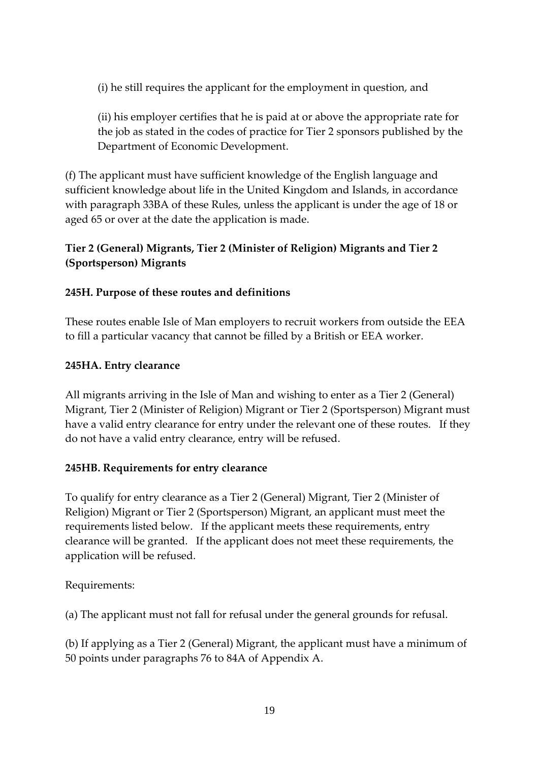(i) he still requires the applicant for the employment in question, and

(ii) his employer certifies that he is paid at or above the appropriate rate for the job as stated in the codes of practice for Tier 2 sponsors published by the Department of Economic Development.

(f) The applicant must have sufficient knowledge of the English language and sufficient knowledge about life in the United Kingdom and Islands, in accordance with paragraph 33BA of these Rules, unless the applicant is under the age of 18 or aged 65 or over at the date the application is made.

# **Tier 2 (General) Migrants, Tier 2 (Minister of Religion) Migrants and Tier 2 (Sportsperson) Migrants**

# **245H. Purpose of these routes and definitions**

These routes enable Isle of Man employers to recruit workers from outside the EEA to fill a particular vacancy that cannot be filled by a British or EEA worker.

# **245HA. Entry clearance**

All migrants arriving in the Isle of Man and wishing to enter as a Tier 2 (General) Migrant, Tier 2 (Minister of Religion) Migrant or Tier 2 (Sportsperson) Migrant must have a valid entry clearance for entry under the relevant one of these routes. If they do not have a valid entry clearance, entry will be refused.

# **245HB. Requirements for entry clearance**

To qualify for entry clearance as a Tier 2 (General) Migrant, Tier 2 (Minister of Religion) Migrant or Tier 2 (Sportsperson) Migrant, an applicant must meet the requirements listed below. If the applicant meets these requirements, entry clearance will be granted. If the applicant does not meet these requirements, the application will be refused.

Requirements:

(a) The applicant must not fall for refusal under the general grounds for refusal.

(b) If applying as a Tier 2 (General) Migrant, the applicant must have a minimum of 50 points under paragraphs 76 to 84A of Appendix A.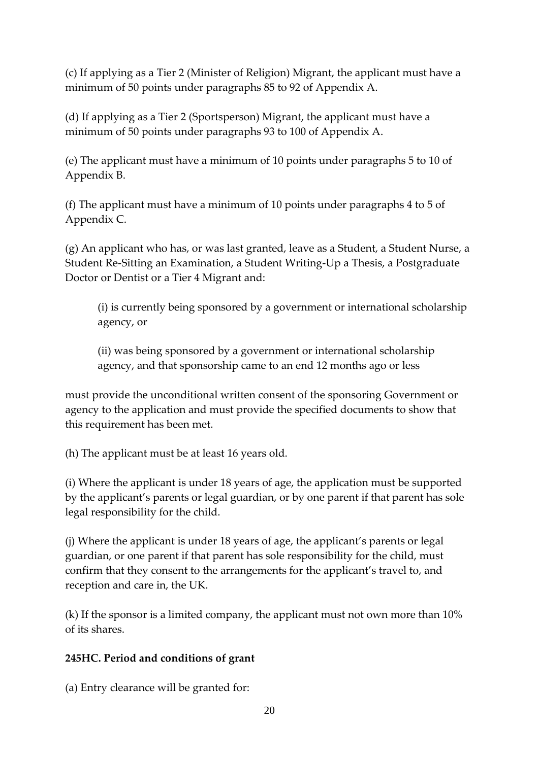(c) If applying as a Tier 2 (Minister of Religion) Migrant, the applicant must have a minimum of 50 points under paragraphs 85 to 92 of Appendix A.

(d) If applying as a Tier 2 (Sportsperson) Migrant, the applicant must have a minimum of 50 points under paragraphs 93 to 100 of Appendix A.

(e) The applicant must have a minimum of 10 points under paragraphs 5 to 10 of Appendix B.

(f) The applicant must have a minimum of 10 points under paragraphs 4 to 5 of Appendix C.

(g) An applicant who has, or was last granted, leave as a Student, a Student Nurse, a Student Re-Sitting an Examination, a Student Writing-Up a Thesis, a Postgraduate Doctor or Dentist or a Tier 4 Migrant and:

(i) is currently being sponsored by a government or international scholarship agency, or

(ii) was being sponsored by a government or international scholarship agency, and that sponsorship came to an end 12 months ago or less

must provide the unconditional written consent of the sponsoring Government or agency to the application and must provide the specified documents to show that this requirement has been met.

(h) The applicant must be at least 16 years old.

(i) Where the applicant is under 18 years of age, the application must be supported by the applicant's parents or legal guardian, or by one parent if that parent has sole legal responsibility for the child.

(j) Where the applicant is under 18 years of age, the applicant's parents or legal guardian, or one parent if that parent has sole responsibility for the child, must confirm that they consent to the arrangements for the applicant's travel to, and reception and care in, the UK.

(k) If the sponsor is a limited company, the applicant must not own more than 10% of its shares.

# **245HC. Period and conditions of grant**

(a) Entry clearance will be granted for: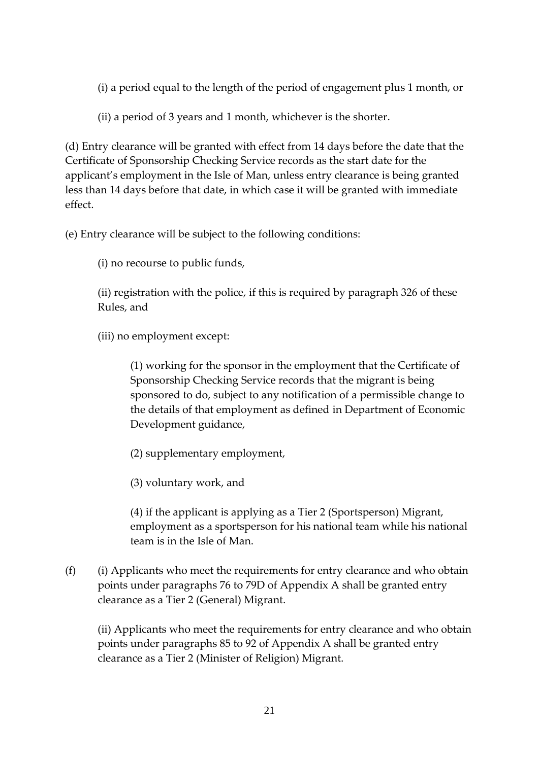(i) a period equal to the length of the period of engagement plus 1 month, or

(ii) a period of 3 years and 1 month, whichever is the shorter.

(d) Entry clearance will be granted with effect from 14 days before the date that the Certificate of Sponsorship Checking Service records as the start date for the applicant's employment in the Isle of Man, unless entry clearance is being granted less than 14 days before that date, in which case it will be granted with immediate effect.

(e) Entry clearance will be subject to the following conditions:

(i) no recourse to public funds,

(ii) registration with the police, if this is required by paragraph 326 of these Rules, and

(iii) no employment except:

(1) working for the sponsor in the employment that the Certificate of Sponsorship Checking Service records that the migrant is being sponsored to do, subject to any notification of a permissible change to the details of that employment as defined in Department of Economic Development guidance,

(2) supplementary employment,

(3) voluntary work, and

(4) if the applicant is applying as a Tier 2 (Sportsperson) Migrant, employment as a sportsperson for his national team while his national team is in the Isle of Man.

(f) (i) Applicants who meet the requirements for entry clearance and who obtain points under paragraphs 76 to 79D of Appendix A shall be granted entry clearance as a Tier 2 (General) Migrant.

(ii) Applicants who meet the requirements for entry clearance and who obtain points under paragraphs 85 to 92 of Appendix A shall be granted entry clearance as a Tier 2 (Minister of Religion) Migrant.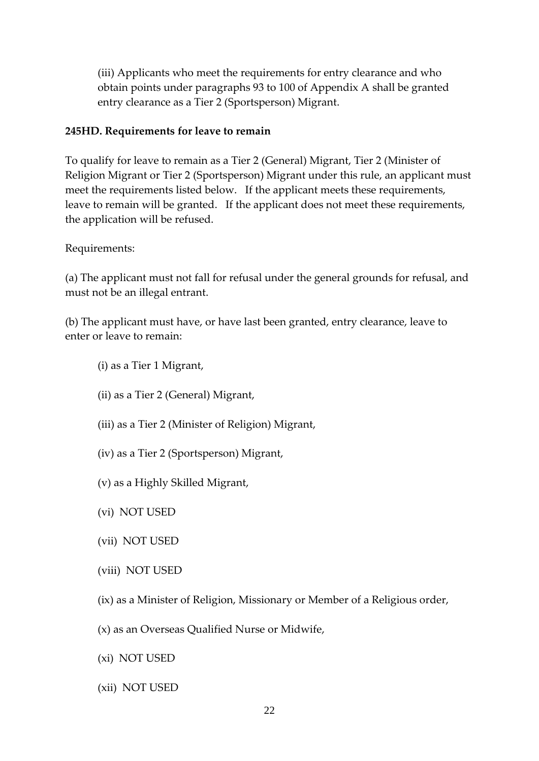(iii) Applicants who meet the requirements for entry clearance and who obtain points under paragraphs 93 to 100 of Appendix A shall be granted entry clearance as a Tier 2 (Sportsperson) Migrant.

#### **245HD. Requirements for leave to remain**

To qualify for leave to remain as a Tier 2 (General) Migrant, Tier 2 (Minister of Religion Migrant or Tier 2 (Sportsperson) Migrant under this rule, an applicant must meet the requirements listed below. If the applicant meets these requirements, leave to remain will be granted. If the applicant does not meet these requirements, the application will be refused.

Requirements:

(a) The applicant must not fall for refusal under the general grounds for refusal, and must not be an illegal entrant.

(b) The applicant must have, or have last been granted, entry clearance, leave to enter or leave to remain:

- (i) as a Tier 1 Migrant,
- (ii) as a Tier 2 (General) Migrant,
- (iii) as a Tier 2 (Minister of Religion) Migrant,
- (iv) as a Tier 2 (Sportsperson) Migrant,
- (v) as a Highly Skilled Migrant,
- (vi) NOT USED
- (vii) NOT USED
- (viii) NOT USED
- (ix) as a Minister of Religion, Missionary or Member of a Religious order,
- (x) as an Overseas Qualified Nurse or Midwife,
- (xi) NOT USED
- (xii) NOT USED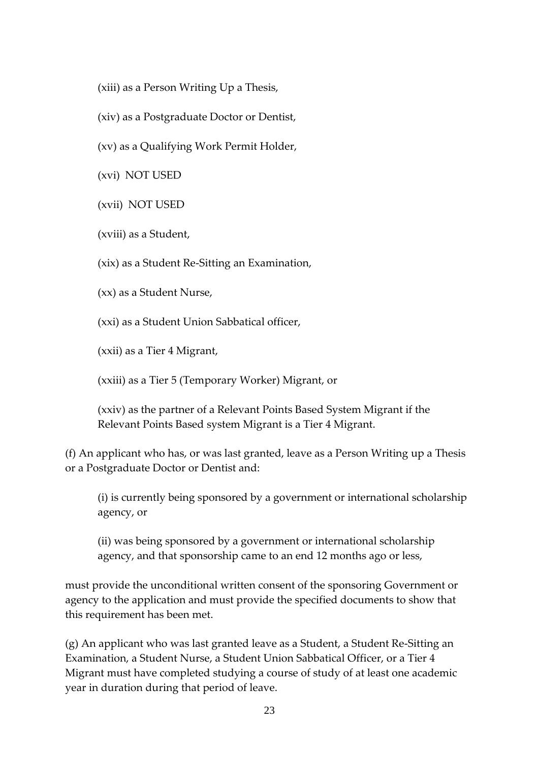(xiii) as a Person Writing Up a Thesis,

(xiv) as a Postgraduate Doctor or Dentist,

(xv) as a Qualifying Work Permit Holder,

(xvi) NOT USED

(xvii) NOT USED

(xviii) as a Student,

(xix) as a Student Re-Sitting an Examination,

(xx) as a Student Nurse,

(xxi) as a Student Union Sabbatical officer,

(xxii) as a Tier 4 Migrant,

(xxiii) as a Tier 5 (Temporary Worker) Migrant, or

(xxiv) as the partner of a Relevant Points Based System Migrant if the Relevant Points Based system Migrant is a Tier 4 Migrant.

(f) An applicant who has, or was last granted, leave as a Person Writing up a Thesis or a Postgraduate Doctor or Dentist and:

(i) is currently being sponsored by a government or international scholarship agency, or

(ii) was being sponsored by a government or international scholarship agency, and that sponsorship came to an end 12 months ago or less,

must provide the unconditional written consent of the sponsoring Government or agency to the application and must provide the specified documents to show that this requirement has been met.

(g) An applicant who was last granted leave as a Student, a Student Re-Sitting an Examination, a Student Nurse, a Student Union Sabbatical Officer, or a Tier 4 Migrant must have completed studying a course of study of at least one academic year in duration during that period of leave.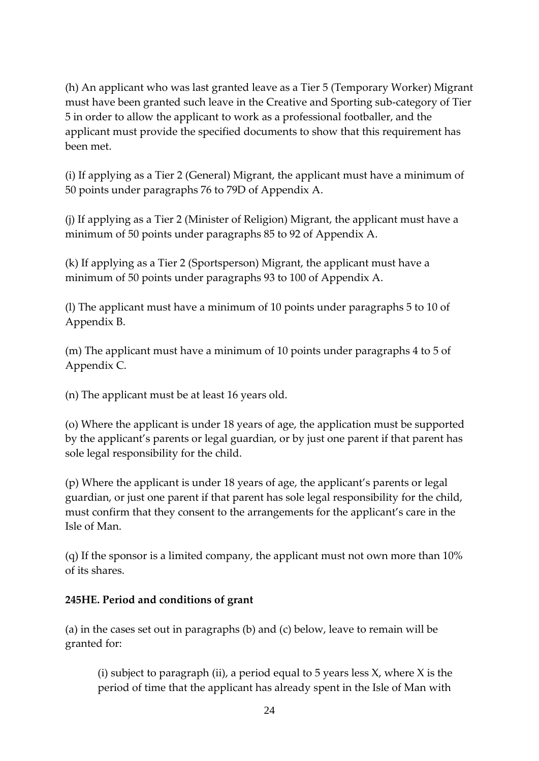(h) An applicant who was last granted leave as a Tier 5 (Temporary Worker) Migrant must have been granted such leave in the Creative and Sporting sub-category of Tier 5 in order to allow the applicant to work as a professional footballer, and the applicant must provide the specified documents to show that this requirement has been met.

(i) If applying as a Tier 2 (General) Migrant, the applicant must have a minimum of 50 points under paragraphs 76 to 79D of Appendix A.

(j) If applying as a Tier 2 (Minister of Religion) Migrant, the applicant must have a minimum of 50 points under paragraphs 85 to 92 of Appendix A.

(k) If applying as a Tier 2 (Sportsperson) Migrant, the applicant must have a minimum of 50 points under paragraphs 93 to 100 of Appendix A.

(l) The applicant must have a minimum of 10 points under paragraphs 5 to 10 of Appendix B.

(m) The applicant must have a minimum of 10 points under paragraphs 4 to 5 of Appendix C.

(n) The applicant must be at least 16 years old.

(o) Where the applicant is under 18 years of age, the application must be supported by the applicant's parents or legal guardian, or by just one parent if that parent has sole legal responsibility for the child.

(p) Where the applicant is under 18 years of age, the applicant's parents or legal guardian, or just one parent if that parent has sole legal responsibility for the child, must confirm that they consent to the arrangements for the applicant's care in the Isle of Man.

(q) If the sponsor is a limited company, the applicant must not own more than 10% of its shares.

# **245HE. Period and conditions of grant**

(a) in the cases set out in paragraphs (b) and (c) below, leave to remain will be granted for:

(i) subject to paragraph (ii), a period equal to 5 years less  $X$ , where  $X$  is the period of time that the applicant has already spent in the Isle of Man with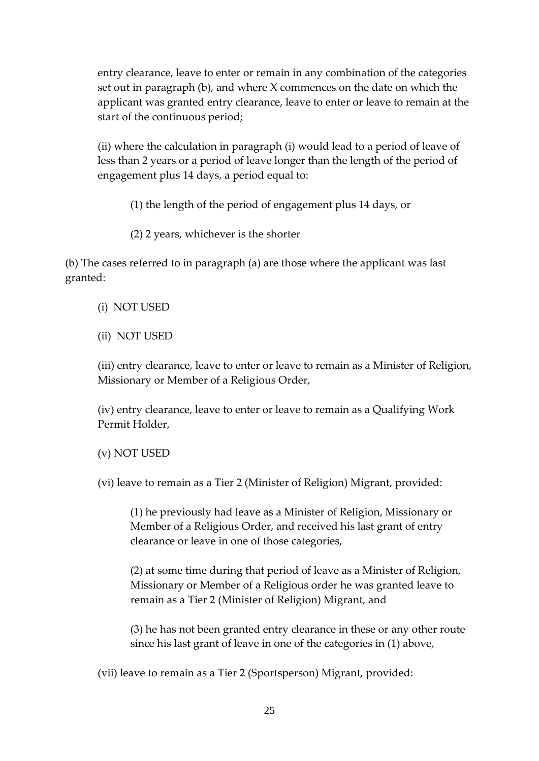entry clearance, leave to enter or remain in any combination of the categories set out in paragraph (b), and where X commences on the date on which the applicant was granted entry clearance, leave to enter or leave to remain at the start of the continuous period;

(ii) where the calculation in paragraph (i) would lead to a period of leave of less than 2 years or a period of leave longer than the length of the period of engagement plus 14 days, a period equal to:

(1) the length of the period of engagement plus 14 days, or

(2) 2 years, whichever is the shorter

(b) The cases referred to in paragraph (a) are those where the applicant was last granted:

- (i) NOT USED
- (ii) NOT USED

(iii) entry clearance, leave to enter or leave to remain as a Minister of Religion, Missionary or Member of a Religious Order,

(iv) entry clearance, leave to enter or leave to remain as a Qualifying Work Permit Holder,

(v) NOT USED

(vi) leave to remain as a Tier 2 (Minister of Religion) Migrant, provided:

(1) he previously had leave as a Minister of Religion, Missionary or Member of a Religious Order, and received his last grant of entry clearance or leave in one of those categories,

(2) at some time during that period of leave as a Minister of Religion, Missionary or Member of a Religious order he was granted leave to remain as a Tier 2 (Minister of Religion) Migrant, and

(3) he has not been granted entry clearance in these or any other route since his last grant of leave in one of the categories in (1) above,

(vii) leave to remain as a Tier 2 (Sportsperson) Migrant, provided: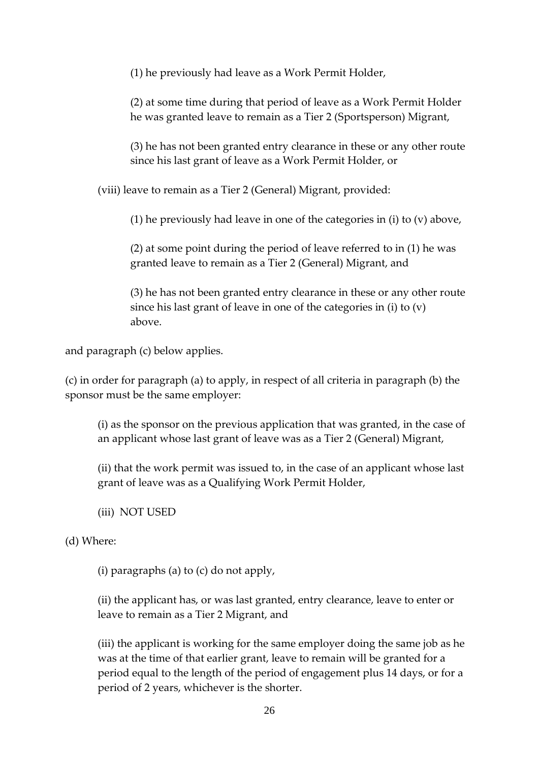(1) he previously had leave as a Work Permit Holder,

(2) at some time during that period of leave as a Work Permit Holder he was granted leave to remain as a Tier 2 (Sportsperson) Migrant,

(3) he has not been granted entry clearance in these or any other route since his last grant of leave as a Work Permit Holder, or

(viii) leave to remain as a Tier 2 (General) Migrant, provided:

(1) he previously had leave in one of the categories in (i) to (v) above,

(2) at some point during the period of leave referred to in (1) he was granted leave to remain as a Tier 2 (General) Migrant, and

(3) he has not been granted entry clearance in these or any other route since his last grant of leave in one of the categories in (i) to (v) above.

and paragraph (c) below applies.

(c) in order for paragraph (a) to apply, in respect of all criteria in paragraph (b) the sponsor must be the same employer:

(i) as the sponsor on the previous application that was granted, in the case of an applicant whose last grant of leave was as a Tier 2 (General) Migrant,

(ii) that the work permit was issued to, in the case of an applicant whose last grant of leave was as a Qualifying Work Permit Holder,

(iii) NOT USED

(d) Where:

(i) paragraphs (a) to (c) do not apply,

(ii) the applicant has, or was last granted, entry clearance, leave to enter or leave to remain as a Tier 2 Migrant, and

(iii) the applicant is working for the same employer doing the same job as he was at the time of that earlier grant, leave to remain will be granted for a period equal to the length of the period of engagement plus 14 days, or for a period of 2 years, whichever is the shorter.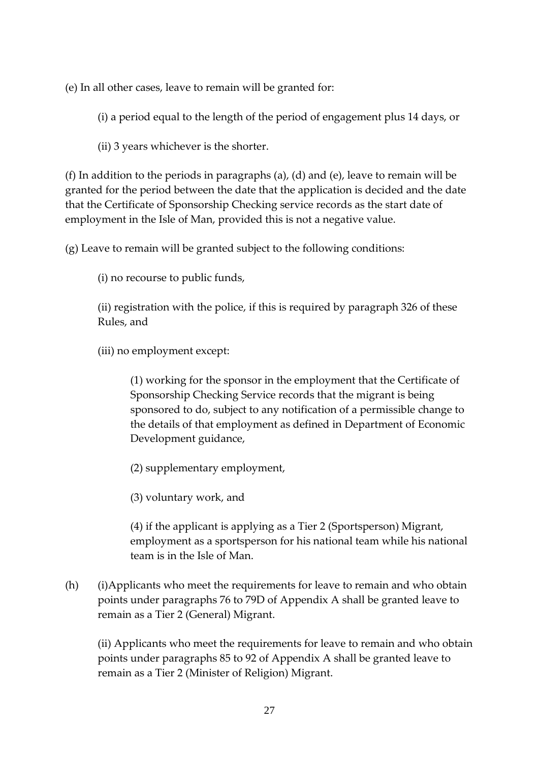(e) In all other cases, leave to remain will be granted for:

(i) a period equal to the length of the period of engagement plus 14 days, or

(ii) 3 years whichever is the shorter.

(f) In addition to the periods in paragraphs (a), (d) and (e), leave to remain will be granted for the period between the date that the application is decided and the date that the Certificate of Sponsorship Checking service records as the start date of employment in the Isle of Man, provided this is not a negative value.

(g) Leave to remain will be granted subject to the following conditions:

(i) no recourse to public funds,

(ii) registration with the police, if this is required by paragraph 326 of these Rules, and

(iii) no employment except:

(1) working for the sponsor in the employment that the Certificate of Sponsorship Checking Service records that the migrant is being sponsored to do, subject to any notification of a permissible change to the details of that employment as defined in Department of Economic Development guidance,

(2) supplementary employment,

(3) voluntary work, and

(4) if the applicant is applying as a Tier 2 (Sportsperson) Migrant, employment as a sportsperson for his national team while his national team is in the Isle of Man.

(h) (i)Applicants who meet the requirements for leave to remain and who obtain points under paragraphs 76 to 79D of Appendix A shall be granted leave to remain as a Tier 2 (General) Migrant.

(ii) Applicants who meet the requirements for leave to remain and who obtain points under paragraphs 85 to 92 of Appendix A shall be granted leave to remain as a Tier 2 (Minister of Religion) Migrant.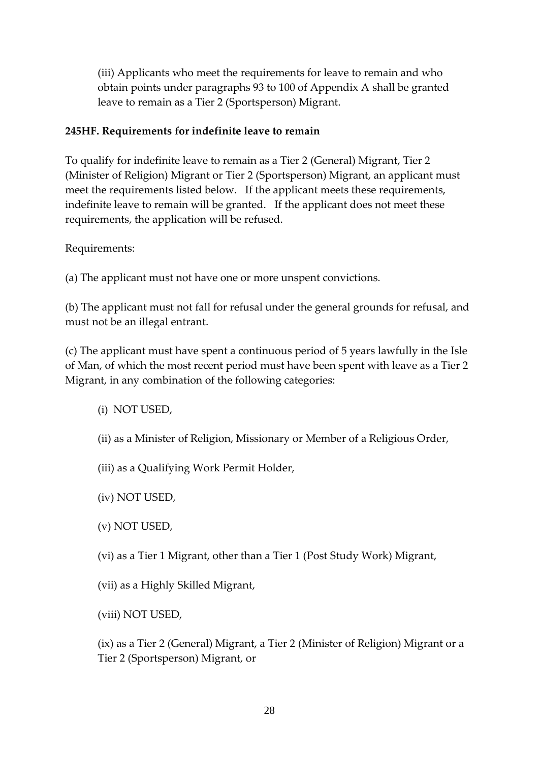(iii) Applicants who meet the requirements for leave to remain and who obtain points under paragraphs 93 to 100 of Appendix A shall be granted leave to remain as a Tier 2 (Sportsperson) Migrant.

### **245HF. Requirements for indefinite leave to remain**

To qualify for indefinite leave to remain as a Tier 2 (General) Migrant, Tier 2 (Minister of Religion) Migrant or Tier 2 (Sportsperson) Migrant, an applicant must meet the requirements listed below. If the applicant meets these requirements, indefinite leave to remain will be granted. If the applicant does not meet these requirements, the application will be refused.

Requirements:

(a) The applicant must not have one or more unspent convictions.

(b) The applicant must not fall for refusal under the general grounds for refusal, and must not be an illegal entrant.

(c) The applicant must have spent a continuous period of 5 years lawfully in the Isle of Man, of which the most recent period must have been spent with leave as a Tier 2 Migrant, in any combination of the following categories:

- (i) NOT USED,
- (ii) as a Minister of Religion, Missionary or Member of a Religious Order,
- (iii) as a Qualifying Work Permit Holder,
- (iv) NOT USED,
- (v) NOT USED,
- (vi) as a Tier 1 Migrant, other than a Tier 1 (Post Study Work) Migrant,
- (vii) as a Highly Skilled Migrant,
- (viii) NOT USED,

(ix) as a Tier 2 (General) Migrant, a Tier 2 (Minister of Religion) Migrant or a Tier 2 (Sportsperson) Migrant, or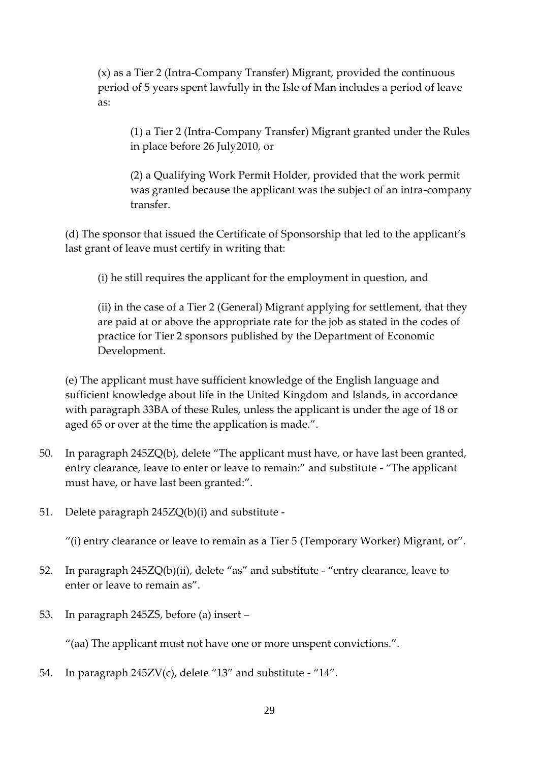(x) as a Tier 2 (Intra-Company Transfer) Migrant, provided the continuous period of 5 years spent lawfully in the Isle of Man includes a period of leave as:

(1) a Tier 2 (Intra-Company Transfer) Migrant granted under the Rules in place before 26 July2010, or

(2) a Qualifying Work Permit Holder, provided that the work permit was granted because the applicant was the subject of an intra-company transfer.

(d) The sponsor that issued the Certificate of Sponsorship that led to the applicant's last grant of leave must certify in writing that:

(i) he still requires the applicant for the employment in question, and

(ii) in the case of a Tier 2 (General) Migrant applying for settlement, that they are paid at or above the appropriate rate for the job as stated in the codes of practice for Tier 2 sponsors published by the Department of Economic Development.

(e) The applicant must have sufficient knowledge of the English language and sufficient knowledge about life in the United Kingdom and Islands, in accordance with paragraph 33BA of these Rules, unless the applicant is under the age of 18 or aged 65 or over at the time the application is made.".

- 50. In paragraph 245ZQ(b), delete "The applicant must have, or have last been granted, entry clearance, leave to enter or leave to remain:" and substitute - "The applicant must have, or have last been granted:".
- 51. Delete paragraph 245ZQ(b)(i) and substitute -

"(i) entry clearance or leave to remain as a Tier 5 (Temporary Worker) Migrant, or".

- 52. In paragraph 245ZQ(b)(ii), delete "as" and substitute "entry clearance, leave to enter or leave to remain as".
- 53. In paragraph 245ZS, before (a) insert –

"(aa) The applicant must not have one or more unspent convictions.".

54. In paragraph 245ZV(c), delete "13" and substitute - "14".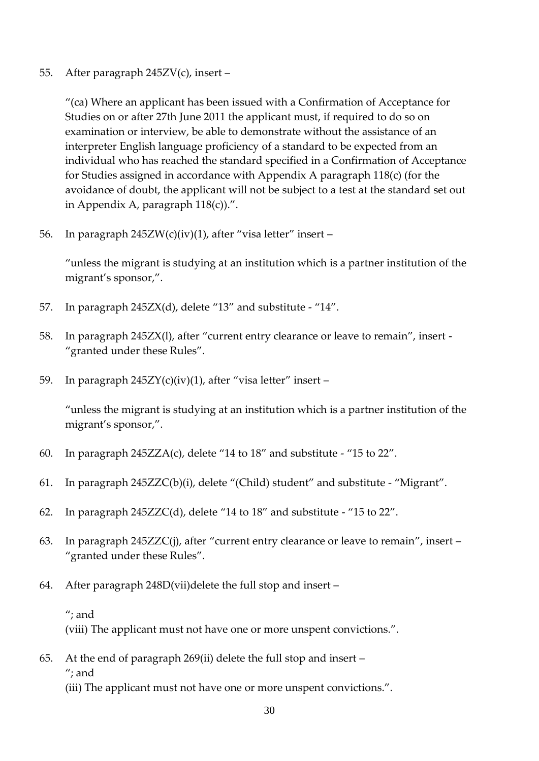#### 55. After paragraph 245ZV(c), insert –

"(ca) Where an applicant has been issued with a Confirmation of Acceptance for Studies on or after 27th June 2011 the applicant must, if required to do so on examination or interview, be able to demonstrate without the assistance of an interpreter English language proficiency of a standard to be expected from an individual who has reached the standard specified in a Confirmation of Acceptance for Studies assigned in accordance with Appendix A paragraph 118(c) (for the avoidance of doubt, the applicant will not be subject to a test at the standard set out in Appendix A, paragraph 118(c)).".

56. In paragraph 245ZW(c)(iv)(1), after "visa letter" insert –

"unless the migrant is studying at an institution which is a partner institution of the migrant's sponsor,".

- 57. In paragraph 245ZX(d), delete "13" and substitute "14".
- 58. In paragraph 245ZX(l), after "current entry clearance or leave to remain", insert "granted under these Rules".
- 59. In paragraph 245ZY(c)(iv)(1), after "visa letter" insert –

"unless the migrant is studying at an institution which is a partner institution of the migrant's sponsor,".

- 60. In paragraph 245ZZA(c), delete "14 to 18" and substitute "15 to 22".
- 61. In paragraph 245ZZC(b)(i), delete "(Child) student" and substitute "Migrant".
- 62. In paragraph 245ZZC(d), delete "14 to 18" and substitute "15 to 22".
- 63. In paragraph 245ZZC(j), after "current entry clearance or leave to remain", insert "granted under these Rules".
- 64. After paragraph 248D(vii)delete the full stop and insert
	- "; and

(viii) The applicant must not have one or more unspent convictions.".

65. At the end of paragraph 269(ii) delete the full stop and insert – "; and (iii) The applicant must not have one or more unspent convictions.".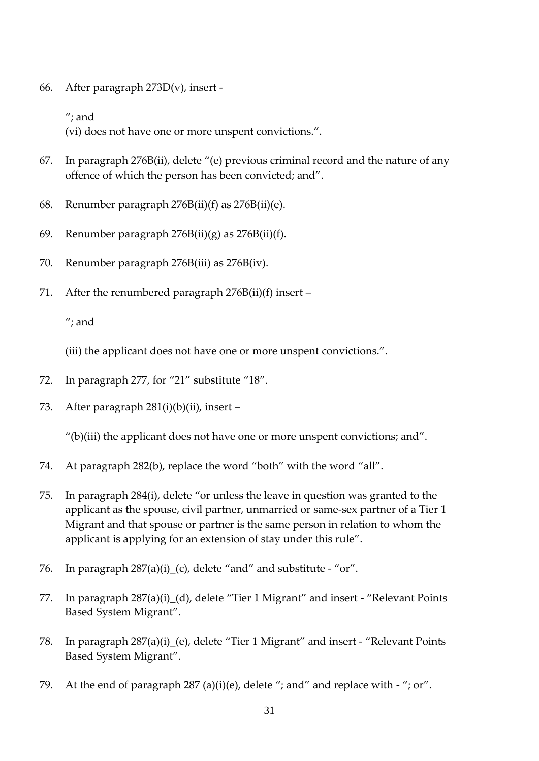66. After paragraph 273D(v), insert -

"; and

(vi) does not have one or more unspent convictions.".

- 67. In paragraph 276B(ii), delete "(e) previous criminal record and the nature of any offence of which the person has been convicted; and".
- 68. Renumber paragraph 276B(ii)(f) as 276B(ii)(e).
- 69. Renumber paragraph 276B(ii)(g) as 276B(ii)(f).
- 70. Renumber paragraph 276B(iii) as 276B(iv).
- 71. After the renumbered paragraph  $276B(ii)(f)$  insert –

"; and

(iii) the applicant does not have one or more unspent convictions.".

- 72. In paragraph 277, for "21" substitute "18".
- 73. After paragraph 281(i)(b)(ii), insert –

"(b)(iii) the applicant does not have one or more unspent convictions; and".

- 74. At paragraph 282(b), replace the word "both" with the word "all".
- 75. In paragraph 284(i), delete "or unless the leave in question was granted to the applicant as the spouse, civil partner, unmarried or same-sex partner of a Tier 1 Migrant and that spouse or partner is the same person in relation to whom the applicant is applying for an extension of stay under this rule".
- 76. In paragraph  $287(a)(i)$  (c), delete "and" and substitute "or".
- 77. In paragraph 287(a)(i)\_(d), delete "Tier 1 Migrant" and insert "Relevant Points Based System Migrant".
- 78. In paragraph 287(a)(i)\_(e), delete "Tier 1 Migrant" and insert "Relevant Points Based System Migrant".
- 79. At the end of paragraph  $287 \text{ (a)(i)(e)}$ , delete "; and" and replace with "; or".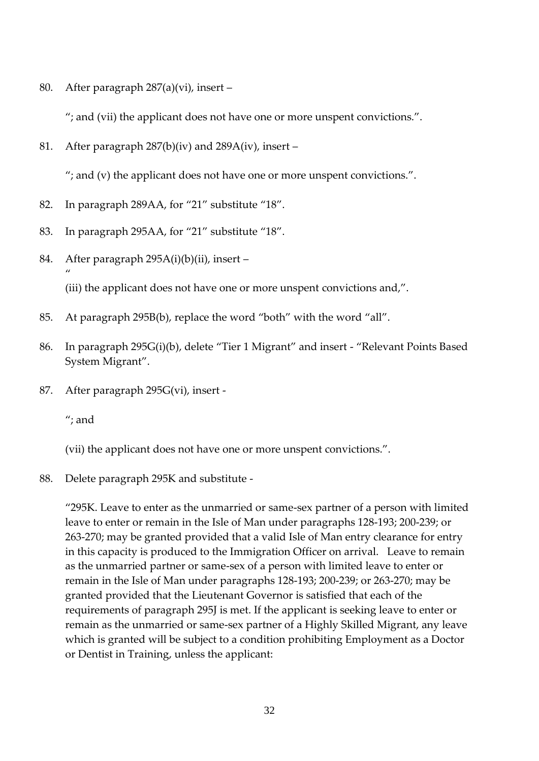80. After paragraph 287(a)(vi), insert –

"; and (vii) the applicant does not have one or more unspent convictions.".

81. After paragraph 287(b)(iv) and 289A(iv), insert –

"; and (v) the applicant does not have one or more unspent convictions.".

- 82. In paragraph 289AA, for "21" substitute "18".
- 83. In paragraph 295AA, for "21" substitute "18".
- 84. After paragraph 295A(i)(b)(ii), insert " (iii) the applicant does not have one or more unspent convictions and,".
- 85. At paragraph 295B(b), replace the word "both" with the word "all".
- 86. In paragraph 295G(i)(b), delete "Tier 1 Migrant" and insert "Relevant Points Based System Migrant".
- 87. After paragraph 295G(vi), insert -

"; and

(vii) the applicant does not have one or more unspent convictions.".

88. Delete paragraph 295K and substitute -

"295K. Leave to enter as the unmarried or same-sex partner of a person with limited leave to enter or remain in the Isle of Man under paragraphs 128-193; 200-239; or 263-270; may be granted provided that a valid Isle of Man entry clearance for entry in this capacity is produced to the Immigration Officer on arrival. Leave to remain as the unmarried partner or same-sex of a person with limited leave to enter or remain in the Isle of Man under paragraphs 128-193; 200-239; or 263-270; may be granted provided that the Lieutenant Governor is satisfied that each of the requirements of paragraph 295J is met. If the applicant is seeking leave to enter or remain as the unmarried or same-sex partner of a Highly Skilled Migrant, any leave which is granted will be subject to a condition prohibiting Employment as a Doctor or Dentist in Training, unless the applicant: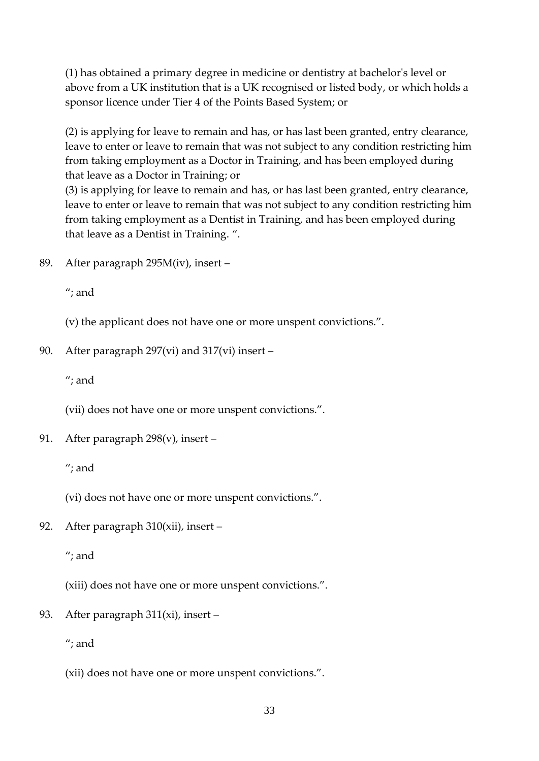(1) has obtained a primary degree in medicine or dentistry at bachelor's level or above from a UK institution that is a UK recognised or listed body, or which holds a sponsor licence under Tier 4 of the Points Based System; or

(2) is applying for leave to remain and has, or has last been granted, entry clearance, leave to enter or leave to remain that was not subject to any condition restricting him from taking employment as a Doctor in Training, and has been employed during that leave as a Doctor in Training; or

(3) is applying for leave to remain and has, or has last been granted, entry clearance, leave to enter or leave to remain that was not subject to any condition restricting him from taking employment as a Dentist in Training, and has been employed during that leave as a Dentist in Training. ".

89. After paragraph 295M(iv), insert –

"; and

(v) the applicant does not have one or more unspent convictions.".

#### 90. After paragraph 297(vi) and 317(vi) insert –

"; and

(vii) does not have one or more unspent convictions.".

91. After paragraph 298(v), insert –

"; and

(vi) does not have one or more unspent convictions.".

92. After paragraph 310(xii), insert –

"; and

(xiii) does not have one or more unspent convictions.".

93. After paragraph 311(xi), insert –

"; and

(xii) does not have one or more unspent convictions.".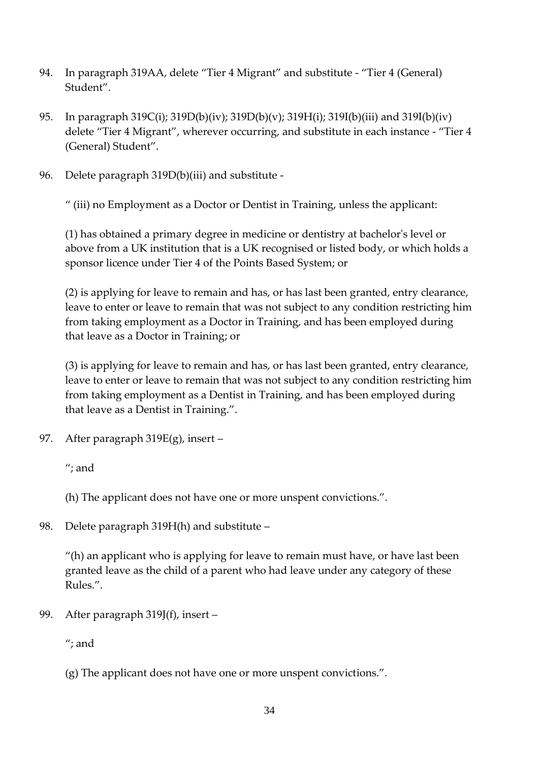- 94. In paragraph 319AA, delete "Tier 4 Migrant" and substitute "Tier 4 (General) Student".
- 95. In paragraph 319C(i); 319D(b)(iv); 319D(b)(v); 319H(i); 319I(b)(iii) and 319I(b)(iv) delete "Tier 4 Migrant", wherever occurring, and substitute in each instance - "Tier 4 (General) Student".
- 96. Delete paragraph 319D(b)(iii) and substitute -

" (iii) no Employment as a Doctor or Dentist in Training, unless the applicant:

(1) has obtained a primary degree in medicine or dentistry at bachelor's level or above from a UK institution that is a UK recognised or listed body, or which holds a sponsor licence under Tier 4 of the Points Based System; or

(2) is applying for leave to remain and has, or has last been granted, entry clearance, leave to enter or leave to remain that was not subject to any condition restricting him from taking employment as a Doctor in Training, and has been employed during that leave as a Doctor in Training; or

(3) is applying for leave to remain and has, or has last been granted, entry clearance, leave to enter or leave to remain that was not subject to any condition restricting him from taking employment as a Dentist in Training, and has been employed during that leave as a Dentist in Training.".

97. After paragraph 319E(g), insert –

"; and

(h) The applicant does not have one or more unspent convictions.".

98. Delete paragraph 319H(h) and substitute –

"(h) an applicant who is applying for leave to remain must have, or have last been granted leave as the child of a parent who had leave under any category of these Rules.".

99. After paragraph 319J(f), insert –

"; and

(g) The applicant does not have one or more unspent convictions.".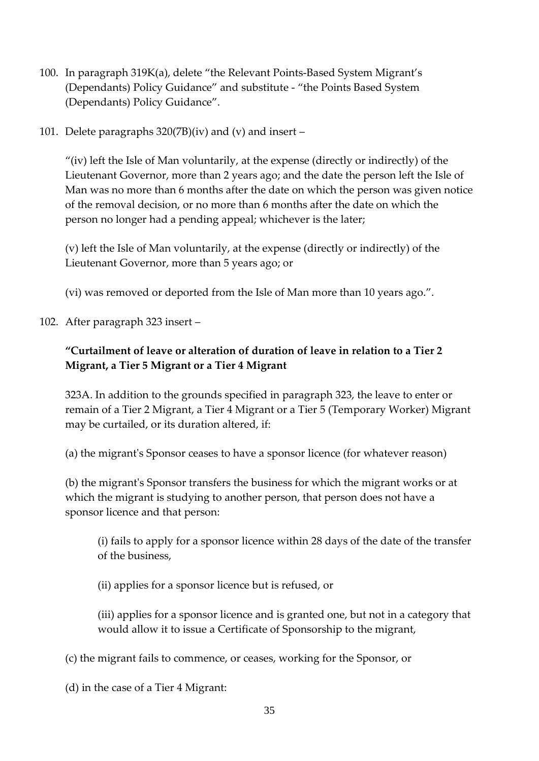- 100. In paragraph 319K(a), delete "the Relevant Points-Based System Migrant's (Dependants) Policy Guidance" and substitute - "the Points Based System (Dependants) Policy Guidance".
- 101. Delete paragraphs 320(7B)(iv) and (v) and insert –

"(iv) left the Isle of Man voluntarily, at the expense (directly or indirectly) of the Lieutenant Governor, more than 2 years ago; and the date the person left the Isle of Man was no more than 6 months after the date on which the person was given notice of the removal decision, or no more than 6 months after the date on which the person no longer had a pending appeal; whichever is the later;

(v) left the Isle of Man voluntarily, at the expense (directly or indirectly) of the Lieutenant Governor, more than 5 years ago; or

(vi) was removed or deported from the Isle of Man more than 10 years ago.".

### 102. After paragraph 323 insert –

# **"Curtailment of leave or alteration of duration of leave in relation to a Tier 2 Migrant, a Tier 5 Migrant or a Tier 4 Migrant**

323A. In addition to the grounds specified in paragraph 323, the leave to enter or remain of a Tier 2 Migrant, a Tier 4 Migrant or a Tier 5 (Temporary Worker) Migrant may be curtailed, or its duration altered, if:

(a) the migrant's Sponsor ceases to have a sponsor licence (for whatever reason)

(b) the migrant's Sponsor transfers the business for which the migrant works or at which the migrant is studying to another person, that person does not have a sponsor licence and that person:

(i) fails to apply for a sponsor licence within 28 days of the date of the transfer of the business,

(ii) applies for a sponsor licence but is refused, or

(iii) applies for a sponsor licence and is granted one, but not in a category that would allow it to issue a Certificate of Sponsorship to the migrant,

(c) the migrant fails to commence, or ceases, working for the Sponsor, or

(d) in the case of a Tier 4 Migrant: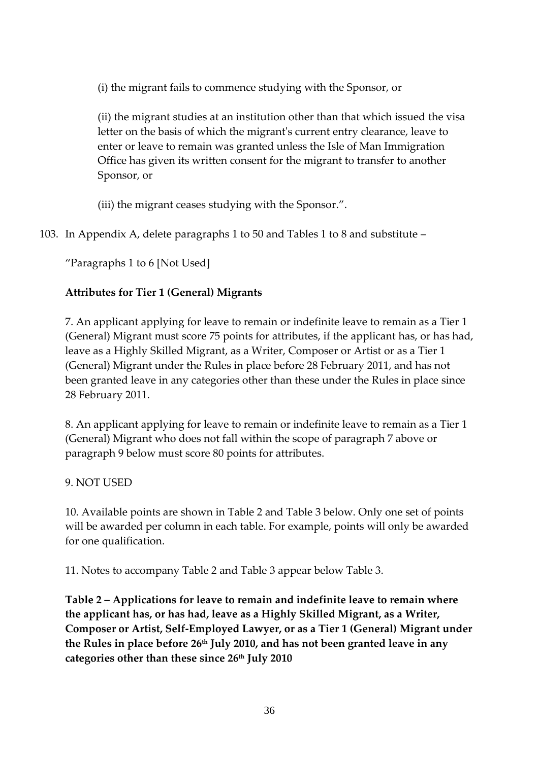(i) the migrant fails to commence studying with the Sponsor, or

(ii) the migrant studies at an institution other than that which issued the visa letter on the basis of which the migrant's current entry clearance, leave to enter or leave to remain was granted unless the Isle of Man Immigration Office has given its written consent for the migrant to transfer to another Sponsor, or

(iii) the migrant ceases studying with the Sponsor.".

103. In Appendix A, delete paragraphs 1 to 50 and Tables 1 to 8 and substitute –

"Paragraphs 1 to 6 [Not Used]

# **Attributes for Tier 1 (General) Migrants**

7. An applicant applying for leave to remain or indefinite leave to remain as a Tier 1 (General) Migrant must score 75 points for attributes, if the applicant has, or has had, leave as a Highly Skilled Migrant, as a Writer, Composer or Artist or as a Tier 1 (General) Migrant under the Rules in place before 28 February 2011, and has not been granted leave in any categories other than these under the Rules in place since 28 February 2011.

8. An applicant applying for leave to remain or indefinite leave to remain as a Tier 1 (General) Migrant who does not fall within the scope of paragraph 7 above or paragraph 9 below must score 80 points for attributes.

### 9. NOT USED

10. Available points are shown in Table 2 and Table 3 below. Only one set of points will be awarded per column in each table. For example, points will only be awarded for one qualification.

11. Notes to accompany Table 2 and Table 3 appear below Table 3.

**Table 2 – Applications for leave to remain and indefinite leave to remain where the applicant has, or has had, leave as a Highly Skilled Migrant, as a Writer, Composer or Artist, Self-Employed Lawyer, or as a Tier 1 (General) Migrant under the Rules in place before 26th July 2010, and has not been granted leave in any categories other than these since 26th July 2010**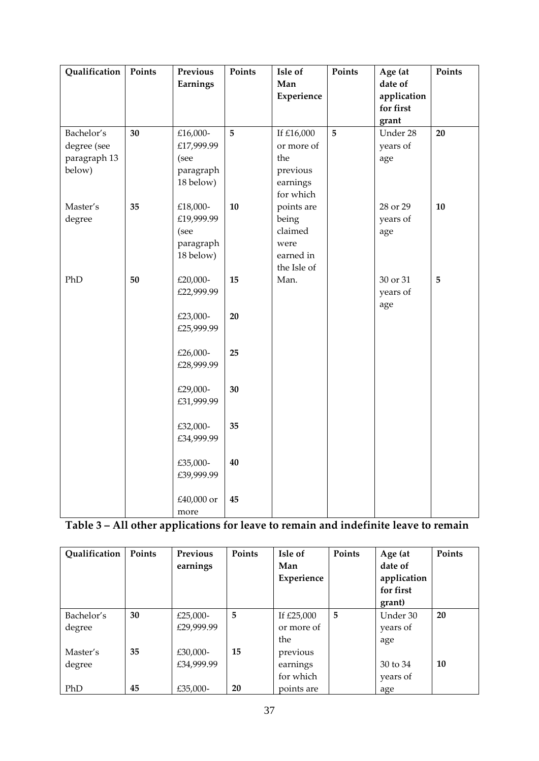| Qualification                                       | Points | Previous<br>Earnings                                     | Points   | Isle of<br>Man<br>Experience                                         | Points | Age (at<br>date of<br>application<br>for first | Points |
|-----------------------------------------------------|--------|----------------------------------------------------------|----------|----------------------------------------------------------------------|--------|------------------------------------------------|--------|
|                                                     |        |                                                          |          |                                                                      |        | grant                                          |        |
| Bachelor's<br>degree (see<br>paragraph 13<br>below) | 30     | £16,000-<br>£17,999.99<br>(see<br>paragraph<br>18 below) | 5        | If £16,000<br>or more of<br>the<br>previous<br>earnings<br>for which | 5      | Under 28<br>years of<br>age                    | 20     |
| Master's<br>degree                                  | 35     | £18,000-<br>£19,999.99<br>(see<br>paragraph<br>18 below) | 10       | points are<br>being<br>claimed<br>were<br>earned in<br>the Isle of   |        | 28 or 29<br>years of<br>age                    | 10     |
| PhD                                                 | 50     | £20,000-<br>£22,999.99<br>£23,000-<br>£25,999.99         | 15<br>20 | Man.                                                                 |        | 30 or 31<br>years of<br>age                    | 5      |
|                                                     |        | £26,000-<br>£28,999.99                                   | 25       |                                                                      |        |                                                |        |
|                                                     |        | £29,000-<br>£31,999.99                                   | 30       |                                                                      |        |                                                |        |
|                                                     |        | £32,000-<br>£34,999.99                                   | 35       |                                                                      |        |                                                |        |
|                                                     |        | £35,000-<br>£39,999.99                                   | 40       |                                                                      |        |                                                |        |
|                                                     |        | £40,000 or<br>more                                       | 45       |                                                                      |        |                                                |        |

# **Table 3 – All other applications for leave to remain and indefinite leave to remain**

| Qualification | Points | Previous   | Points | Isle of    | Points | Age (at     | Points    |
|---------------|--------|------------|--------|------------|--------|-------------|-----------|
|               |        | earnings   |        | Man        |        | date of     |           |
|               |        |            |        | Experience |        | application |           |
|               |        |            |        |            |        | for first   |           |
|               |        |            |        |            |        | grant)      |           |
| Bachelor's    | 30     | £25,000-   | 5      | If £25,000 | 5      | Under 30    | 20        |
| degree        |        | £29,999.99 |        | or more of |        | years of    |           |
|               |        |            |        | the        |        | age         |           |
| Master's      | 35     | £30,000-   | 15     | previous   |        |             |           |
| degree        |        | £34,999.99 |        | earnings   |        | 30 to 34    | <b>10</b> |
|               |        |            |        | for which  |        | years of    |           |
| PhD           | 45     | £35,000-   | 20     | points are |        | age         |           |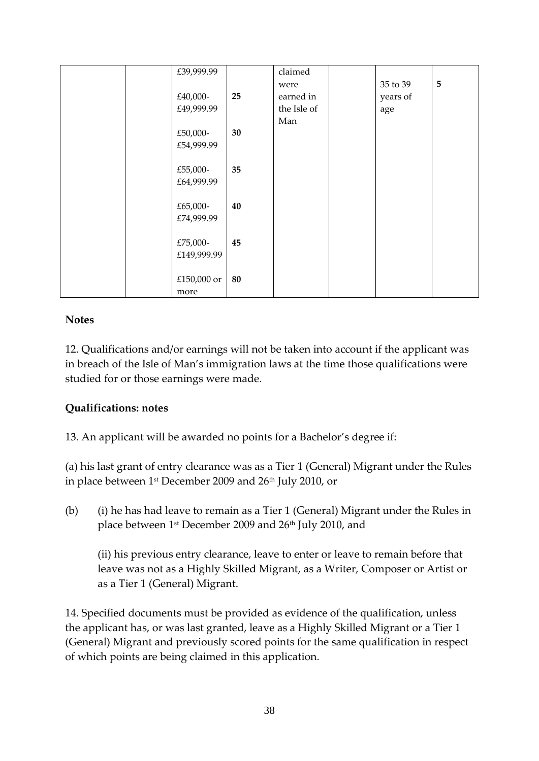| £39,999.99  |    | claimed     |          |                |
|-------------|----|-------------|----------|----------------|
|             |    | were        | 35 to 39 | $\overline{5}$ |
| £40,000-    | 25 | earned in   | years of |                |
| £49,999.99  |    | the Isle of | age      |                |
|             |    | Man         |          |                |
| £50,000-    | 30 |             |          |                |
| £54,999.99  |    |             |          |                |
|             |    |             |          |                |
| £55,000-    | 35 |             |          |                |
| £64,999.99  |    |             |          |                |
|             |    |             |          |                |
| £65,000-    | 40 |             |          |                |
| £74,999.99  |    |             |          |                |
|             |    |             |          |                |
| £75,000-    | 45 |             |          |                |
| £149,999.99 |    |             |          |                |
|             |    |             |          |                |
| £150,000 or | 80 |             |          |                |
|             |    |             |          |                |
| more        |    |             |          |                |

### **Notes**

12. Qualifications and/or earnings will not be taken into account if the applicant was in breach of the Isle of Man's immigration laws at the time those qualifications were studied for or those earnings were made.

## **Qualifications: notes**

13. An applicant will be awarded no points for a Bachelor's degree if:

(a) his last grant of entry clearance was as a Tier 1 (General) Migrant under the Rules in place between 1<sup>st</sup> December 2009 and 26<sup>th</sup> July 2010, or

(b) (i) he has had leave to remain as a Tier 1 (General) Migrant under the Rules in place between 1<sup>st</sup> December 2009 and 26<sup>th</sup> July 2010, and

(ii) his previous entry clearance, leave to enter or leave to remain before that leave was not as a Highly Skilled Migrant, as a Writer, Composer or Artist or as a Tier 1 (General) Migrant.

14. Specified documents must be provided as evidence of the qualification, unless the applicant has, or was last granted, leave as a Highly Skilled Migrant or a Tier 1 (General) Migrant and previously scored points for the same qualification in respect of which points are being claimed in this application.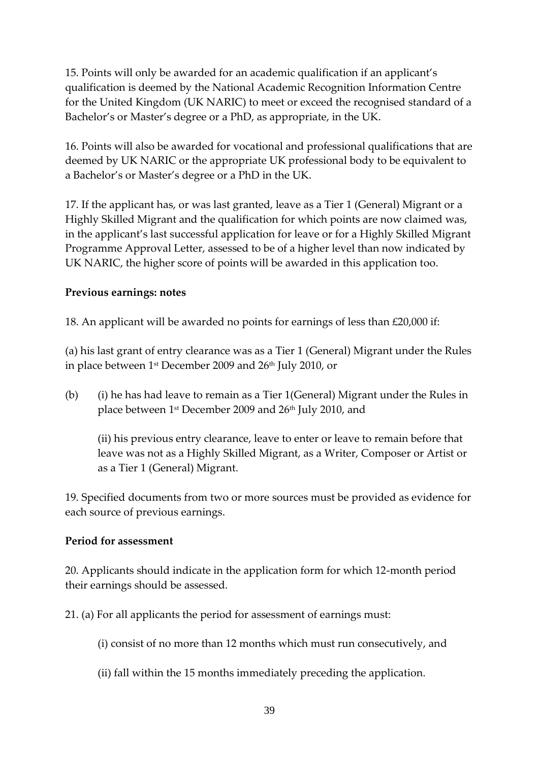15. Points will only be awarded for an academic qualification if an applicant's qualification is deemed by the National Academic Recognition Information Centre for the United Kingdom (UK NARIC) to meet or exceed the recognised standard of a Bachelor's or Master's degree or a PhD, as appropriate, in the UK.

16. Points will also be awarded for vocational and professional qualifications that are deemed by UK NARIC or the appropriate UK professional body to be equivalent to a Bachelor's or Master's degree or a PhD in the UK.

17. If the applicant has, or was last granted, leave as a Tier 1 (General) Migrant or a Highly Skilled Migrant and the qualification for which points are now claimed was, in the applicant's last successful application for leave or for a Highly Skilled Migrant Programme Approval Letter, assessed to be of a higher level than now indicated by UK NARIC, the higher score of points will be awarded in this application too.

### **Previous earnings: notes**

18. An applicant will be awarded no points for earnings of less than £20,000 if:

(a) his last grant of entry clearance was as a Tier 1 (General) Migrant under the Rules in place between 1<sup>st</sup> December 2009 and 26<sup>th</sup> July 2010, or

(b) (i) he has had leave to remain as a Tier 1(General) Migrant under the Rules in place between 1<sup>st</sup> December 2009 and 26<sup>th</sup> July 2010, and

(ii) his previous entry clearance, leave to enter or leave to remain before that leave was not as a Highly Skilled Migrant, as a Writer, Composer or Artist or as a Tier 1 (General) Migrant.

19. Specified documents from two or more sources must be provided as evidence for each source of previous earnings.

### **Period for assessment**

20. Applicants should indicate in the application form for which 12-month period their earnings should be assessed.

21. (a) For all applicants the period for assessment of earnings must:

(i) consist of no more than 12 months which must run consecutively, and

(ii) fall within the 15 months immediately preceding the application.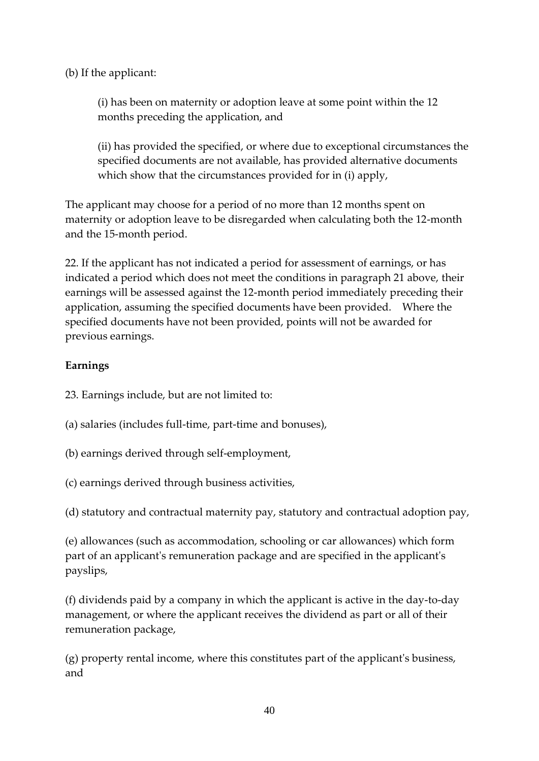(b) If the applicant:

(i) has been on maternity or adoption leave at some point within the 12 months preceding the application, and

(ii) has provided the specified, or where due to exceptional circumstances the specified documents are not available, has provided alternative documents which show that the circumstances provided for in (i) apply,

The applicant may choose for a period of no more than 12 months spent on maternity or adoption leave to be disregarded when calculating both the 12-month and the 15-month period.

22. If the applicant has not indicated a period for assessment of earnings, or has indicated a period which does not meet the conditions in paragraph 21 above, their earnings will be assessed against the 12-month period immediately preceding their application, assuming the specified documents have been provided. Where the specified documents have not been provided, points will not be awarded for previous earnings.

### **Earnings**

23. Earnings include, but are not limited to:

- (a) salaries (includes full-time, part-time and bonuses),
- (b) earnings derived through self-employment,
- (c) earnings derived through business activities,

(d) statutory and contractual maternity pay, statutory and contractual adoption pay,

(e) allowances (such as accommodation, schooling or car allowances) which form part of an applicant's remuneration package and are specified in the applicant's payslips,

(f) dividends paid by a company in which the applicant is active in the day-to-day management, or where the applicant receives the dividend as part or all of their remuneration package,

(g) property rental income, where this constitutes part of the applicant's business, and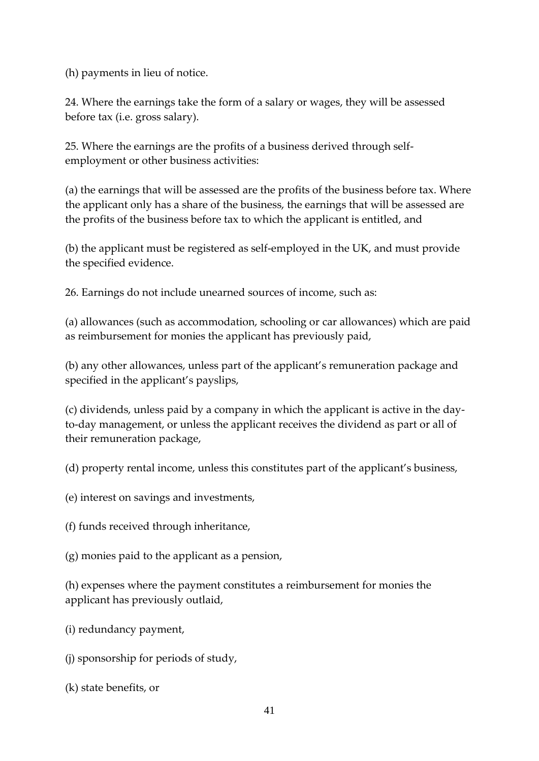(h) payments in lieu of notice.

24. Where the earnings take the form of a salary or wages, they will be assessed before tax (i.e. gross salary).

25. Where the earnings are the profits of a business derived through selfemployment or other business activities:

(a) the earnings that will be assessed are the profits of the business before tax. Where the applicant only has a share of the business, the earnings that will be assessed are the profits of the business before tax to which the applicant is entitled, and

(b) the applicant must be registered as self-employed in the UK, and must provide the specified evidence.

26. Earnings do not include unearned sources of income, such as:

(a) allowances (such as accommodation, schooling or car allowances) which are paid as reimbursement for monies the applicant has previously paid,

(b) any other allowances, unless part of the applicant's remuneration package and specified in the applicant's payslips,

(c) dividends, unless paid by a company in which the applicant is active in the dayto-day management, or unless the applicant receives the dividend as part or all of their remuneration package,

(d) property rental income, unless this constitutes part of the applicant's business,

(e) interest on savings and investments,

(f) funds received through inheritance,

(g) monies paid to the applicant as a pension,

(h) expenses where the payment constitutes a reimbursement for monies the applicant has previously outlaid,

(i) redundancy payment,

(j) sponsorship for periods of study,

(k) state benefits, or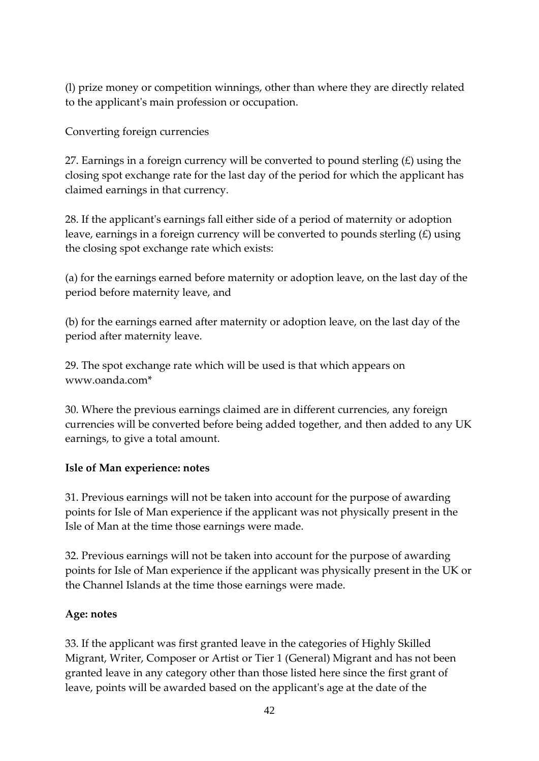(l) prize money or competition winnings, other than where they are directly related to the applicant's main profession or occupation.

Converting foreign currencies

27. Earnings in a foreign currency will be converted to pound sterling  $(E)$  using the closing spot exchange rate for the last day of the period for which the applicant has claimed earnings in that currency.

28. If the applicant's earnings fall either side of a period of maternity or adoption leave, earnings in a foreign currency will be converted to pounds sterling  $(E)$  using the closing spot exchange rate which exists:

(a) for the earnings earned before maternity or adoption leave, on the last day of the period before maternity leave, and

(b) for the earnings earned after maternity or adoption leave, on the last day of the period after maternity leave.

29. The spot exchange rate which will be used is that which appears on www.oanda.com\*

30. Where the previous earnings claimed are in different currencies, any foreign currencies will be converted before being added together, and then added to any UK earnings, to give a total amount.

## **Isle of Man experience: notes**

31. Previous earnings will not be taken into account for the purpose of awarding points for Isle of Man experience if the applicant was not physically present in the Isle of Man at the time those earnings were made.

32. Previous earnings will not be taken into account for the purpose of awarding points for Isle of Man experience if the applicant was physically present in the UK or the Channel Islands at the time those earnings were made.

### **Age: notes**

33. If the applicant was first granted leave in the categories of Highly Skilled Migrant, Writer, Composer or Artist or Tier 1 (General) Migrant and has not been granted leave in any category other than those listed here since the first grant of leave, points will be awarded based on the applicant's age at the date of the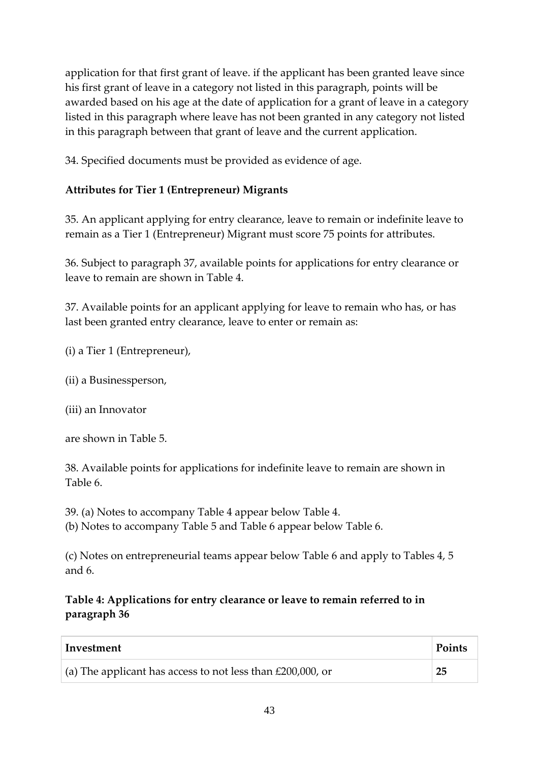application for that first grant of leave. if the applicant has been granted leave since his first grant of leave in a category not listed in this paragraph, points will be awarded based on his age at the date of application for a grant of leave in a category listed in this paragraph where leave has not been granted in any category not listed in this paragraph between that grant of leave and the current application.

34. Specified documents must be provided as evidence of age.

# **Attributes for Tier 1 (Entrepreneur) Migrants**

35. An applicant applying for entry clearance, leave to remain or indefinite leave to remain as a Tier 1 (Entrepreneur) Migrant must score 75 points for attributes.

36. Subject to paragraph 37, available points for applications for entry clearance or leave to remain are shown in Table 4.

37. Available points for an applicant applying for leave to remain who has, or has last been granted entry clearance, leave to enter or remain as:

(i) a Tier 1 (Entrepreneur),

(ii) a Businessperson,

(iii) an Innovator

are shown in Table 5.

38. Available points for applications for indefinite leave to remain are shown in Table 6.

39. (a) Notes to accompany Table 4 appear below Table 4.

(b) Notes to accompany Table 5 and Table 6 appear below Table 6.

(c) Notes on entrepreneurial teams appear below Table 6 and apply to Tables 4, 5 and 6.

# **Table 4: Applications for entry clearance or leave to remain referred to in paragraph 36**

| Investment                                                    | Points |
|---------------------------------------------------------------|--------|
| (a) The applicant has access to not less than $£200,000$ , or | 25     |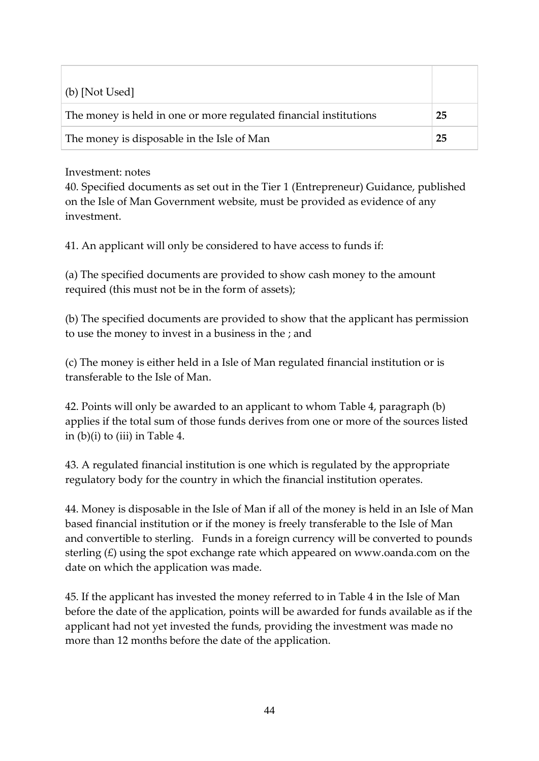| (b) [Not Used]                                                    |    |
|-------------------------------------------------------------------|----|
| The money is held in one or more regulated financial institutions | 25 |
| The money is disposable in the Isle of Man                        | 25 |

### Investment: notes

40. Specified documents as set out in the Tier 1 (Entrepreneur) Guidance, published on the Isle of Man Government website, must be provided as evidence of any investment.

41. An applicant will only be considered to have access to funds if:

(a) The specified documents are provided to show cash money to the amount required (this must not be in the form of assets);

(b) The specified documents are provided to show that the applicant has permission to use the money to invest in a business in the ; and

(c) The money is either held in a Isle of Man regulated financial institution or is transferable to the Isle of Man.

42. Points will only be awarded to an applicant to whom Table 4, paragraph (b) applies if the total sum of those funds derives from one or more of the sources listed in  $(b)(i)$  to (iii) in Table 4.

43. A regulated financial institution is one which is regulated by the appropriate regulatory body for the country in which the financial institution operates.

44. Money is disposable in the Isle of Man if all of the money is held in an Isle of Man based financial institution or if the money is freely transferable to the Isle of Man and convertible to sterling. Funds in a foreign currency will be converted to pounds sterling  $(E)$  using the spot exchange rate which appeared on www.oanda.com on the date on which the application was made.

45. If the applicant has invested the money referred to in Table 4 in the Isle of Man before the date of the application, points will be awarded for funds available as if the applicant had not yet invested the funds, providing the investment was made no more than 12 months before the date of the application.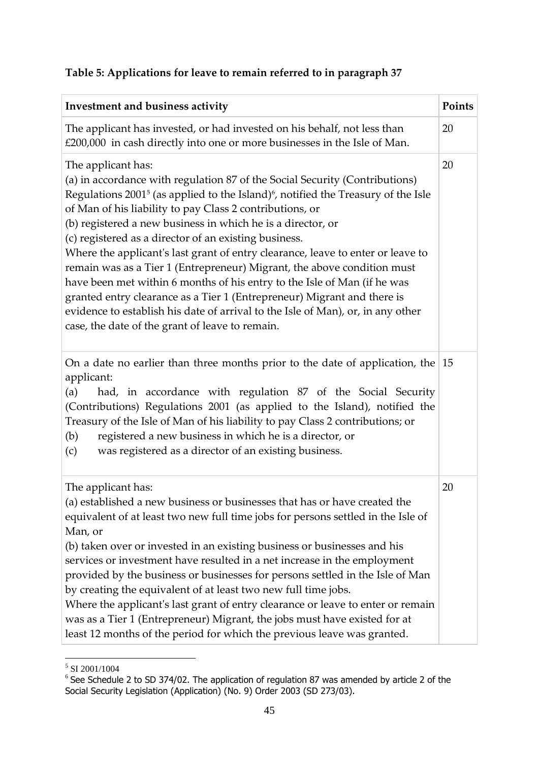# **Table 5: Applications for leave to remain referred to in paragraph 37**

| Investment and business activity                                                                                                                                                                                                                                                                                                                                                                                                                                                                                                                                                                                                                                                                                                                                                                                                                              | Points |
|---------------------------------------------------------------------------------------------------------------------------------------------------------------------------------------------------------------------------------------------------------------------------------------------------------------------------------------------------------------------------------------------------------------------------------------------------------------------------------------------------------------------------------------------------------------------------------------------------------------------------------------------------------------------------------------------------------------------------------------------------------------------------------------------------------------------------------------------------------------|--------|
| The applicant has invested, or had invested on his behalf, not less than<br>£200,000 in cash directly into one or more businesses in the Isle of Man.                                                                                                                                                                                                                                                                                                                                                                                                                                                                                                                                                                                                                                                                                                         | 20     |
| The applicant has:<br>(a) in accordance with regulation 87 of the Social Security (Contributions)<br>Regulations 2001 <sup>5</sup> (as applied to the Island) <sup>6</sup> , notified the Treasury of the Isle<br>of Man of his liability to pay Class 2 contributions, or<br>(b) registered a new business in which he is a director, or<br>(c) registered as a director of an existing business.<br>Where the applicant's last grant of entry clearance, leave to enter or leave to<br>remain was as a Tier 1 (Entrepreneur) Migrant, the above condition must<br>have been met within 6 months of his entry to the Isle of Man (if he was<br>granted entry clearance as a Tier 1 (Entrepreneur) Migrant and there is<br>evidence to establish his date of arrival to the Isle of Man), or, in any other<br>case, the date of the grant of leave to remain. | 20     |
| On a date no earlier than three months prior to the date of application, the $ 15 $<br>applicant:<br>had, in accordance with regulation 87 of the Social Security<br>(a)<br>(Contributions) Regulations 2001 (as applied to the Island), notified the<br>Treasury of the Isle of Man of his liability to pay Class 2 contributions; or<br>registered a new business in which he is a director, or<br>(b)<br>was registered as a director of an existing business.<br>(c)                                                                                                                                                                                                                                                                                                                                                                                      |        |
| The applicant has:<br>(a) established a new business or businesses that has or have created the<br>equivalent of at least two new full time jobs for persons settled in the Isle of<br>Man, or<br>(b) taken over or invested in an existing business or businesses and his<br>services or investment have resulted in a net increase in the employment<br>provided by the business or businesses for persons settled in the Isle of Man<br>by creating the equivalent of at least two new full time jobs.<br>Where the applicant's last grant of entry clearance or leave to enter or remain<br>was as a Tier 1 (Entrepreneur) Migrant, the jobs must have existed for at<br>least 12 months of the period for which the previous leave was granted.                                                                                                          | 20     |

<sup>&</sup>lt;sup>5</sup> SI 2001/1004

 $6$  See Schedule 2 to SD 374/02. The application of regulation 87 was amended by article 2 of the Social Security Legislation (Application) (No. 9) Order 2003 (SD 273/03).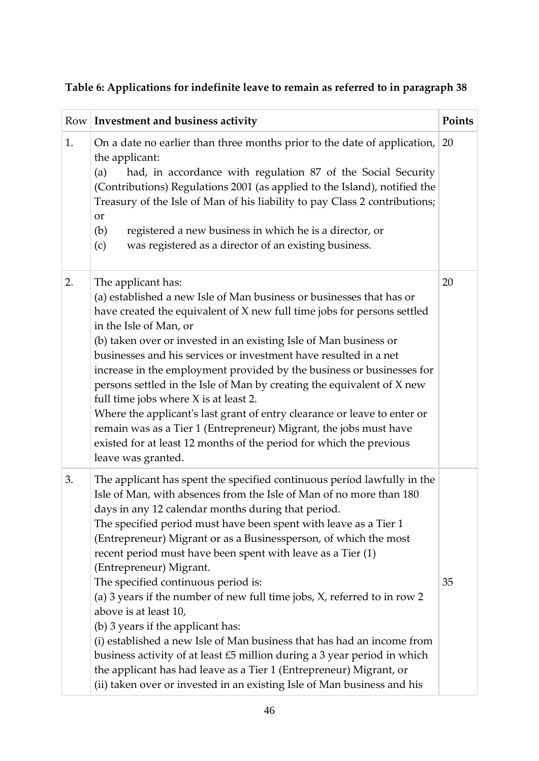| Table 6: Applications for indefinite leave to remain as referred to in paragraph 38 |  |  |
|-------------------------------------------------------------------------------------|--|--|
|                                                                                     |  |  |

|    | Row Investment and business activity                                                                                                                                                                                                                                                                                                                                                                                                                                                                                                                                                                                                                                                                                                                                                                                                                                                                                             | Points |
|----|----------------------------------------------------------------------------------------------------------------------------------------------------------------------------------------------------------------------------------------------------------------------------------------------------------------------------------------------------------------------------------------------------------------------------------------------------------------------------------------------------------------------------------------------------------------------------------------------------------------------------------------------------------------------------------------------------------------------------------------------------------------------------------------------------------------------------------------------------------------------------------------------------------------------------------|--------|
| 1. | On a date no earlier than three months prior to the date of application,<br>the applicant:<br>had, in accordance with regulation 87 of the Social Security<br>(a)<br>(Contributions) Regulations 2001 (as applied to the Island), notified the<br>Treasury of the Isle of Man of his liability to pay Class 2 contributions;<br><b>or</b><br>(b)<br>registered a new business in which he is a director, or<br>was registered as a director of an existing business.<br>(c)                                                                                                                                                                                                                                                                                                                                                                                                                                                      | 20     |
| 2. | The applicant has:<br>(a) established a new Isle of Man business or businesses that has or<br>have created the equivalent of X new full time jobs for persons settled<br>in the Isle of Man, or<br>(b) taken over or invested in an existing Isle of Man business or<br>businesses and his services or investment have resulted in a net<br>increase in the employment provided by the business or businesses for<br>persons settled in the Isle of Man by creating the equivalent of X new<br>full time jobs where X is at least 2.<br>Where the applicant's last grant of entry clearance or leave to enter or<br>remain was as a Tier 1 (Entrepreneur) Migrant, the jobs must have<br>existed for at least 12 months of the period for which the previous<br>leave was granted.                                                                                                                                               | 20     |
| 3. | The applicant has spent the specified continuous period lawfully in the<br>Isle of Man, with absences from the Isle of Man of no more than 180<br>days in any 12 calendar months during that period.<br>The specified period must have been spent with leave as a Tier 1<br>(Entrepreneur) Migrant or as a Businessperson, of which the most<br>recent period must have been spent with leave as a Tier (1)<br>(Entrepreneur) Migrant.<br>The specified continuous period is:<br>(a) 3 years if the number of new full time jobs, X, referred to in row 2<br>above is at least 10,<br>(b) 3 years if the applicant has:<br>(i) established a new Isle of Man business that has had an income from<br>business activity of at least $£5$ million during a 3 year period in which<br>the applicant has had leave as a Tier 1 (Entrepreneur) Migrant, or<br>(ii) taken over or invested in an existing Isle of Man business and his | 35     |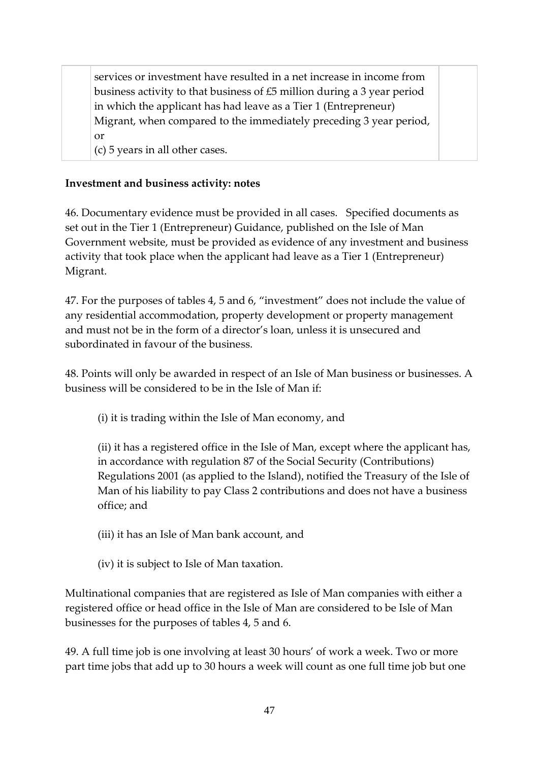services or investment have resulted in a net increase in income from business activity to that business of £5 million during a 3 year period in which the applicant has had leave as a Tier 1 (Entrepreneur) Migrant, when compared to the immediately preceding 3 year period, or

(c) 5 years in all other cases.

### **Investment and business activity: notes**

46. Documentary evidence must be provided in all cases. Specified documents as set out in the Tier 1 (Entrepreneur) Guidance, published on the Isle of Man Government website, must be provided as evidence of any investment and business activity that took place when the applicant had leave as a Tier 1 (Entrepreneur) Migrant.

47. For the purposes of tables 4, 5 and 6, "investment" does not include the value of any residential accommodation, property development or property management and must not be in the form of a director's loan, unless it is unsecured and subordinated in favour of the business.

48. Points will only be awarded in respect of an Isle of Man business or businesses. A business will be considered to be in the Isle of Man if:

(i) it is trading within the Isle of Man economy, and

(ii) it has a registered office in the Isle of Man, except where the applicant has, in accordance with regulation 87 of the Social Security (Contributions) Regulations 2001 (as applied to the Island), notified the Treasury of the Isle of Man of his liability to pay Class 2 contributions and does not have a business office; and

(iii) it has an Isle of Man bank account, and

(iv) it is subject to Isle of Man taxation.

Multinational companies that are registered as Isle of Man companies with either a registered office or head office in the Isle of Man are considered to be Isle of Man businesses for the purposes of tables 4, 5 and 6.

49. A full time job is one involving at least 30 hours' of work a week. Two or more part time jobs that add up to 30 hours a week will count as one full time job but one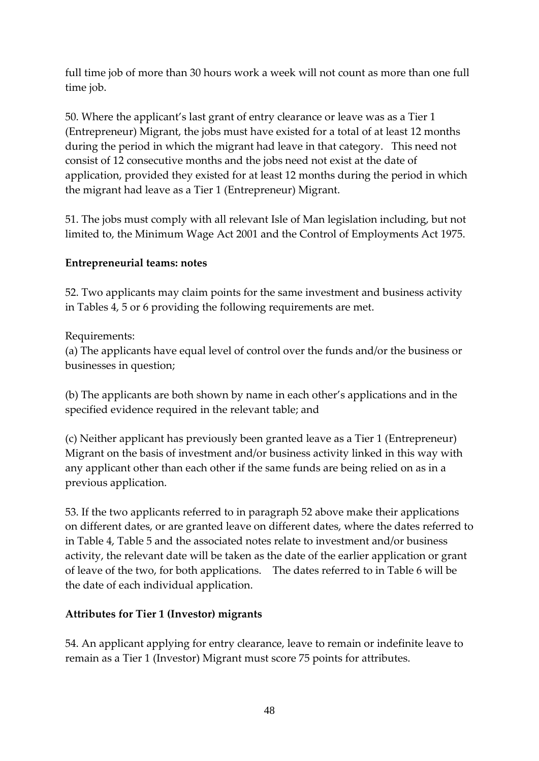full time job of more than 30 hours work a week will not count as more than one full time job.

50. Where the applicant's last grant of entry clearance or leave was as a Tier 1 (Entrepreneur) Migrant, the jobs must have existed for a total of at least 12 months during the period in which the migrant had leave in that category. This need not consist of 12 consecutive months and the jobs need not exist at the date of application, provided they existed for at least 12 months during the period in which the migrant had leave as a Tier 1 (Entrepreneur) Migrant.

51. The jobs must comply with all relevant Isle of Man legislation including, but not limited to, the Minimum Wage Act 2001 and the Control of Employments Act 1975.

### **Entrepreneurial teams: notes**

52. Two applicants may claim points for the same investment and business activity in Tables 4, 5 or 6 providing the following requirements are met.

Requirements:

(a) The applicants have equal level of control over the funds and/or the business or businesses in question;

(b) The applicants are both shown by name in each other's applications and in the specified evidence required in the relevant table; and

(c) Neither applicant has previously been granted leave as a Tier 1 (Entrepreneur) Migrant on the basis of investment and/or business activity linked in this way with any applicant other than each other if the same funds are being relied on as in a previous application.

53. If the two applicants referred to in paragraph 52 above make their applications on different dates, or are granted leave on different dates, where the dates referred to in Table 4, Table 5 and the associated notes relate to investment and/or business activity, the relevant date will be taken as the date of the earlier application or grant of leave of the two, for both applications. The dates referred to in Table 6 will be the date of each individual application.

## **Attributes for Tier 1 (Investor) migrants**

54. An applicant applying for entry clearance, leave to remain or indefinite leave to remain as a Tier 1 (Investor) Migrant must score 75 points for attributes.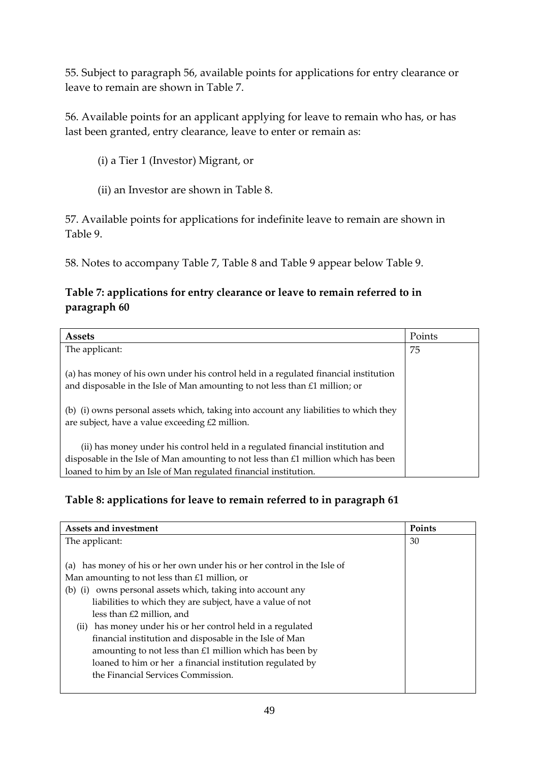55. Subject to paragraph 56, available points for applications for entry clearance or leave to remain are shown in Table 7.

56. Available points for an applicant applying for leave to remain who has, or has last been granted, entry clearance, leave to enter or remain as:

- (i) a Tier 1 (Investor) Migrant, or
- (ii) an Investor are shown in Table 8.

57. Available points for applications for indefinite leave to remain are shown in Table 9.

58. Notes to accompany Table 7, Table 8 and Table 9 appear below Table 9.

## **Table 7: applications for entry clearance or leave to remain referred to in paragraph 60**

| <b>Assets</b>                                                                                                                                                       | Points |
|---------------------------------------------------------------------------------------------------------------------------------------------------------------------|--------|
| The applicant:                                                                                                                                                      | 75     |
| (a) has money of his own under his control held in a regulated financial institution<br>and disposable in the Isle of Man amounting to not less than £1 million; or |        |
| (b) (i) owns personal assets which, taking into account any liabilities to which they<br>are subject, have a value exceeding £2 million.                            |        |
| (ii) has money under his control held in a regulated financial institution and                                                                                      |        |
| disposable in the Isle of Man amounting to not less than £1 million which has been                                                                                  |        |
| loaned to him by an Isle of Man regulated financial institution.                                                                                                    |        |

## **Table 8: applications for leave to remain referred to in paragraph 61**

| Assets and investment                                                      | Points |
|----------------------------------------------------------------------------|--------|
| The applicant:                                                             | 30     |
|                                                                            |        |
| has money of his or her own under his or her control in the Isle of<br>(a) |        |
| Man amounting to not less than £1 million, or                              |        |
| (b) (i) owns personal assets which, taking into account any                |        |
| liabilities to which they are subject, have a value of not                 |        |
| less than £2 million, and                                                  |        |
| (ii) has money under his or her control held in a regulated                |        |
| financial institution and disposable in the Isle of Man                    |        |
| amounting to not less than $£1$ million which has been by                  |        |
| loaned to him or her a financial institution regulated by                  |        |
| the Financial Services Commission.                                         |        |
|                                                                            |        |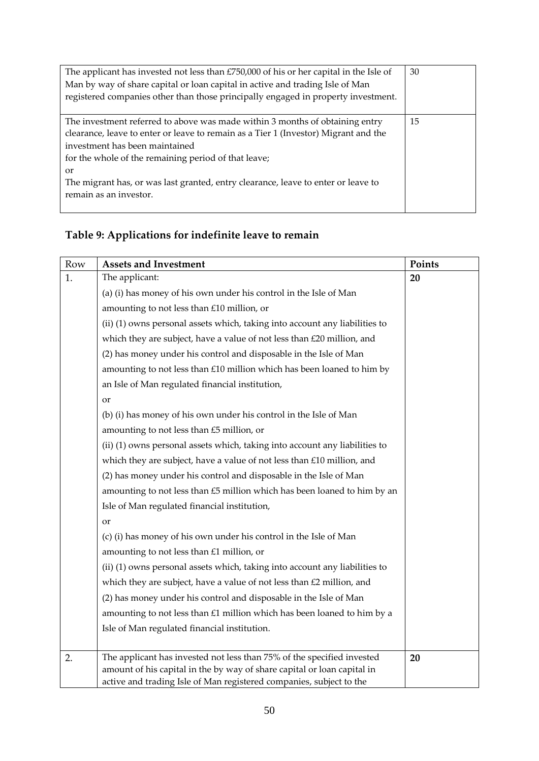| The applicant has invested not less than £750,000 of his or her capital in the Isle of<br>Man by way of share capital or loan capital in active and trading Isle of Man<br>registered companies other than those principally engaged in property investment.                                                                                                                                  | 30 |
|-----------------------------------------------------------------------------------------------------------------------------------------------------------------------------------------------------------------------------------------------------------------------------------------------------------------------------------------------------------------------------------------------|----|
| The investment referred to above was made within 3 months of obtaining entry<br>clearance, leave to enter or leave to remain as a Tier 1 (Investor) Migrant and the<br>investment has been maintained<br>for the whole of the remaining period of that leave;<br><sub>or</sub><br>The migrant has, or was last granted, entry clearance, leave to enter or leave to<br>remain as an investor. | 15 |

# **Table 9: Applications for indefinite leave to remain**

| Row | <b>Assets and Investment</b>                                                                                                                      | Points |
|-----|---------------------------------------------------------------------------------------------------------------------------------------------------|--------|
| 1.  | The applicant:                                                                                                                                    | 20     |
|     | (a) (i) has money of his own under his control in the Isle of Man                                                                                 |        |
|     | amounting to not less than £10 million, or                                                                                                        |        |
|     | (ii) (1) owns personal assets which, taking into account any liabilities to                                                                       |        |
|     | which they are subject, have a value of not less than £20 million, and                                                                            |        |
|     | (2) has money under his control and disposable in the Isle of Man                                                                                 |        |
|     | amounting to not less than £10 million which has been loaned to him by                                                                            |        |
|     | an Isle of Man regulated financial institution,                                                                                                   |        |
|     | or                                                                                                                                                |        |
|     | (b) (i) has money of his own under his control in the Isle of Man                                                                                 |        |
|     | amounting to not less than £5 million, or                                                                                                         |        |
|     | (ii) (1) owns personal assets which, taking into account any liabilities to                                                                       |        |
|     | which they are subject, have a value of not less than £10 million, and                                                                            |        |
|     | (2) has money under his control and disposable in the Isle of Man                                                                                 |        |
|     | amounting to not less than £5 million which has been loaned to him by an                                                                          |        |
|     | Isle of Man regulated financial institution,                                                                                                      |        |
|     | or                                                                                                                                                |        |
|     | (c) (i) has money of his own under his control in the Isle of Man                                                                                 |        |
|     | amounting to not less than £1 million, or                                                                                                         |        |
|     | (ii) (1) owns personal assets which, taking into account any liabilities to                                                                       |        |
|     | which they are subject, have a value of not less than £2 million, and                                                                             |        |
|     | (2) has money under his control and disposable in the Isle of Man                                                                                 |        |
|     | amounting to not less than £1 million which has been loaned to him by a                                                                           |        |
|     | Isle of Man regulated financial institution.                                                                                                      |        |
|     |                                                                                                                                                   |        |
| 2.  | The applicant has invested not less than 75% of the specified invested<br>amount of his capital in the by way of share capital or loan capital in | 20     |
|     | active and trading Isle of Man registered companies, subject to the                                                                               |        |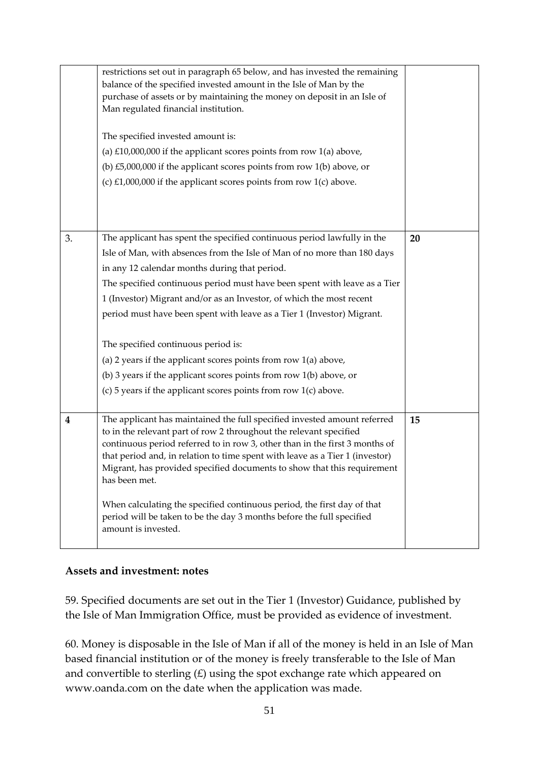|                  | restrictions set out in paragraph 65 below, and has invested the remaining<br>balance of the specified invested amount in the Isle of Man by the<br>purchase of assets or by maintaining the money on deposit in an Isle of<br>Man regulated financial institution.<br>The specified invested amount is:<br>(a) $£10,000,000$ if the applicant scores points from row $1(a)$ above,<br>(b) $£5,000,000$ if the applicant scores points from row $1(b)$ above, or<br>(c) $£1,000,000$ if the applicant scores points from row $1(c)$ above.                                                                                                                                                   |    |
|------------------|----------------------------------------------------------------------------------------------------------------------------------------------------------------------------------------------------------------------------------------------------------------------------------------------------------------------------------------------------------------------------------------------------------------------------------------------------------------------------------------------------------------------------------------------------------------------------------------------------------------------------------------------------------------------------------------------|----|
| 3.               | The applicant has spent the specified continuous period lawfully in the<br>Isle of Man, with absences from the Isle of Man of no more than 180 days<br>in any 12 calendar months during that period.<br>The specified continuous period must have been spent with leave as a Tier<br>1 (Investor) Migrant and/or as an Investor, of which the most recent<br>period must have been spent with leave as a Tier 1 (Investor) Migrant.<br>The specified continuous period is:<br>(a) 2 years if the applicant scores points from row 1(a) above,<br>(b) 3 years if the applicant scores points from row $1(b)$ above, or<br>(c) $5$ years if the applicant scores points from row $1(c)$ above. | 20 |
| $\boldsymbol{4}$ | The applicant has maintained the full specified invested amount referred<br>to in the relevant part of row 2 throughout the relevant specified<br>continuous period referred to in row 3, other than in the first 3 months of<br>that period and, in relation to time spent with leave as a Tier 1 (investor)<br>Migrant, has provided specified documents to show that this requirement<br>has been met.<br>When calculating the specified continuous period, the first day of that<br>period will be taken to be the day 3 months before the full specified<br>amount is invested.                                                                                                         | 15 |

### **Assets and investment: notes**

59. Specified documents are set out in the Tier 1 (Investor) Guidance, published by the Isle of Man Immigration Office, must be provided as evidence of investment.

60. Money is disposable in the Isle of Man if all of the money is held in an Isle of Man based financial institution or of the money is freely transferable to the Isle of Man and convertible to sterling  $(E)$  using the spot exchange rate which appeared on www.oanda.com on the date when the application was made.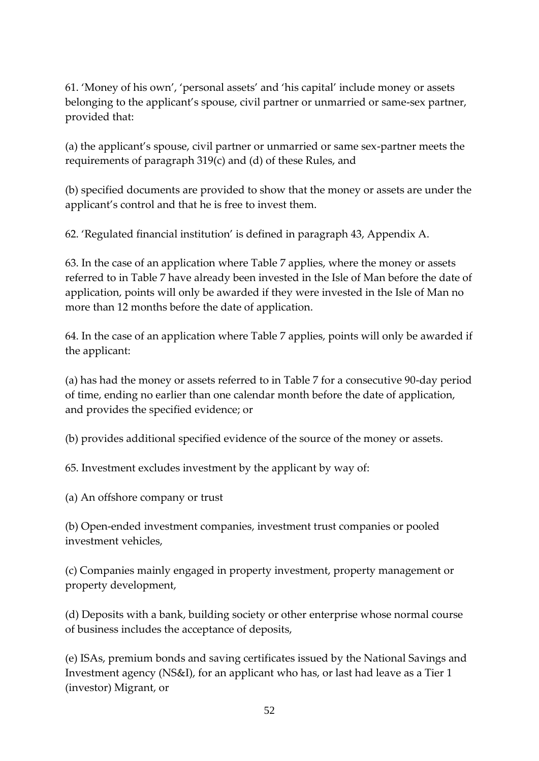61. 'Money of his own', 'personal assets' and 'his capital' include money or assets belonging to the applicant's spouse, civil partner or unmarried or same-sex partner, provided that:

(a) the applicant's spouse, civil partner or unmarried or same sex-partner meets the requirements of paragraph 319(c) and (d) of these Rules, and

(b) specified documents are provided to show that the money or assets are under the applicant's control and that he is free to invest them.

62. 'Regulated financial institution' is defined in paragraph 43, Appendix A.

63. In the case of an application where Table 7 applies, where the money or assets referred to in Table 7 have already been invested in the Isle of Man before the date of application, points will only be awarded if they were invested in the Isle of Man no more than 12 months before the date of application.

64. In the case of an application where Table 7 applies, points will only be awarded if the applicant:

(a) has had the money or assets referred to in Table 7 for a consecutive 90-day period of time, ending no earlier than one calendar month before the date of application, and provides the specified evidence; or

(b) provides additional specified evidence of the source of the money or assets.

65. Investment excludes investment by the applicant by way of:

(a) An offshore company or trust

(b) Open-ended investment companies, investment trust companies or pooled investment vehicles,

(c) Companies mainly engaged in property investment, property management or property development,

(d) Deposits with a bank, building society or other enterprise whose normal course of business includes the acceptance of deposits,

(e) ISAs, premium bonds and saving certificates issued by the National Savings and Investment agency (NS&I), for an applicant who has, or last had leave as a Tier 1 (investor) Migrant, or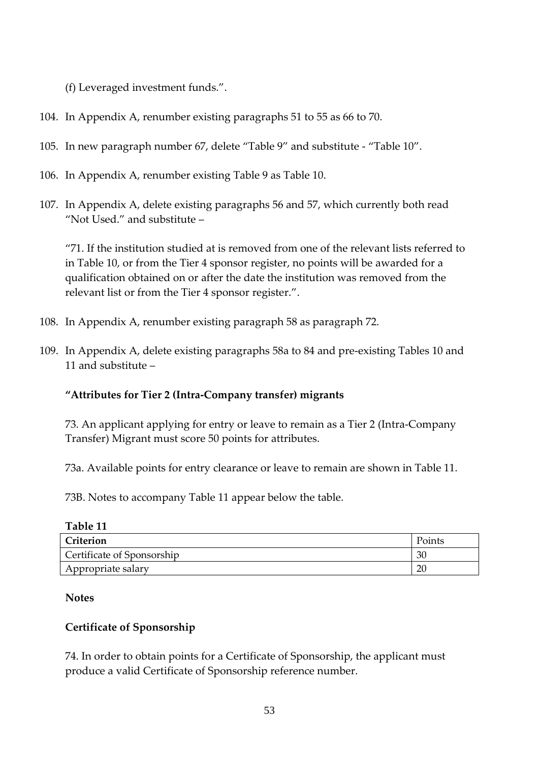(f) Leveraged investment funds.".

- 104. In Appendix A, renumber existing paragraphs 51 to 55 as 66 to 70.
- 105. In new paragraph number 67, delete "Table 9" and substitute "Table 10".
- 106. In Appendix A, renumber existing Table 9 as Table 10.
- 107. In Appendix A, delete existing paragraphs 56 and 57, which currently both read "Not Used." and substitute –

"71. If the institution studied at is removed from one of the relevant lists referred to in Table 10, or from the Tier 4 sponsor register, no points will be awarded for a qualification obtained on or after the date the institution was removed from the relevant list or from the Tier 4 sponsor register.".

- 108. In Appendix A, renumber existing paragraph 58 as paragraph 72.
- 109. In Appendix A, delete existing paragraphs 58a to 84 and pre-existing Tables 10 and 11 and substitute –

## **"Attributes for Tier 2 (Intra-Company transfer) migrants**

73. An applicant applying for entry or leave to remain as a Tier 2 (Intra-Company Transfer) Migrant must score 50 points for attributes.

73a. Available points for entry clearance or leave to remain are shown in Table 11.

73B. Notes to accompany Table 11 appear below the table.

| Table 11 |  |
|----------|--|
|----------|--|

| Criterion                  | Points         |
|----------------------------|----------------|
| Certificate of Sponsorship | 3 <sub>0</sub> |
| Appropriate salary         | 20             |

**Notes**

## **Certificate of Sponsorship**

74. In order to obtain points for a Certificate of Sponsorship, the applicant must produce a valid Certificate of Sponsorship reference number.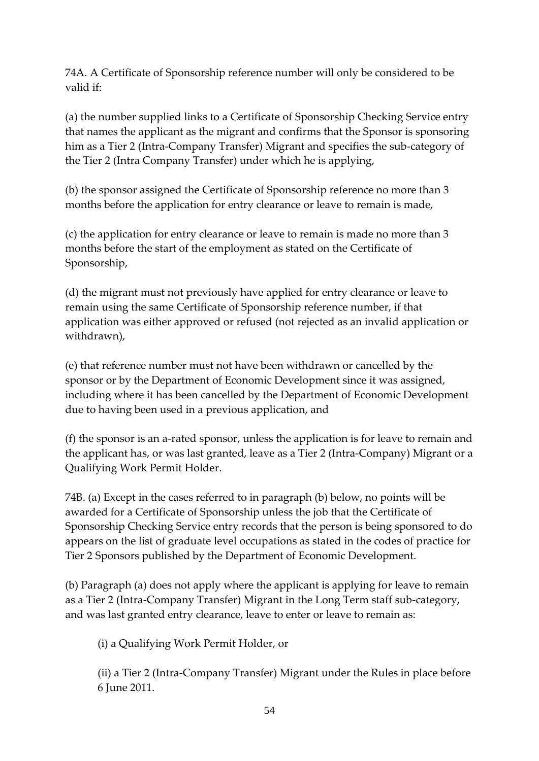74A. A Certificate of Sponsorship reference number will only be considered to be valid if:

(a) the number supplied links to a Certificate of Sponsorship Checking Service entry that names the applicant as the migrant and confirms that the Sponsor is sponsoring him as a Tier 2 (Intra-Company Transfer) Migrant and specifies the sub-category of the Tier 2 (Intra Company Transfer) under which he is applying,

(b) the sponsor assigned the Certificate of Sponsorship reference no more than 3 months before the application for entry clearance or leave to remain is made,

(c) the application for entry clearance or leave to remain is made no more than 3 months before the start of the employment as stated on the Certificate of Sponsorship,

(d) the migrant must not previously have applied for entry clearance or leave to remain using the same Certificate of Sponsorship reference number, if that application was either approved or refused (not rejected as an invalid application or withdrawn),

(e) that reference number must not have been withdrawn or cancelled by the sponsor or by the Department of Economic Development since it was assigned, including where it has been cancelled by the Department of Economic Development due to having been used in a previous application, and

(f) the sponsor is an a-rated sponsor, unless the application is for leave to remain and the applicant has, or was last granted, leave as a Tier 2 (Intra-Company) Migrant or a Qualifying Work Permit Holder.

74B. (a) Except in the cases referred to in paragraph (b) below, no points will be awarded for a Certificate of Sponsorship unless the job that the Certificate of Sponsorship Checking Service entry records that the person is being sponsored to do appears on the list of graduate level occupations as stated in the codes of practice for Tier 2 Sponsors published by the Department of Economic Development.

(b) Paragraph (a) does not apply where the applicant is applying for leave to remain as a Tier 2 (Intra-Company Transfer) Migrant in the Long Term staff sub-category, and was last granted entry clearance, leave to enter or leave to remain as:

(i) a Qualifying Work Permit Holder, or

(ii) a Tier 2 (Intra-Company Transfer) Migrant under the Rules in place before 6 June 2011.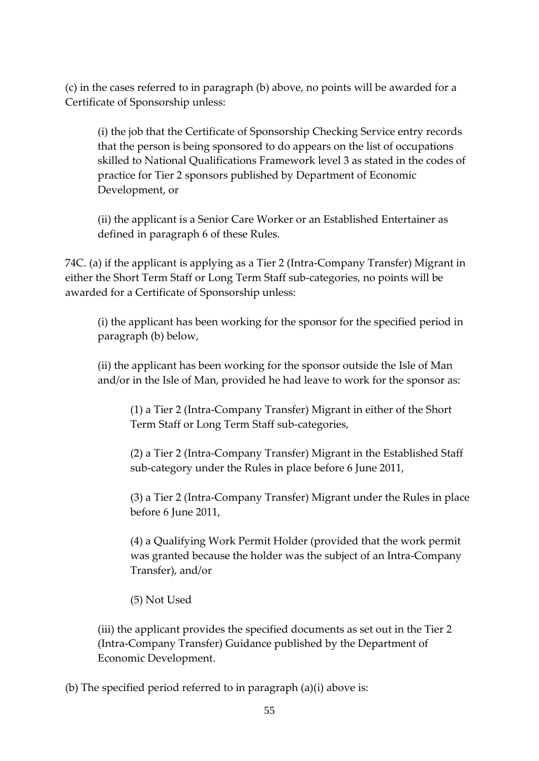(c) in the cases referred to in paragraph (b) above, no points will be awarded for a Certificate of Sponsorship unless:

(i) the job that the Certificate of Sponsorship Checking Service entry records that the person is being sponsored to do appears on the list of occupations skilled to National Qualifications Framework level 3 as stated in the codes of practice for Tier 2 sponsors published by Department of Economic Development, or

(ii) the applicant is a Senior Care Worker or an Established Entertainer as defined in paragraph 6 of these Rules.

74C. (a) if the applicant is applying as a Tier 2 (Intra-Company Transfer) Migrant in either the Short Term Staff or Long Term Staff sub-categories, no points will be awarded for a Certificate of Sponsorship unless:

(i) the applicant has been working for the sponsor for the specified period in paragraph (b) below,

(ii) the applicant has been working for the sponsor outside the Isle of Man and/or in the Isle of Man, provided he had leave to work for the sponsor as:

(1) a Tier 2 (Intra-Company Transfer) Migrant in either of the Short Term Staff or Long Term Staff sub-categories,

(2) a Tier 2 (Intra-Company Transfer) Migrant in the Established Staff sub-category under the Rules in place before 6 June 2011,

(3) a Tier 2 (Intra-Company Transfer) Migrant under the Rules in place before 6 June 2011,

(4) a Qualifying Work Permit Holder (provided that the work permit was granted because the holder was the subject of an Intra-Company Transfer), and/or

(5) Not Used

(iii) the applicant provides the specified documents as set out in the Tier 2 (Intra-Company Transfer) Guidance published by the Department of Economic Development.

(b) The specified period referred to in paragraph (a)(i) above is: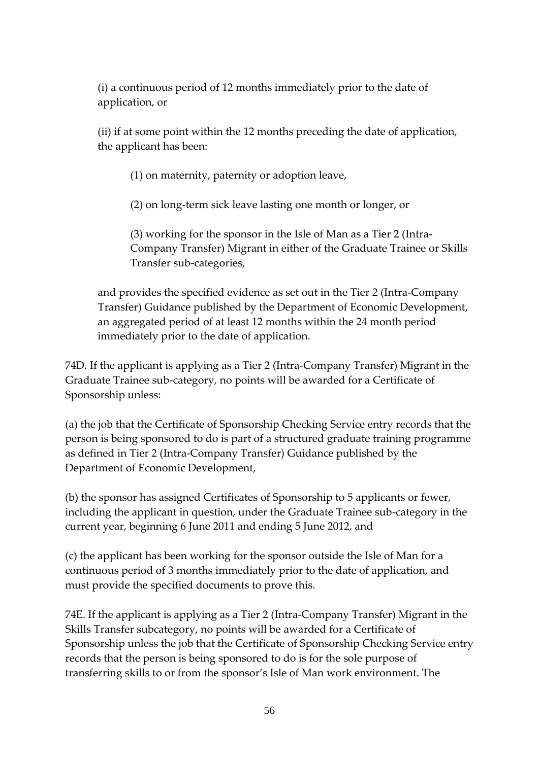(i) a continuous period of 12 months immediately prior to the date of application, or

(ii) if at some point within the 12 months preceding the date of application, the applicant has been:

(1) on maternity, paternity or adoption leave,

(2) on long-term sick leave lasting one month or longer, or

(3) working for the sponsor in the Isle of Man as a Tier 2 (Intra-Company Transfer) Migrant in either of the Graduate Trainee or Skills Transfer sub-categories,

and provides the specified evidence as set out in the Tier 2 (Intra-Company Transfer) Guidance published by the Department of Economic Development, an aggregated period of at least 12 months within the 24 month period immediately prior to the date of application.

74D. If the applicant is applying as a Tier 2 (Intra-Company Transfer) Migrant in the Graduate Trainee sub-category, no points will be awarded for a Certificate of Sponsorship unless:

(a) the job that the Certificate of Sponsorship Checking Service entry records that the person is being sponsored to do is part of a structured graduate training programme as defined in Tier 2 (Intra-Company Transfer) Guidance published by the Department of Economic Development,

(b) the sponsor has assigned Certificates of Sponsorship to 5 applicants or fewer, including the applicant in question, under the Graduate Trainee sub-category in the current year, beginning 6 June 2011 and ending 5 June 2012, and

(c) the applicant has been working for the sponsor outside the Isle of Man for a continuous period of 3 months immediately prior to the date of application, and must provide the specified documents to prove this.

74E. If the applicant is applying as a Tier 2 (Intra-Company Transfer) Migrant in the Skills Transfer subcategory, no points will be awarded for a Certificate of Sponsorship unless the job that the Certificate of Sponsorship Checking Service entry records that the person is being sponsored to do is for the sole purpose of transferring skills to or from the sponsor's Isle of Man work environment. The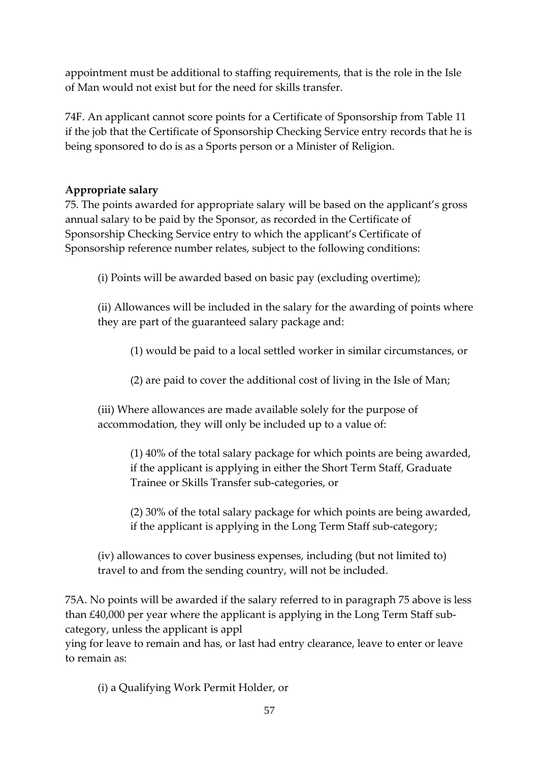appointment must be additional to staffing requirements, that is the role in the Isle of Man would not exist but for the need for skills transfer.

74F. An applicant cannot score points for a Certificate of Sponsorship from Table 11 if the job that the Certificate of Sponsorship Checking Service entry records that he is being sponsored to do is as a Sports person or a Minister of Religion.

## **Appropriate salary**

75. The points awarded for appropriate salary will be based on the applicant's gross annual salary to be paid by the Sponsor, as recorded in the Certificate of Sponsorship Checking Service entry to which the applicant's Certificate of Sponsorship reference number relates, subject to the following conditions:

(i) Points will be awarded based on basic pay (excluding overtime);

(ii) Allowances will be included in the salary for the awarding of points where they are part of the guaranteed salary package and:

(1) would be paid to a local settled worker in similar circumstances, or

(2) are paid to cover the additional cost of living in the Isle of Man;

(iii) Where allowances are made available solely for the purpose of accommodation, they will only be included up to a value of:

(1) 40% of the total salary package for which points are being awarded, if the applicant is applying in either the Short Term Staff, Graduate Trainee or Skills Transfer sub-categories, or

(2) 30% of the total salary package for which points are being awarded, if the applicant is applying in the Long Term Staff sub-category;

(iv) allowances to cover business expenses, including (but not limited to) travel to and from the sending country, will not be included.

75A. No points will be awarded if the salary referred to in paragraph 75 above is less than £40,000 per year where the applicant is applying in the Long Term Staff subcategory, unless the applicant is appl

ying for leave to remain and has, or last had entry clearance, leave to enter or leave to remain as:

(i) a Qualifying Work Permit Holder, or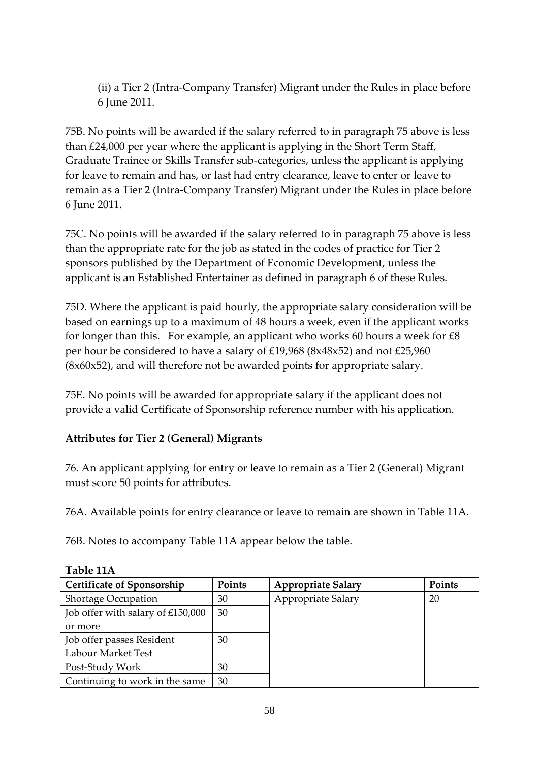(ii) a Tier 2 (Intra-Company Transfer) Migrant under the Rules in place before 6 June 2011.

75B. No points will be awarded if the salary referred to in paragraph 75 above is less than £24,000 per year where the applicant is applying in the Short Term Staff, Graduate Trainee or Skills Transfer sub-categories, unless the applicant is applying for leave to remain and has, or last had entry clearance, leave to enter or leave to remain as a Tier 2 (Intra-Company Transfer) Migrant under the Rules in place before 6 June 2011.

75C. No points will be awarded if the salary referred to in paragraph 75 above is less than the appropriate rate for the job as stated in the codes of practice for Tier 2 sponsors published by the Department of Economic Development, unless the applicant is an Established Entertainer as defined in paragraph 6 of these Rules.

75D. Where the applicant is paid hourly, the appropriate salary consideration will be based on earnings up to a maximum of 48 hours a week, even if the applicant works for longer than this. For example, an applicant who works 60 hours a week for  $\text{\pounds}8$ per hour be considered to have a salary of £19,968 (8x48x52) and not £25,960 (8x60x52), and will therefore not be awarded points for appropriate salary.

75E. No points will be awarded for appropriate salary if the applicant does not provide a valid Certificate of Sponsorship reference number with his application.

## **Attributes for Tier 2 (General) Migrants**

76. An applicant applying for entry or leave to remain as a Tier 2 (General) Migrant must score 50 points for attributes.

76A. Available points for entry clearance or leave to remain are shown in Table 11A.

76B. Notes to accompany Table 11A appear below the table.

| <b>Certificate of Sponsorship</b> | Points | <b>Appropriate Salary</b> | Points |
|-----------------------------------|--------|---------------------------|--------|
| Shortage Occupation               | 30     | Appropriate Salary        | 20     |
| Job offer with salary of £150,000 | 30     |                           |        |
| or more                           |        |                           |        |
| Job offer passes Resident         | 30     |                           |        |
| Labour Market Test                |        |                           |        |
| Post-Study Work                   | 30     |                           |        |
| Continuing to work in the same    | 30     |                           |        |

#### **Table 11A**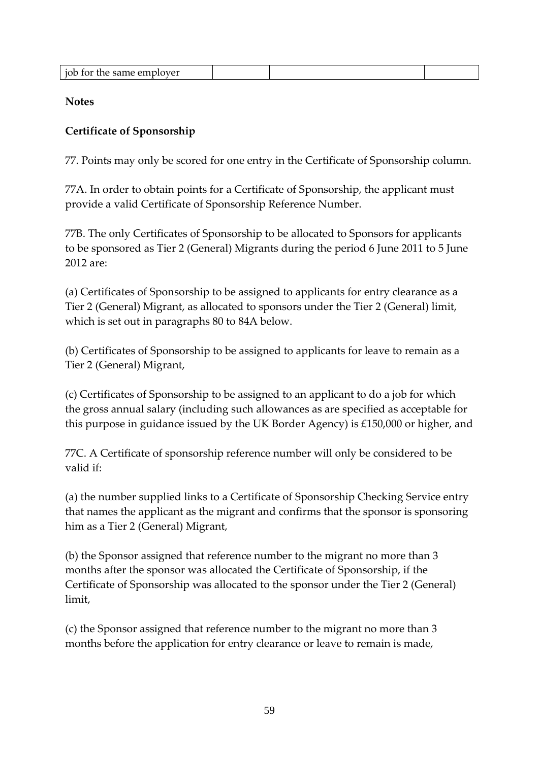| . .<br>job for the same employer |
|----------------------------------|
|----------------------------------|

**Notes**

## **Certificate of Sponsorship**

77. Points may only be scored for one entry in the Certificate of Sponsorship column.

77A. In order to obtain points for a Certificate of Sponsorship, the applicant must provide a valid Certificate of Sponsorship Reference Number.

77B. The only Certificates of Sponsorship to be allocated to Sponsors for applicants to be sponsored as Tier 2 (General) Migrants during the period 6 June 2011 to 5 June 2012 are:

(a) Certificates of Sponsorship to be assigned to applicants for entry clearance as a Tier 2 (General) Migrant, as allocated to sponsors under the Tier 2 (General) limit, which is set out in paragraphs 80 to 84A below.

(b) Certificates of Sponsorship to be assigned to applicants for leave to remain as a Tier 2 (General) Migrant,

(c) Certificates of Sponsorship to be assigned to an applicant to do a job for which the gross annual salary (including such allowances as are specified as acceptable for this purpose in guidance issued by the UK Border Agency) is £150,000 or higher, and

77C. A Certificate of sponsorship reference number will only be considered to be valid if:

(a) the number supplied links to a Certificate of Sponsorship Checking Service entry that names the applicant as the migrant and confirms that the sponsor is sponsoring him as a Tier 2 (General) Migrant,

(b) the Sponsor assigned that reference number to the migrant no more than 3 months after the sponsor was allocated the Certificate of Sponsorship, if the Certificate of Sponsorship was allocated to the sponsor under the Tier 2 (General) limit,

(c) the Sponsor assigned that reference number to the migrant no more than 3 months before the application for entry clearance or leave to remain is made,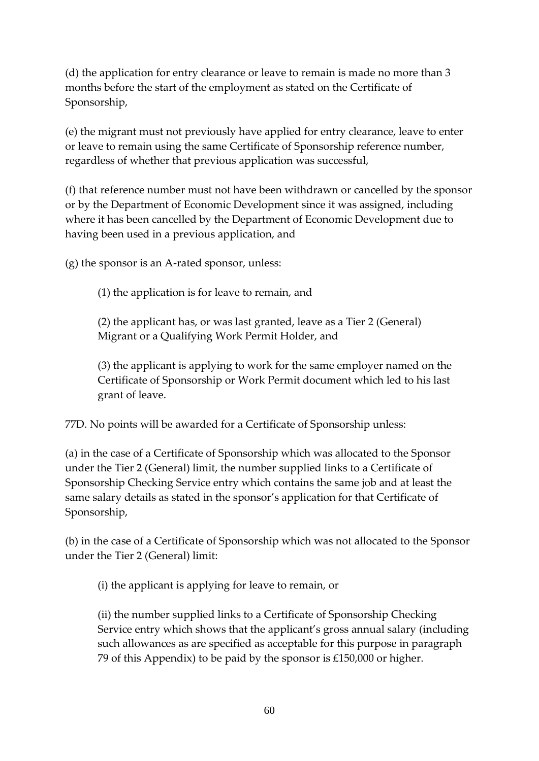(d) the application for entry clearance or leave to remain is made no more than 3 months before the start of the employment as stated on the Certificate of Sponsorship,

(e) the migrant must not previously have applied for entry clearance, leave to enter or leave to remain using the same Certificate of Sponsorship reference number, regardless of whether that previous application was successful,

(f) that reference number must not have been withdrawn or cancelled by the sponsor or by the Department of Economic Development since it was assigned, including where it has been cancelled by the Department of Economic Development due to having been used in a previous application, and

(g) the sponsor is an A-rated sponsor, unless:

(1) the application is for leave to remain, and

(2) the applicant has, or was last granted, leave as a Tier 2 (General) Migrant or a Qualifying Work Permit Holder, and

(3) the applicant is applying to work for the same employer named on the Certificate of Sponsorship or Work Permit document which led to his last grant of leave.

77D. No points will be awarded for a Certificate of Sponsorship unless:

(a) in the case of a Certificate of Sponsorship which was allocated to the Sponsor under the Tier 2 (General) limit, the number supplied links to a Certificate of Sponsorship Checking Service entry which contains the same job and at least the same salary details as stated in the sponsor's application for that Certificate of Sponsorship,

(b) in the case of a Certificate of Sponsorship which was not allocated to the Sponsor under the Tier 2 (General) limit:

(i) the applicant is applying for leave to remain, or

(ii) the number supplied links to a Certificate of Sponsorship Checking Service entry which shows that the applicant's gross annual salary (including such allowances as are specified as acceptable for this purpose in paragraph 79 of this Appendix) to be paid by the sponsor is £150,000 or higher.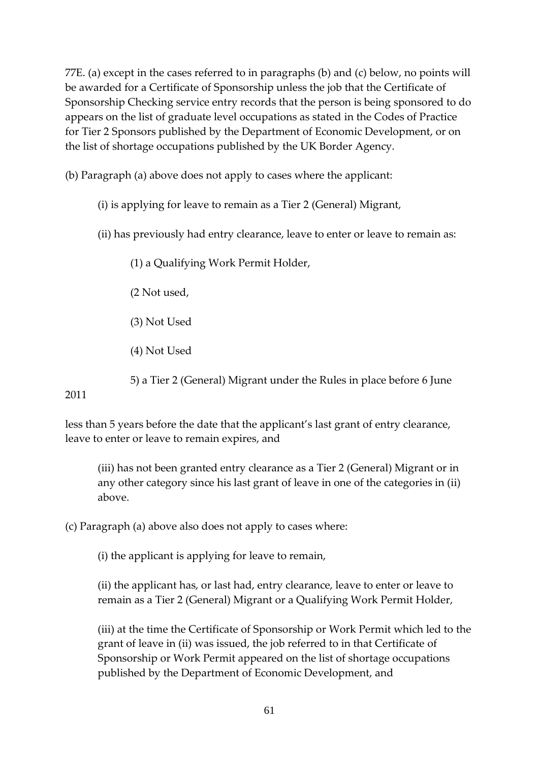77E. (a) except in the cases referred to in paragraphs (b) and (c) below, no points will be awarded for a Certificate of Sponsorship unless the job that the Certificate of Sponsorship Checking service entry records that the person is being sponsored to do appears on the list of graduate level occupations as stated in the Codes of Practice for Tier 2 Sponsors published by the Department of Economic Development, or on the list of shortage occupations published by the UK Border Agency.

(b) Paragraph (a) above does not apply to cases where the applicant:

- (i) is applying for leave to remain as a Tier 2 (General) Migrant,
- (ii) has previously had entry clearance, leave to enter or leave to remain as:

(1) a Qualifying Work Permit Holder,

(2 Not used,

(3) Not Used

(4) Not Used

5) a Tier 2 (General) Migrant under the Rules in place before 6 June

2011

less than 5 years before the date that the applicant's last grant of entry clearance, leave to enter or leave to remain expires, and

(iii) has not been granted entry clearance as a Tier 2 (General) Migrant or in any other category since his last grant of leave in one of the categories in (ii) above.

(c) Paragraph (a) above also does not apply to cases where:

(i) the applicant is applying for leave to remain,

(ii) the applicant has, or last had, entry clearance, leave to enter or leave to remain as a Tier 2 (General) Migrant or a Qualifying Work Permit Holder,

(iii) at the time the Certificate of Sponsorship or Work Permit which led to the grant of leave in (ii) was issued, the job referred to in that Certificate of Sponsorship or Work Permit appeared on the list of shortage occupations published by the Department of Economic Development, and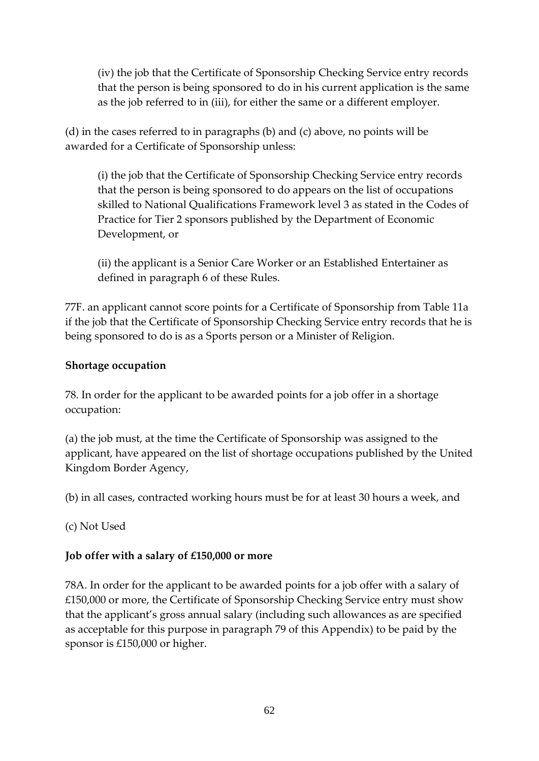(iv) the job that the Certificate of Sponsorship Checking Service entry records that the person is being sponsored to do in his current application is the same as the job referred to in (iii), for either the same or a different employer.

(d) in the cases referred to in paragraphs (b) and (c) above, no points will be awarded for a Certificate of Sponsorship unless:

(i) the job that the Certificate of Sponsorship Checking Service entry records that the person is being sponsored to do appears on the list of occupations skilled to National Qualifications Framework level 3 as stated in the Codes of Practice for Tier 2 sponsors published by the Department of Economic Development, or

(ii) the applicant is a Senior Care Worker or an Established Entertainer as defined in paragraph 6 of these Rules.

77F. an applicant cannot score points for a Certificate of Sponsorship from Table 11a if the job that the Certificate of Sponsorship Checking Service entry records that he is being sponsored to do is as a Sports person or a Minister of Religion.

### **Shortage occupation**

78. In order for the applicant to be awarded points for a job offer in a shortage occupation:

(a) the job must, at the time the Certificate of Sponsorship was assigned to the applicant, have appeared on the list of shortage occupations published by the United Kingdom Border Agency,

(b) in all cases, contracted working hours must be for at least 30 hours a week, and

(c) Not Used

### **Job offer with a salary of £150,000 or more**

78A. In order for the applicant to be awarded points for a job offer with a salary of £150,000 or more, the Certificate of Sponsorship Checking Service entry must show that the applicant's gross annual salary (including such allowances as are specified as acceptable for this purpose in paragraph 79 of this Appendix) to be paid by the sponsor is £150,000 or higher.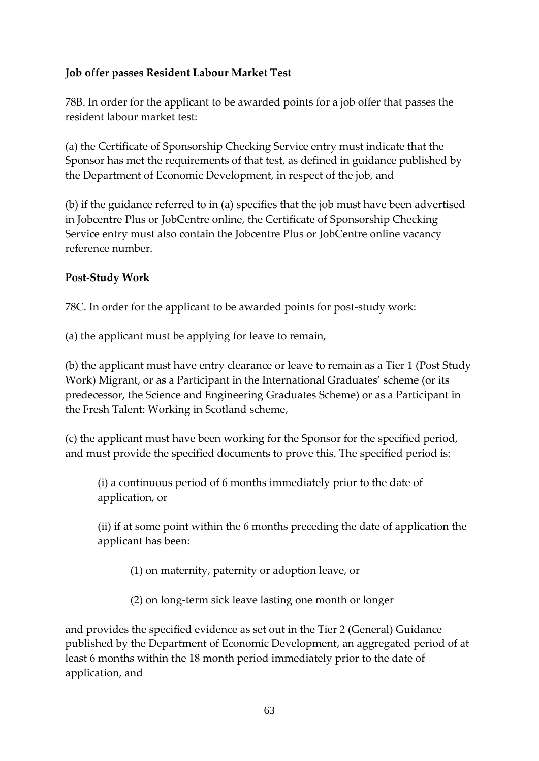## **Job offer passes Resident Labour Market Test**

78B. In order for the applicant to be awarded points for a job offer that passes the resident labour market test:

(a) the Certificate of Sponsorship Checking Service entry must indicate that the Sponsor has met the requirements of that test, as defined in guidance published by the Department of Economic Development, in respect of the job, and

(b) if the guidance referred to in (a) specifies that the job must have been advertised in Jobcentre Plus or JobCentre online, the Certificate of Sponsorship Checking Service entry must also contain the Jobcentre Plus or JobCentre online vacancy reference number.

### **Post-Study Work**

78C. In order for the applicant to be awarded points for post-study work:

(a) the applicant must be applying for leave to remain,

(b) the applicant must have entry clearance or leave to remain as a Tier 1 (Post Study Work) Migrant, or as a Participant in the International Graduates' scheme (or its predecessor, the Science and Engineering Graduates Scheme) or as a Participant in the Fresh Talent: Working in Scotland scheme,

(c) the applicant must have been working for the Sponsor for the specified period, and must provide the specified documents to prove this. The specified period is:

(i) a continuous period of 6 months immediately prior to the date of application, or

(ii) if at some point within the 6 months preceding the date of application the applicant has been:

(1) on maternity, paternity or adoption leave, or

(2) on long-term sick leave lasting one month or longer

and provides the specified evidence as set out in the Tier 2 (General) Guidance published by the Department of Economic Development, an aggregated period of at least 6 months within the 18 month period immediately prior to the date of application, and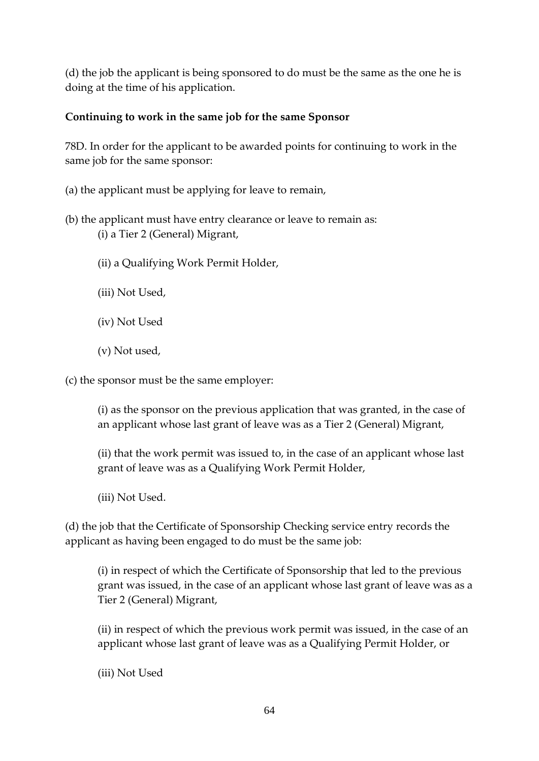(d) the job the applicant is being sponsored to do must be the same as the one he is doing at the time of his application.

### **Continuing to work in the same job for the same Sponsor**

78D. In order for the applicant to be awarded points for continuing to work in the same job for the same sponsor:

(a) the applicant must be applying for leave to remain,

- (b) the applicant must have entry clearance or leave to remain as: (i) a Tier 2 (General) Migrant,
	- (ii) a Qualifying Work Permit Holder,
	- (iii) Not Used,
	- (iv) Not Used
	- (v) Not used,

(c) the sponsor must be the same employer:

(i) as the sponsor on the previous application that was granted, in the case of an applicant whose last grant of leave was as a Tier 2 (General) Migrant,

(ii) that the work permit was issued to, in the case of an applicant whose last grant of leave was as a Qualifying Work Permit Holder,

(iii) Not Used.

(d) the job that the Certificate of Sponsorship Checking service entry records the applicant as having been engaged to do must be the same job:

(i) in respect of which the Certificate of Sponsorship that led to the previous grant was issued, in the case of an applicant whose last grant of leave was as a Tier 2 (General) Migrant,

(ii) in respect of which the previous work permit was issued, in the case of an applicant whose last grant of leave was as a Qualifying Permit Holder, or

(iii) Not Used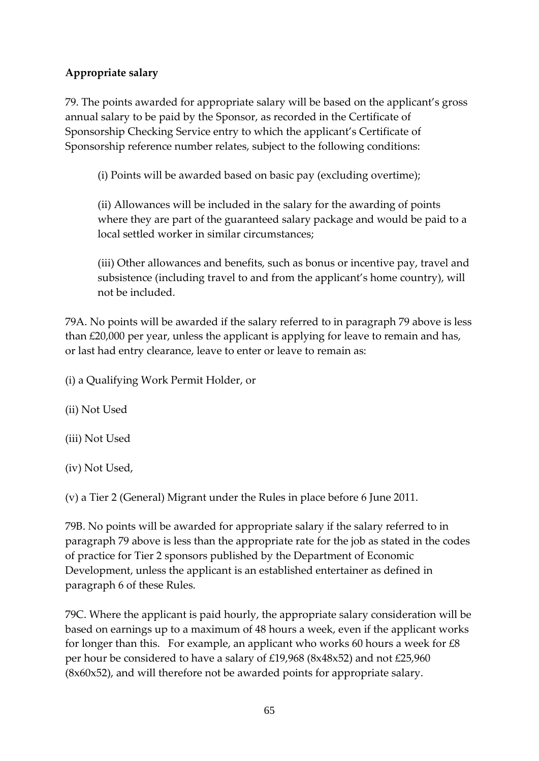## **Appropriate salary**

79. The points awarded for appropriate salary will be based on the applicant's gross annual salary to be paid by the Sponsor, as recorded in the Certificate of Sponsorship Checking Service entry to which the applicant's Certificate of Sponsorship reference number relates, subject to the following conditions:

(i) Points will be awarded based on basic pay (excluding overtime);

(ii) Allowances will be included in the salary for the awarding of points where they are part of the guaranteed salary package and would be paid to a local settled worker in similar circumstances;

(iii) Other allowances and benefits, such as bonus or incentive pay, travel and subsistence (including travel to and from the applicant's home country), will not be included.

79A. No points will be awarded if the salary referred to in paragraph 79 above is less than £20,000 per year, unless the applicant is applying for leave to remain and has, or last had entry clearance, leave to enter or leave to remain as:

(i) a Qualifying Work Permit Holder, or

(ii) Not Used

(iii) Not Used

(iv) Not Used,

(v) a Tier 2 (General) Migrant under the Rules in place before 6 June 2011.

79B. No points will be awarded for appropriate salary if the salary referred to in paragraph 79 above is less than the appropriate rate for the job as stated in the codes of practice for Tier 2 sponsors published by the Department of Economic Development, unless the applicant is an established entertainer as defined in paragraph 6 of these Rules.

79C. Where the applicant is paid hourly, the appropriate salary consideration will be based on earnings up to a maximum of 48 hours a week, even if the applicant works for longer than this. For example, an applicant who works 60 hours a week for  $\text{\pounds}8$ per hour be considered to have a salary of £19,968 (8x48x52) and not £25,960 (8x60x52), and will therefore not be awarded points for appropriate salary.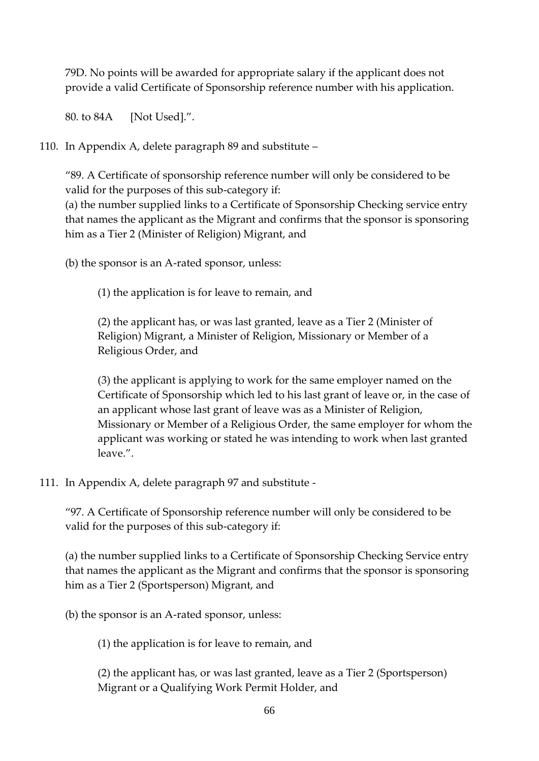79D. No points will be awarded for appropriate salary if the applicant does not provide a valid Certificate of Sponsorship reference number with his application.

80. to 84A [Not Used].".

110. In Appendix A, delete paragraph 89 and substitute –

"89. A Certificate of sponsorship reference number will only be considered to be valid for the purposes of this sub-category if:

(a) the number supplied links to a Certificate of Sponsorship Checking service entry that names the applicant as the Migrant and confirms that the sponsor is sponsoring him as a Tier 2 (Minister of Religion) Migrant, and

(b) the sponsor is an A-rated sponsor, unless:

(1) the application is for leave to remain, and

(2) the applicant has, or was last granted, leave as a Tier 2 (Minister of Religion) Migrant, a Minister of Religion, Missionary or Member of a Religious Order, and

(3) the applicant is applying to work for the same employer named on the Certificate of Sponsorship which led to his last grant of leave or, in the case of an applicant whose last grant of leave was as a Minister of Religion, Missionary or Member of a Religious Order, the same employer for whom the applicant was working or stated he was intending to work when last granted leave.".

#### 111. In Appendix A, delete paragraph 97 and substitute -

"97. A Certificate of Sponsorship reference number will only be considered to be valid for the purposes of this sub-category if:

(a) the number supplied links to a Certificate of Sponsorship Checking Service entry that names the applicant as the Migrant and confirms that the sponsor is sponsoring him as a Tier 2 (Sportsperson) Migrant, and

(b) the sponsor is an A-rated sponsor, unless:

(1) the application is for leave to remain, and

(2) the applicant has, or was last granted, leave as a Tier 2 (Sportsperson) Migrant or a Qualifying Work Permit Holder, and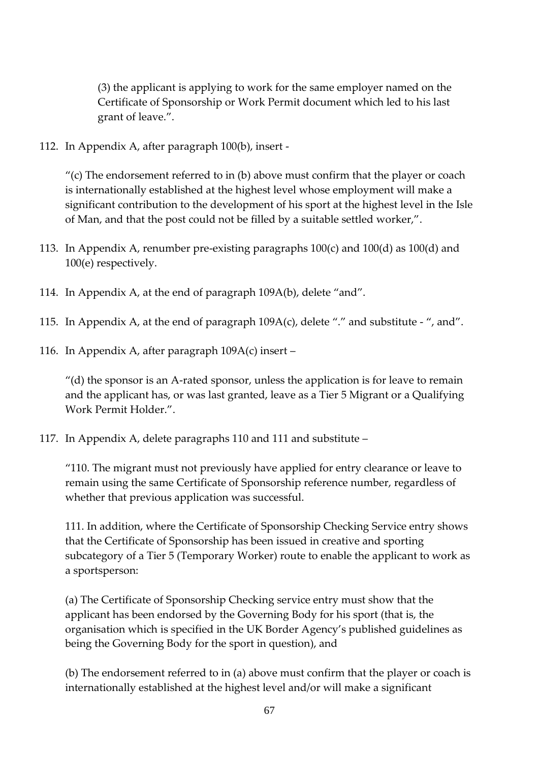(3) the applicant is applying to work for the same employer named on the Certificate of Sponsorship or Work Permit document which led to his last grant of leave.".

112. In Appendix A, after paragraph 100(b), insert -

"(c) The endorsement referred to in  $(b)$  above must confirm that the player or coach is internationally established at the highest level whose employment will make a significant contribution to the development of his sport at the highest level in the Isle of Man, and that the post could not be filled by a suitable settled worker,".

- 113. In Appendix A, renumber pre-existing paragraphs 100(c) and 100(d) as 100(d) and 100(e) respectively.
- 114. In Appendix A, at the end of paragraph 109A(b), delete "and".
- 115. In Appendix A, at the end of paragraph  $109A(c)$ , delete "." and substitute ", and".
- 116. In Appendix A, after paragraph 109A(c) insert –

 $''$ (d) the sponsor is an A-rated sponsor, unless the application is for leave to remain and the applicant has, or was last granted, leave as a Tier 5 Migrant or a Qualifying Work Permit Holder.".

117. In Appendix A, delete paragraphs 110 and 111 and substitute –

"110. The migrant must not previously have applied for entry clearance or leave to remain using the same Certificate of Sponsorship reference number, regardless of whether that previous application was successful.

111. In addition, where the Certificate of Sponsorship Checking Service entry shows that the Certificate of Sponsorship has been issued in creative and sporting subcategory of a Tier 5 (Temporary Worker) route to enable the applicant to work as a sportsperson:

(a) The Certificate of Sponsorship Checking service entry must show that the applicant has been endorsed by the Governing Body for his sport (that is, the organisation which is specified in the UK Border Agency's published guidelines as being the Governing Body for the sport in question), and

(b) The endorsement referred to in (a) above must confirm that the player or coach is internationally established at the highest level and/or will make a significant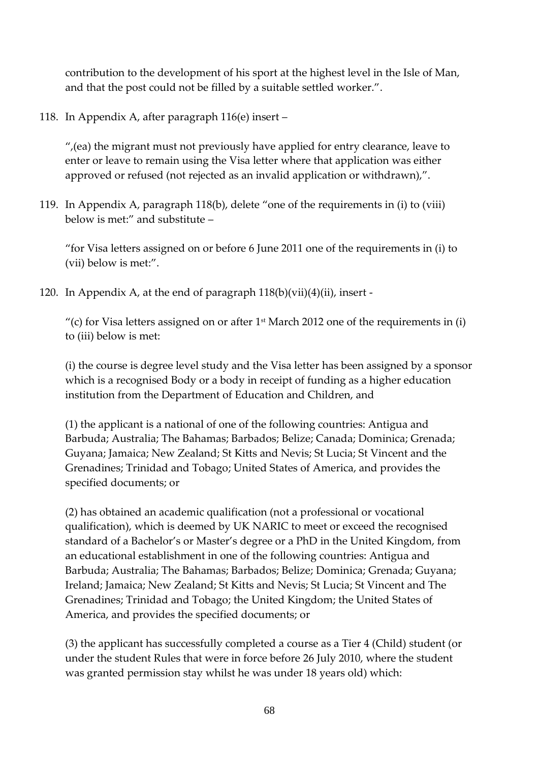contribution to the development of his sport at the highest level in the Isle of Man, and that the post could not be filled by a suitable settled worker.".

118. In Appendix A, after paragraph 116(e) insert –

",(ea) the migrant must not previously have applied for entry clearance, leave to enter or leave to remain using the Visa letter where that application was either approved or refused (not rejected as an invalid application or withdrawn),".

119. In Appendix A, paragraph 118(b), delete "one of the requirements in (i) to (viii) below is met:" and substitute –

"for Visa letters assigned on or before 6 June 2011 one of the requirements in (i) to (vii) below is met:".

120. In Appendix A, at the end of paragraph  $118(b)(vii)(4)(ii)$ , insert -

"(c) for Visa letters assigned on or after  $1<sup>st</sup>$  March 2012 one of the requirements in (i) to (iii) below is met:

(i) the course is degree level study and the Visa letter has been assigned by a sponsor which is a recognised Body or a body in receipt of funding as a higher education institution from the Department of Education and Children, and

(1) the applicant is a national of one of the following countries: Antigua and Barbuda; Australia; The Bahamas; Barbados; Belize; Canada; Dominica; Grenada; Guyana; Jamaica; New Zealand; St Kitts and Nevis; St Lucia; St Vincent and the Grenadines; Trinidad and Tobago; United States of America, and provides the specified documents; or

(2) has obtained an academic qualification (not a professional or vocational qualification), which is deemed by UK NARIC to meet or exceed the recognised standard of a Bachelor's or Master's degree or a PhD in the United Kingdom, from an educational establishment in one of the following countries: Antigua and Barbuda; Australia; The Bahamas; Barbados; Belize; Dominica; Grenada; Guyana; Ireland; Jamaica; New Zealand; St Kitts and Nevis; St Lucia; St Vincent and The Grenadines; Trinidad and Tobago; the United Kingdom; the United States of America, and provides the specified documents; or

(3) the applicant has successfully completed a course as a Tier 4 (Child) student (or under the student Rules that were in force before 26 July 2010, where the student was granted permission stay whilst he was under 18 years old) which: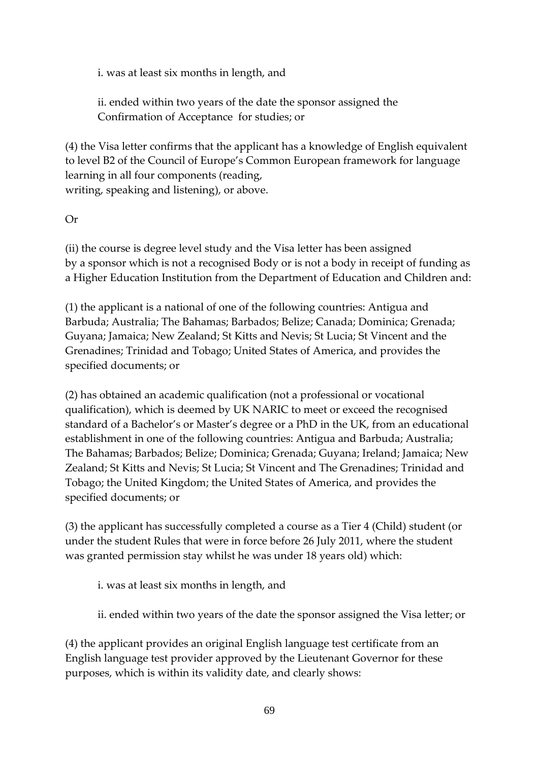i. was at least six months in length, and

ii. ended within two years of the date the sponsor assigned the Confirmation of Acceptance for studies; or

(4) the Visa letter confirms that the applicant has a knowledge of English equivalent to level B2 of the Council of Europe's Common European framework for language learning in all four components (reading, writing, speaking and listening), or above.

Or

(ii) the course is degree level study and the Visa letter has been assigned by a sponsor which is not a recognised Body or is not a body in receipt of funding as a Higher Education Institution from the Department of Education and Children and:

(1) the applicant is a national of one of the following countries: Antigua and Barbuda; Australia; The Bahamas; Barbados; Belize; Canada; Dominica; Grenada; Guyana; Jamaica; New Zealand; St Kitts and Nevis; St Lucia; St Vincent and the Grenadines; Trinidad and Tobago; United States of America, and provides the specified documents; or

(2) has obtained an academic qualification (not a professional or vocational qualification), which is deemed by UK NARIC to meet or exceed the recognised standard of a Bachelor's or Master's degree or a PhD in the UK, from an educational establishment in one of the following countries: Antigua and Barbuda; Australia; The Bahamas; Barbados; Belize; Dominica; Grenada; Guyana; Ireland; Jamaica; New Zealand; St Kitts and Nevis; St Lucia; St Vincent and The Grenadines; Trinidad and Tobago; the United Kingdom; the United States of America, and provides the specified documents; or

(3) the applicant has successfully completed a course as a Tier 4 (Child) student (or under the student Rules that were in force before 26 July 2011, where the student was granted permission stay whilst he was under 18 years old) which:

- i. was at least six months in length, and
- ii. ended within two years of the date the sponsor assigned the Visa letter; or

(4) the applicant provides an original English language test certificate from an English language test provider approved by the Lieutenant Governor for these purposes, which is within its validity date, and clearly shows: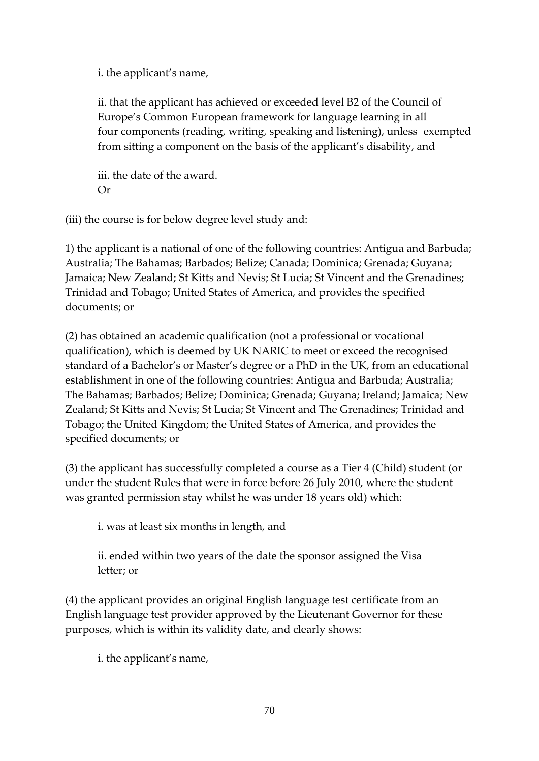i. the applicant's name,

ii. that the applicant has achieved or exceeded level B2 of the Council of Europe's Common European framework for language learning in all four components (reading, writing, speaking and listening), unless exempted from sitting a component on the basis of the applicant's disability, and

iii. the date of the award. Or

(iii) the course is for below degree level study and:

1) the applicant is a national of one of the following countries: Antigua and Barbuda; Australia; The Bahamas; Barbados; Belize; Canada; Dominica; Grenada; Guyana; Jamaica; New Zealand; St Kitts and Nevis; St Lucia; St Vincent and the Grenadines; Trinidad and Tobago; United States of America, and provides the specified documents; or

(2) has obtained an academic qualification (not a professional or vocational qualification), which is deemed by UK NARIC to meet or exceed the recognised standard of a Bachelor's or Master's degree or a PhD in the UK, from an educational establishment in one of the following countries: Antigua and Barbuda; Australia; The Bahamas; Barbados; Belize; Dominica; Grenada; Guyana; Ireland; Jamaica; New Zealand; St Kitts and Nevis; St Lucia; St Vincent and The Grenadines; Trinidad and Tobago; the United Kingdom; the United States of America, and provides the specified documents; or

(3) the applicant has successfully completed a course as a Tier 4 (Child) student (or under the student Rules that were in force before 26 July 2010, where the student was granted permission stay whilst he was under 18 years old) which:

i. was at least six months in length, and

ii. ended within two years of the date the sponsor assigned the Visa letter; or

(4) the applicant provides an original English language test certificate from an English language test provider approved by the Lieutenant Governor for these purposes, which is within its validity date, and clearly shows:

i. the applicant's name,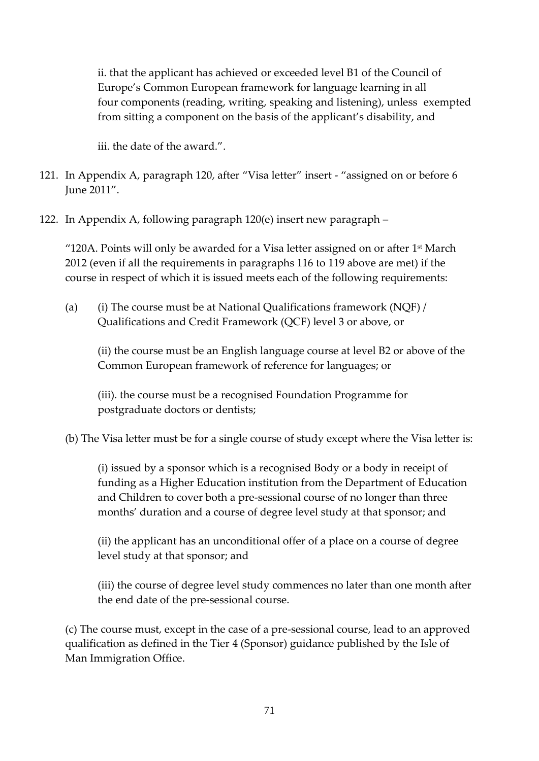ii. that the applicant has achieved or exceeded level B1 of the Council of Europe's Common European framework for language learning in all four components (reading, writing, speaking and listening), unless exempted from sitting a component on the basis of the applicant's disability, and

iii. the date of the award.".

- 121. In Appendix A, paragraph 120, after "Visa letter" insert "assigned on or before 6 June 2011".
- 122. In Appendix A, following paragraph 120(e) insert new paragraph –

"120A. Points will only be awarded for a Visa letter assigned on or after  $1<sup>st</sup>$  March 2012 (even if all the requirements in paragraphs 116 to 119 above are met) if the course in respect of which it is issued meets each of the following requirements:

(a) (i) The course must be at National Qualifications framework (NQF) / Qualifications and Credit Framework (QCF) level 3 or above, or

(ii) the course must be an English language course at level B2 or above of the Common European framework of reference for languages; or

(iii). the course must be a recognised Foundation Programme for postgraduate doctors or dentists;

(b) The Visa letter must be for a single course of study except where the Visa letter is:

(i) issued by a sponsor which is a recognised Body or a body in receipt of funding as a Higher Education institution from the Department of Education and Children to cover both a pre-sessional course of no longer than three months' duration and a course of degree level study at that sponsor; and

(ii) the applicant has an unconditional offer of a place on a course of degree level study at that sponsor; and

(iii) the course of degree level study commences no later than one month after the end date of the pre-sessional course.

(c) The course must, except in the case of a pre-sessional course, lead to an approved qualification as defined in the Tier 4 (Sponsor) guidance published by the Isle of Man Immigration Office.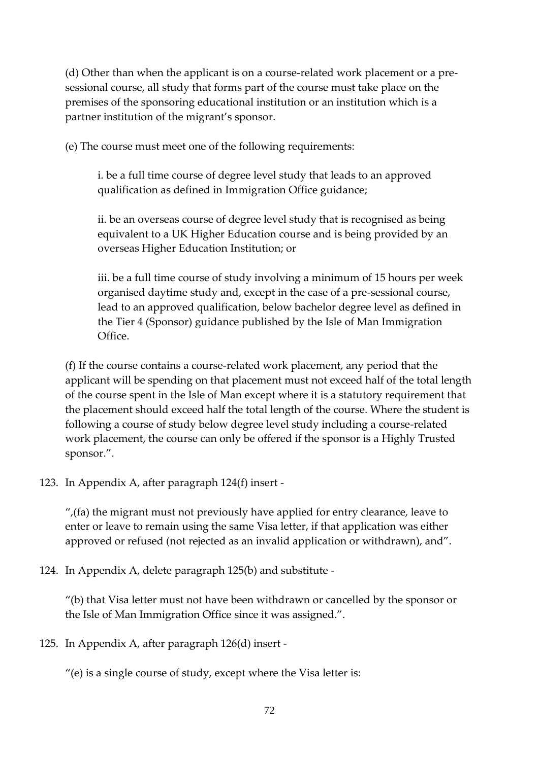(d) Other than when the applicant is on a course-related work placement or a presessional course, all study that forms part of the course must take place on the premises of the sponsoring educational institution or an institution which is a partner institution of the migrant's sponsor.

(e) The course must meet one of the following requirements:

i. be a full time course of degree level study that leads to an approved qualification as defined in Immigration Office guidance;

ii. be an overseas course of degree level study that is recognised as being equivalent to a UK Higher Education course and is being provided by an overseas Higher Education Institution; or

iii. be a full time course of study involving a minimum of 15 hours per week organised daytime study and, except in the case of a pre-sessional course, lead to an approved qualification, below bachelor degree level as defined in the Tier 4 (Sponsor) guidance published by the Isle of Man Immigration Office.

(f) If the course contains a course-related work placement, any period that the applicant will be spending on that placement must not exceed half of the total length of the course spent in the Isle of Man except where it is a statutory requirement that the placement should exceed half the total length of the course. Where the student is following a course of study below degree level study including a course-related work placement, the course can only be offered if the sponsor is a Highly Trusted sponsor.".

123. In Appendix A, after paragraph 124(f) insert -

 $^{\prime\prime}$ , (fa) the migrant must not previously have applied for entry clearance, leave to enter or leave to remain using the same Visa letter, if that application was either approved or refused (not rejected as an invalid application or withdrawn), and".

124. In Appendix A, delete paragraph 125(b) and substitute -

"(b) that Visa letter must not have been withdrawn or cancelled by the sponsor or the Isle of Man Immigration Office since it was assigned.".

125. In Appendix A, after paragraph 126(d) insert -

"(e) is a single course of study, except where the Visa letter is: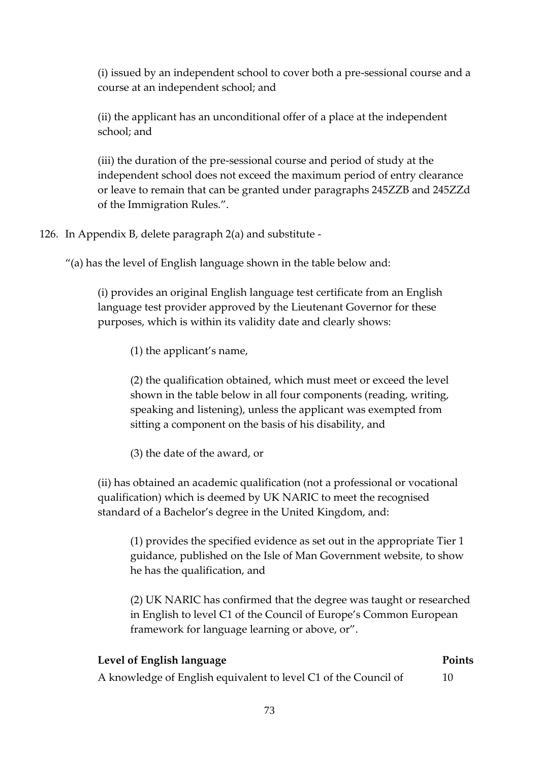(i) issued by an independent school to cover both a pre-sessional course and a course at an independent school; and

(ii) the applicant has an unconditional offer of a place at the independent school; and

(iii) the duration of the pre-sessional course and period of study at the independent school does not exceed the maximum period of entry clearance or leave to remain that can be granted under paragraphs 245ZZB and 245ZZd of the Immigration Rules.".

126. In Appendix B, delete paragraph 2(a) and substitute -

"(a) has the level of English language shown in the table below and:

(i) provides an original English language test certificate from an English language test provider approved by the Lieutenant Governor for these purposes, which is within its validity date and clearly shows:

(1) the applicant's name,

(2) the qualification obtained, which must meet or exceed the level shown in the table below in all four components (reading, writing, speaking and listening), unless the applicant was exempted from sitting a component on the basis of his disability, and

(3) the date of the award, or

(ii) has obtained an academic qualification (not a professional or vocational qualification) which is deemed by UK NARIC to meet the recognised standard of a Bachelor's degree in the United Kingdom, and:

(1) provides the specified evidence as set out in the appropriate Tier 1 guidance, published on the Isle of Man Government website, to show he has the qualification, and

(2) UK NARIC has confirmed that the degree was taught or researched in English to level C1 of the Council of Europe's Common European framework for language learning or above, or".

### **Level of English language Points**

A knowledge of English equivalent to level C1 of the Council of 10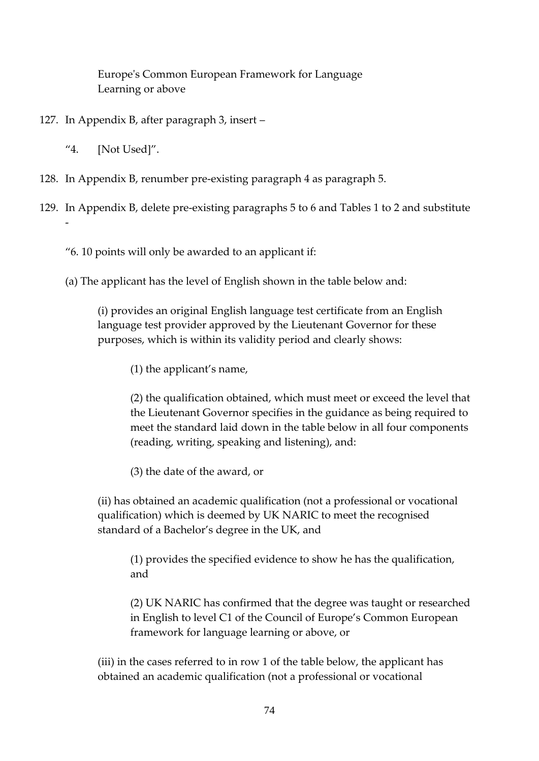Europe's Common European Framework for Language Learning or above

- 127. In Appendix B, after paragraph 3, insert
	- "4. [Not Used]".
- 128. In Appendix B, renumber pre-existing paragraph 4 as paragraph 5.
- 129. In Appendix B, delete pre-existing paragraphs 5 to 6 and Tables 1 to 2 and substitute -
	- "6. 10 points will only be awarded to an applicant if:
	- (a) The applicant has the level of English shown in the table below and:

(i) provides an original English language test certificate from an English language test provider approved by the Lieutenant Governor for these purposes, which is within its validity period and clearly shows:

(1) the applicant's name,

(2) the qualification obtained, which must meet or exceed the level that the Lieutenant Governor specifies in the guidance as being required to meet the standard laid down in the table below in all four components (reading, writing, speaking and listening), and:

(3) the date of the award, or

(ii) has obtained an academic qualification (not a professional or vocational qualification) which is deemed by UK NARIC to meet the recognised standard of a Bachelor's degree in the UK, and

(1) provides the specified evidence to show he has the qualification, and

(2) UK NARIC has confirmed that the degree was taught or researched in English to level C1 of the Council of Europe's Common European framework for language learning or above, or

(iii) in the cases referred to in row 1 of the table below, the applicant has obtained an academic qualification (not a professional or vocational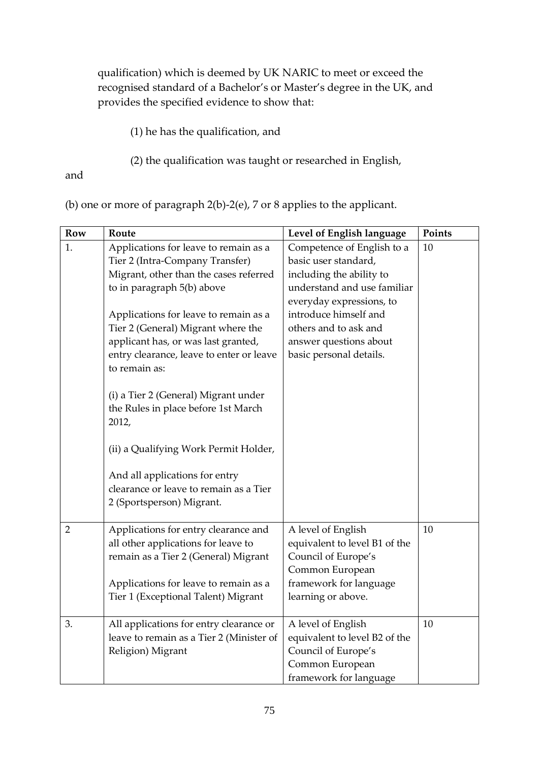qualification) which is deemed by UK NARIC to meet or exceed the recognised standard of a Bachelor's or Master's degree in the UK, and provides the specified evidence to show that:

(1) he has the qualification, and

(2) the qualification was taught or researched in English,

and

(b) one or more of paragraph 2(b)-2(e), 7 or 8 applies to the applicant.

| <b>Row</b>     | Route                                    | Level of English language     | Points |
|----------------|------------------------------------------|-------------------------------|--------|
| 1.             | Applications for leave to remain as a    | Competence of English to a    | 10     |
|                | Tier 2 (Intra-Company Transfer)          | basic user standard,          |        |
|                | Migrant, other than the cases referred   | including the ability to      |        |
|                | to in paragraph 5(b) above               | understand and use familiar   |        |
|                |                                          | everyday expressions, to      |        |
|                | Applications for leave to remain as a    | introduce himself and         |        |
|                | Tier 2 (General) Migrant where the       | others and to ask and         |        |
|                | applicant has, or was last granted,      | answer questions about        |        |
|                | entry clearance, leave to enter or leave | basic personal details.       |        |
|                | to remain as:                            |                               |        |
|                |                                          |                               |        |
|                | (i) a Tier 2 (General) Migrant under     |                               |        |
|                | the Rules in place before 1st March      |                               |        |
|                | 2012,                                    |                               |        |
|                |                                          |                               |        |
|                | (ii) a Qualifying Work Permit Holder,    |                               |        |
|                |                                          |                               |        |
|                | And all applications for entry           |                               |        |
|                | clearance or leave to remain as a Tier   |                               |        |
|                | 2 (Sportsperson) Migrant.                |                               |        |
| $\overline{2}$ | Applications for entry clearance and     | A level of English            | 10     |
|                | all other applications for leave to      | equivalent to level B1 of the |        |
|                | remain as a Tier 2 (General) Migrant     | Council of Europe's           |        |
|                |                                          | Common European               |        |
|                | Applications for leave to remain as a    | framework for language        |        |
|                | Tier 1 (Exceptional Talent) Migrant      | learning or above.            |        |
|                |                                          |                               |        |
| 3.             | All applications for entry clearance or  | A level of English            | 10     |
|                | leave to remain as a Tier 2 (Minister of | equivalent to level B2 of the |        |
|                | Religion) Migrant                        | Council of Europe's           |        |
|                |                                          | Common European               |        |
|                |                                          | framework for language        |        |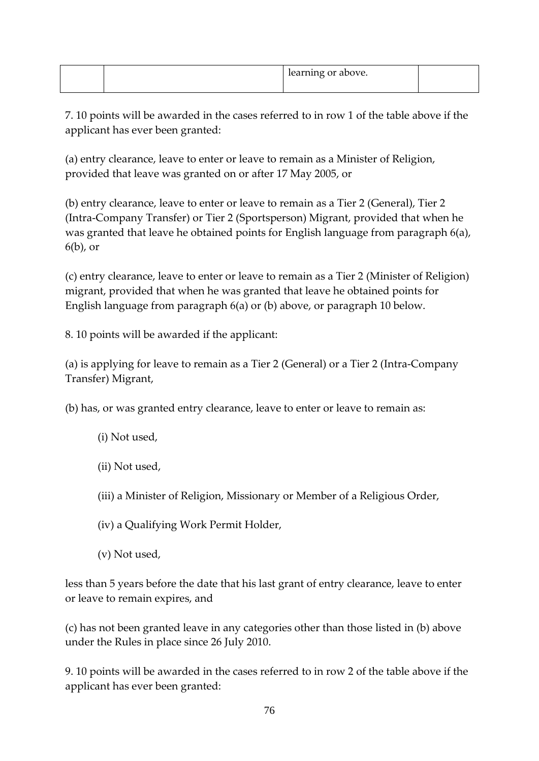|  | earning or above. |  |
|--|-------------------|--|
|  |                   |  |

7. 10 points will be awarded in the cases referred to in row 1 of the table above if the applicant has ever been granted:

(a) entry clearance, leave to enter or leave to remain as a Minister of Religion, provided that leave was granted on or after 17 May 2005, or

(b) entry clearance, leave to enter or leave to remain as a Tier 2 (General), Tier 2 (Intra-Company Transfer) or Tier 2 (Sportsperson) Migrant, provided that when he was granted that leave he obtained points for English language from paragraph 6(a), 6(b), or

(c) entry clearance, leave to enter or leave to remain as a Tier 2 (Minister of Religion) migrant, provided that when he was granted that leave he obtained points for English language from paragraph 6(a) or (b) above, or paragraph 10 below.

8. 10 points will be awarded if the applicant:

(a) is applying for leave to remain as a Tier 2 (General) or a Tier 2 (Intra-Company Transfer) Migrant,

(b) has, or was granted entry clearance, leave to enter or leave to remain as:

- (i) Not used,
- (ii) Not used,
- (iii) a Minister of Religion, Missionary or Member of a Religious Order,
- (iv) a Qualifying Work Permit Holder,
- (v) Not used,

less than 5 years before the date that his last grant of entry clearance, leave to enter or leave to remain expires, and

(c) has not been granted leave in any categories other than those listed in (b) above under the Rules in place since 26 July 2010.

9. 10 points will be awarded in the cases referred to in row 2 of the table above if the applicant has ever been granted: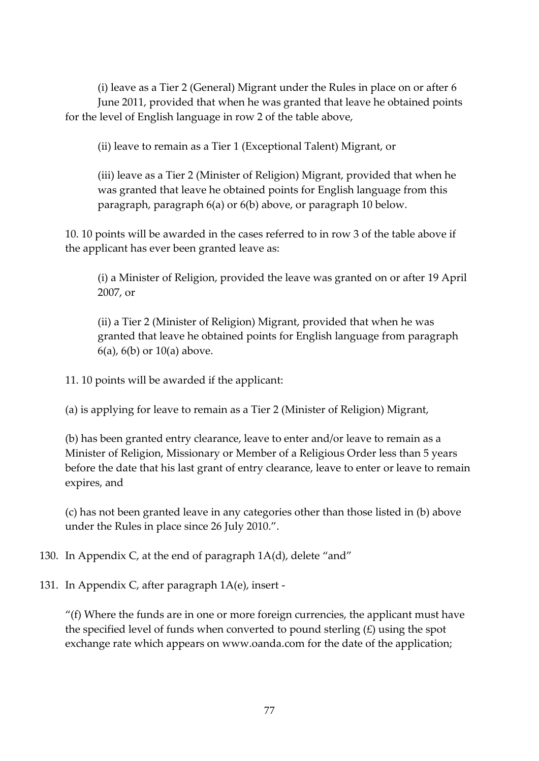(i) leave as a Tier 2 (General) Migrant under the Rules in place on or after 6 June 2011, provided that when he was granted that leave he obtained points for the level of English language in row 2 of the table above,

(ii) leave to remain as a Tier 1 (Exceptional Talent) Migrant, or

(iii) leave as a Tier 2 (Minister of Religion) Migrant, provided that when he was granted that leave he obtained points for English language from this paragraph, paragraph 6(a) or 6(b) above, or paragraph 10 below.

10. 10 points will be awarded in the cases referred to in row 3 of the table above if the applicant has ever been granted leave as:

(i) a Minister of Religion, provided the leave was granted on or after 19 April 2007, or

(ii) a Tier 2 (Minister of Religion) Migrant, provided that when he was granted that leave he obtained points for English language from paragraph  $6(a)$ ,  $6(b)$  or  $10(a)$  above.

11. 10 points will be awarded if the applicant:

(a) is applying for leave to remain as a Tier 2 (Minister of Religion) Migrant,

(b) has been granted entry clearance, leave to enter and/or leave to remain as a Minister of Religion, Missionary or Member of a Religious Order less than 5 years before the date that his last grant of entry clearance, leave to enter or leave to remain expires, and

(c) has not been granted leave in any categories other than those listed in (b) above under the Rules in place since 26 July 2010.".

130. In Appendix C, at the end of paragraph 1A(d), delete "and"

131. In Appendix C, after paragraph 1A(e), insert -

" $(f)$  Where the funds are in one or more foreign currencies, the applicant must have the specified level of funds when converted to pound sterling  $(E)$  using the spot exchange rate which appears on www.oanda.com for the date of the application;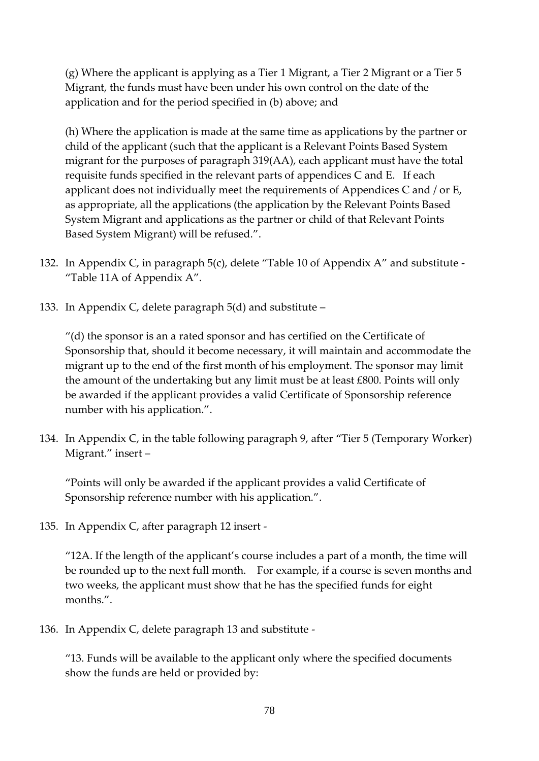(g) Where the applicant is applying as a Tier 1 Migrant, a Tier 2 Migrant or a Tier 5 Migrant, the funds must have been under his own control on the date of the application and for the period specified in (b) above; and

(h) Where the application is made at the same time as applications by the partner or child of the applicant (such that the applicant is a Relevant Points Based System migrant for the purposes of paragraph 319(AA), each applicant must have the total requisite funds specified in the relevant parts of appendices C and E. If each applicant does not individually meet the requirements of Appendices C and / or E, as appropriate, all the applications (the application by the Relevant Points Based System Migrant and applications as the partner or child of that Relevant Points Based System Migrant) will be refused.".

- 132. In Appendix C, in paragraph 5(c), delete "Table 10 of Appendix A" and substitute "Table 11A of Appendix A".
- 133. In Appendix C, delete paragraph 5(d) and substitute –

"(d) the sponsor is an a rated sponsor and has certified on the Certificate of Sponsorship that, should it become necessary, it will maintain and accommodate the migrant up to the end of the first month of his employment. The sponsor may limit the amount of the undertaking but any limit must be at least £800. Points will only be awarded if the applicant provides a valid Certificate of Sponsorship reference number with his application.".

134. In Appendix C, in the table following paragraph 9, after "Tier 5 (Temporary Worker) Migrant." insert –

"Points will only be awarded if the applicant provides a valid Certificate of Sponsorship reference number with his application.".

135. In Appendix C, after paragraph 12 insert -

"12A. If the length of the applicant's course includes a part of a month, the time will be rounded up to the next full month. For example, if a course is seven months and two weeks, the applicant must show that he has the specified funds for eight months.".

136. In Appendix C, delete paragraph 13 and substitute -

"13. Funds will be available to the applicant only where the specified documents show the funds are held or provided by: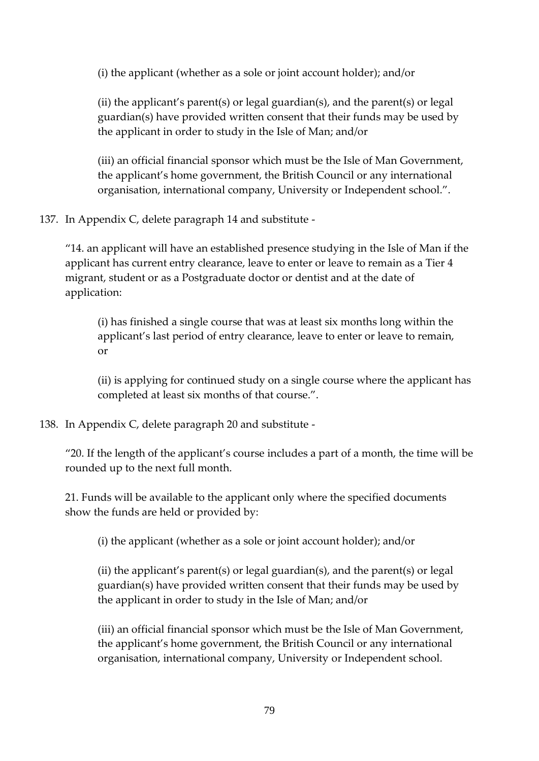(i) the applicant (whether as a sole or joint account holder); and/or

(ii) the applicant's parent(s) or legal guardian(s), and the parent(s) or legal guardian(s) have provided written consent that their funds may be used by the applicant in order to study in the Isle of Man; and/or

(iii) an official financial sponsor which must be the Isle of Man Government, the applicant's home government, the British Council or any international organisation, international company, University or Independent school.".

137. In Appendix C, delete paragraph 14 and substitute -

"14. an applicant will have an established presence studying in the Isle of Man if the applicant has current entry clearance, leave to enter or leave to remain as a Tier 4 migrant, student or as a Postgraduate doctor or dentist and at the date of application:

(i) has finished a single course that was at least six months long within the applicant's last period of entry clearance, leave to enter or leave to remain, or

(ii) is applying for continued study on a single course where the applicant has completed at least six months of that course.".

# 138. In Appendix C, delete paragraph 20 and substitute -

"20. If the length of the applicant's course includes a part of a month, the time will be rounded up to the next full month.

21. Funds will be available to the applicant only where the specified documents show the funds are held or provided by:

(i) the applicant (whether as a sole or joint account holder); and/or

(ii) the applicant's parent(s) or legal guardian(s), and the parent(s) or legal guardian(s) have provided written consent that their funds may be used by the applicant in order to study in the Isle of Man; and/or

(iii) an official financial sponsor which must be the Isle of Man Government, the applicant's home government, the British Council or any international organisation, international company, University or Independent school.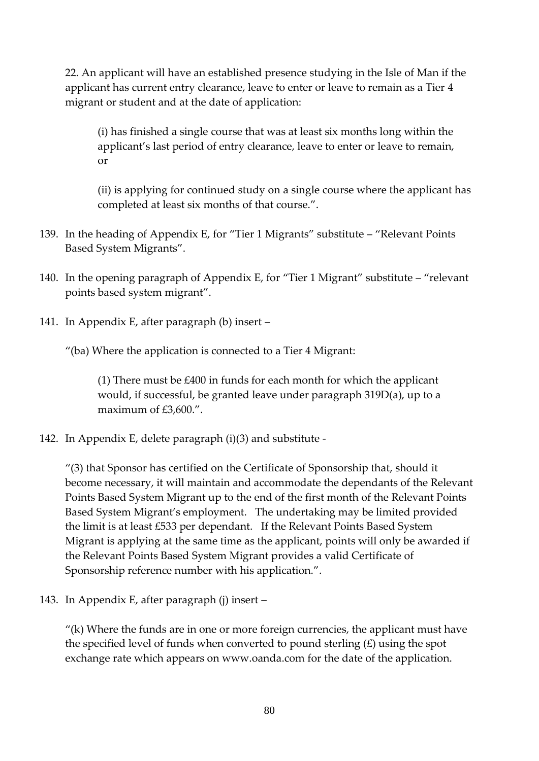22. An applicant will have an established presence studying in the Isle of Man if the applicant has current entry clearance, leave to enter or leave to remain as a Tier 4 migrant or student and at the date of application:

(i) has finished a single course that was at least six months long within the applicant's last period of entry clearance, leave to enter or leave to remain, or

(ii) is applying for continued study on a single course where the applicant has completed at least six months of that course.".

- 139. In the heading of Appendix E, for "Tier 1 Migrants" substitute "Relevant Points Based System Migrants".
- 140. In the opening paragraph of Appendix E, for "Tier 1 Migrant" substitute "relevant points based system migrant".
- 141. In Appendix E, after paragraph (b) insert –

"(ba) Where the application is connected to a Tier 4 Migrant:

(1) There must be £400 in funds for each month for which the applicant would, if successful, be granted leave under paragraph 319D(a), up to a maximum of £3,600.".

142. In Appendix E, delete paragraph (i)(3) and substitute -

"(3) that Sponsor has certified on the Certificate of Sponsorship that, should it become necessary, it will maintain and accommodate the dependants of the Relevant Points Based System Migrant up to the end of the first month of the Relevant Points Based System Migrant's employment. The undertaking may be limited provided the limit is at least £533 per dependant. If the Relevant Points Based System Migrant is applying at the same time as the applicant, points will only be awarded if the Relevant Points Based System Migrant provides a valid Certificate of Sponsorship reference number with his application.".

143. In Appendix E, after paragraph (j) insert –

 $''(k)$  Where the funds are in one or more foreign currencies, the applicant must have the specified level of funds when converted to pound sterling (£) using the spot exchange rate which appears on www.oanda.com for the date of the application.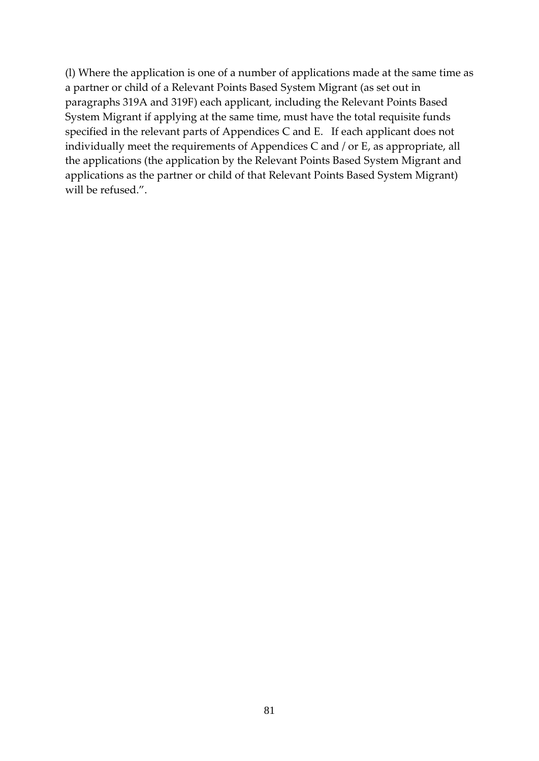(l) Where the application is one of a number of applications made at the same time as a partner or child of a Relevant Points Based System Migrant (as set out in paragraphs 319A and 319F) each applicant, including the Relevant Points Based System Migrant if applying at the same time, must have the total requisite funds specified in the relevant parts of Appendices C and E. If each applicant does not individually meet the requirements of Appendices C and / or E, as appropriate, all the applications (the application by the Relevant Points Based System Migrant and applications as the partner or child of that Relevant Points Based System Migrant) will be refused.".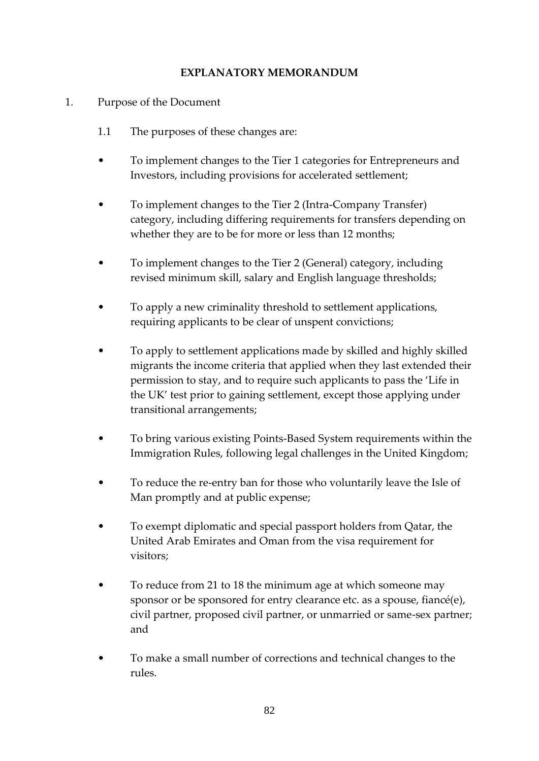#### **EXPLANATORY MEMORANDUM**

- 1. Purpose of the Document
	- 1.1 The purposes of these changes are:
	- To implement changes to the Tier 1 categories for Entrepreneurs and Investors, including provisions for accelerated settlement;
	- To implement changes to the Tier 2 (Intra-Company Transfer) category, including differing requirements for transfers depending on whether they are to be for more or less than 12 months;
	- To implement changes to the Tier 2 (General) category, including revised minimum skill, salary and English language thresholds;
	- To apply a new criminality threshold to settlement applications, requiring applicants to be clear of unspent convictions;
	- To apply to settlement applications made by skilled and highly skilled migrants the income criteria that applied when they last extended their permission to stay, and to require such applicants to pass the 'Life in the UK' test prior to gaining settlement, except those applying under transitional arrangements;
	- To bring various existing Points-Based System requirements within the Immigration Rules, following legal challenges in the United Kingdom;
	- To reduce the re-entry ban for those who voluntarily leave the Isle of Man promptly and at public expense;
	- To exempt diplomatic and special passport holders from Qatar, the United Arab Emirates and Oman from the visa requirement for visitors;
	- To reduce from 21 to 18 the minimum age at which someone may sponsor or be sponsored for entry clearance etc. as a spouse, fiancé(e), civil partner, proposed civil partner, or unmarried or same-sex partner; and
	- To make a small number of corrections and technical changes to the rules.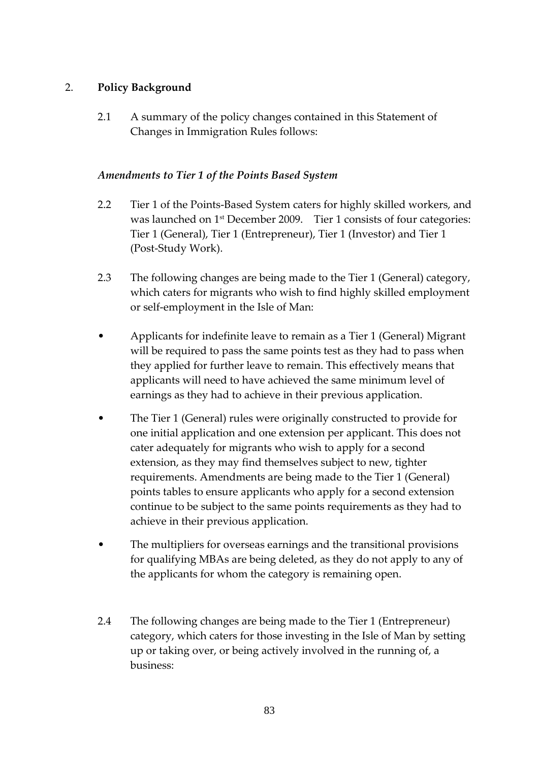## 2. **Policy Background**

2.1 A summary of the policy changes contained in this Statement of Changes in Immigration Rules follows:

#### *Amendments to Tier 1 of the Points Based System*

- 2.2 Tier 1 of the Points-Based System caters for highly skilled workers, and was launched on 1<sup>st</sup> December 2009. Tier 1 consists of four categories: Tier 1 (General), Tier 1 (Entrepreneur), Tier 1 (Investor) and Tier 1 (Post-Study Work).
- 2.3 The following changes are being made to the Tier 1 (General) category, which caters for migrants who wish to find highly skilled employment or self-employment in the Isle of Man:
- Applicants for indefinite leave to remain as a Tier 1 (General) Migrant will be required to pass the same points test as they had to pass when they applied for further leave to remain. This effectively means that applicants will need to have achieved the same minimum level of earnings as they had to achieve in their previous application.
- The Tier 1 (General) rules were originally constructed to provide for one initial application and one extension per applicant. This does not cater adequately for migrants who wish to apply for a second extension, as they may find themselves subject to new, tighter requirements. Amendments are being made to the Tier 1 (General) points tables to ensure applicants who apply for a second extension continue to be subject to the same points requirements as they had to achieve in their previous application.
- The multipliers for overseas earnings and the transitional provisions for qualifying MBAs are being deleted, as they do not apply to any of the applicants for whom the category is remaining open.
- 2.4 The following changes are being made to the Tier 1 (Entrepreneur) category, which caters for those investing in the Isle of Man by setting up or taking over, or being actively involved in the running of, a business: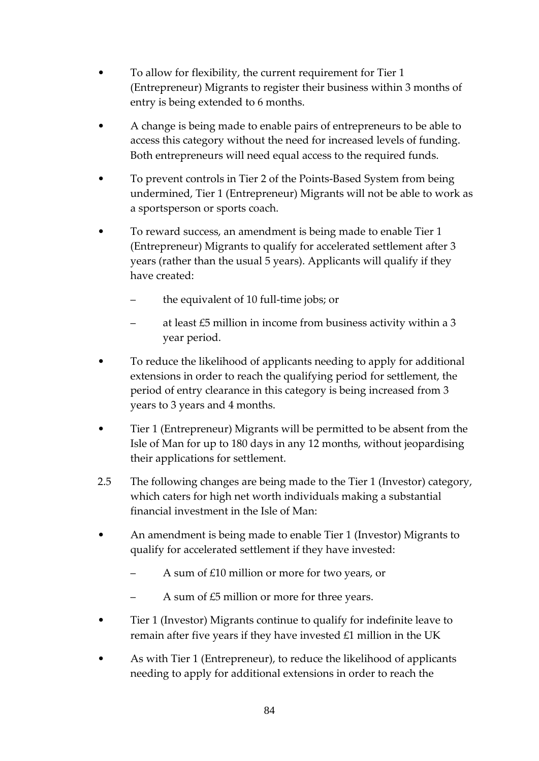- To allow for flexibility, the current requirement for Tier 1 (Entrepreneur) Migrants to register their business within 3 months of entry is being extended to 6 months.
- A change is being made to enable pairs of entrepreneurs to be able to access this category without the need for increased levels of funding. Both entrepreneurs will need equal access to the required funds.
- To prevent controls in Tier 2 of the Points-Based System from being undermined, Tier 1 (Entrepreneur) Migrants will not be able to work as a sportsperson or sports coach.
- To reward success, an amendment is being made to enable Tier 1 (Entrepreneur) Migrants to qualify for accelerated settlement after 3 years (rather than the usual 5 years). Applicants will qualify if they have created:
	- the equivalent of 10 full-time jobs; or
	- at least £5 million in income from business activity within a 3 year period.
- To reduce the likelihood of applicants needing to apply for additional extensions in order to reach the qualifying period for settlement, the period of entry clearance in this category is being increased from 3 years to 3 years and 4 months.
- Tier 1 (Entrepreneur) Migrants will be permitted to be absent from the Isle of Man for up to 180 days in any 12 months, without jeopardising their applications for settlement.
- 2.5 The following changes are being made to the Tier 1 (Investor) category, which caters for high net worth individuals making a substantial financial investment in the Isle of Man:
- An amendment is being made to enable Tier 1 (Investor) Migrants to qualify for accelerated settlement if they have invested:
	- A sum of £10 million or more for two years, or
	- A sum of £5 million or more for three years.
- Tier 1 (Investor) Migrants continue to qualify for indefinite leave to remain after five years if they have invested  $£1$  million in the UK
- As with Tier 1 (Entrepreneur), to reduce the likelihood of applicants needing to apply for additional extensions in order to reach the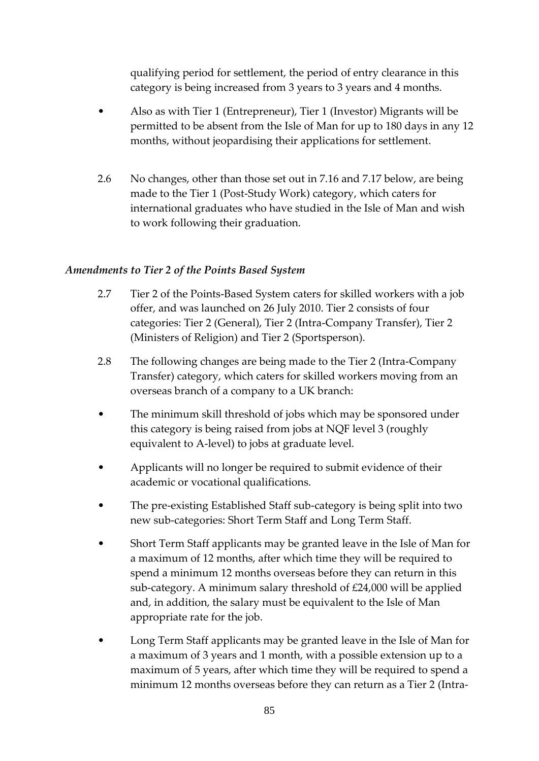qualifying period for settlement, the period of entry clearance in this category is being increased from 3 years to 3 years and 4 months.

- Also as with Tier 1 (Entrepreneur), Tier 1 (Investor) Migrants will be permitted to be absent from the Isle of Man for up to 180 days in any 12 months, without jeopardising their applications for settlement.
- 2.6 No changes, other than those set out in 7.16 and 7.17 below, are being made to the Tier 1 (Post-Study Work) category, which caters for international graduates who have studied in the Isle of Man and wish to work following their graduation.

### *Amendments to Tier 2 of the Points Based System*

- 2.7 Tier 2 of the Points-Based System caters for skilled workers with a job offer, and was launched on 26 July 2010. Tier 2 consists of four categories: Tier 2 (General), Tier 2 (Intra-Company Transfer), Tier 2 (Ministers of Religion) and Tier 2 (Sportsperson).
- 2.8 The following changes are being made to the Tier 2 (Intra-Company Transfer) category, which caters for skilled workers moving from an overseas branch of a company to a UK branch:
- The minimum skill threshold of jobs which may be sponsored under this category is being raised from jobs at NQF level 3 (roughly equivalent to A-level) to jobs at graduate level.
- Applicants will no longer be required to submit evidence of their academic or vocational qualifications.
- The pre-existing Established Staff sub-category is being split into two new sub-categories: Short Term Staff and Long Term Staff.
- Short Term Staff applicants may be granted leave in the Isle of Man for a maximum of 12 months, after which time they will be required to spend a minimum 12 months overseas before they can return in this sub-category. A minimum salary threshold of £24,000 will be applied and, in addition, the salary must be equivalent to the Isle of Man appropriate rate for the job.
- Long Term Staff applicants may be granted leave in the Isle of Man for a maximum of 3 years and 1 month, with a possible extension up to a maximum of 5 years, after which time they will be required to spend a minimum 12 months overseas before they can return as a Tier 2 (Intra-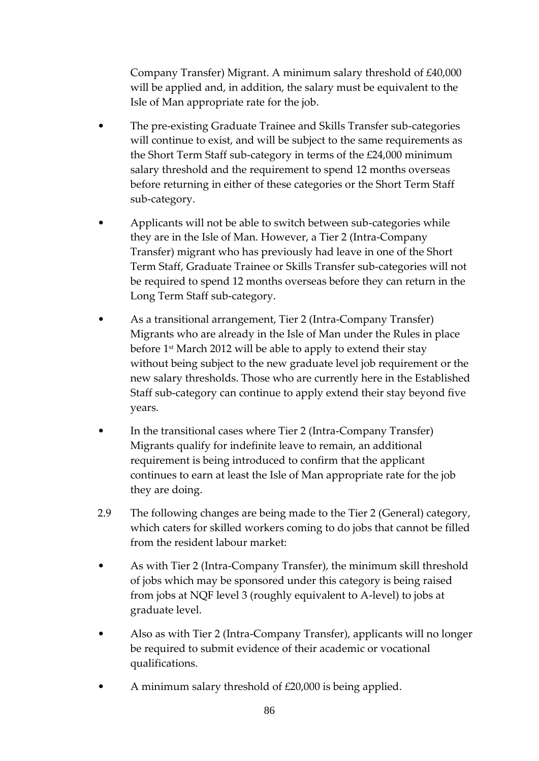Company Transfer) Migrant. A minimum salary threshold of £40,000 will be applied and, in addition, the salary must be equivalent to the Isle of Man appropriate rate for the job.

- The pre-existing Graduate Trainee and Skills Transfer sub-categories will continue to exist, and will be subject to the same requirements as the Short Term Staff sub-category in terms of the £24,000 minimum salary threshold and the requirement to spend 12 months overseas before returning in either of these categories or the Short Term Staff sub-category.
- Applicants will not be able to switch between sub-categories while they are in the Isle of Man. However, a Tier 2 (Intra-Company Transfer) migrant who has previously had leave in one of the Short Term Staff, Graduate Trainee or Skills Transfer sub-categories will not be required to spend 12 months overseas before they can return in the Long Term Staff sub-category.
- As a transitional arrangement, Tier 2 (Intra-Company Transfer) Migrants who are already in the Isle of Man under the Rules in place before 1 st March 2012 will be able to apply to extend their stay without being subject to the new graduate level job requirement or the new salary thresholds. Those who are currently here in the Established Staff sub-category can continue to apply extend their stay beyond five years.
- In the transitional cases where Tier 2 (Intra-Company Transfer) Migrants qualify for indefinite leave to remain, an additional requirement is being introduced to confirm that the applicant continues to earn at least the Isle of Man appropriate rate for the job they are doing.
- 2.9 The following changes are being made to the Tier 2 (General) category, which caters for skilled workers coming to do jobs that cannot be filled from the resident labour market:
- As with Tier 2 (Intra-Company Transfer), the minimum skill threshold of jobs which may be sponsored under this category is being raised from jobs at NQF level 3 (roughly equivalent to A-level) to jobs at graduate level.
- Also as with Tier 2 (Intra-Company Transfer), applicants will no longer be required to submit evidence of their academic or vocational qualifications.
- A minimum salary threshold of  $£20,000$  is being applied.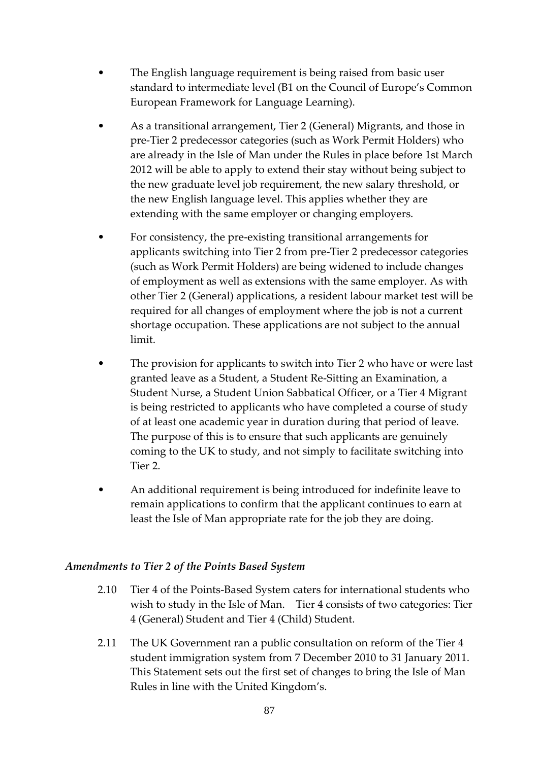- The English language requirement is being raised from basic user standard to intermediate level (B1 on the Council of Europe's Common European Framework for Language Learning).
- As a transitional arrangement, Tier 2 (General) Migrants, and those in pre-Tier 2 predecessor categories (such as Work Permit Holders) who are already in the Isle of Man under the Rules in place before 1st March 2012 will be able to apply to extend their stay without being subject to the new graduate level job requirement, the new salary threshold, or the new English language level. This applies whether they are extending with the same employer or changing employers.
- For consistency, the pre-existing transitional arrangements for applicants switching into Tier 2 from pre-Tier 2 predecessor categories (such as Work Permit Holders) are being widened to include changes of employment as well as extensions with the same employer. As with other Tier 2 (General) applications, a resident labour market test will be required for all changes of employment where the job is not a current shortage occupation. These applications are not subject to the annual limit.
- The provision for applicants to switch into Tier 2 who have or were last granted leave as a Student, a Student Re-Sitting an Examination, a Student Nurse, a Student Union Sabbatical Officer, or a Tier 4 Migrant is being restricted to applicants who have completed a course of study of at least one academic year in duration during that period of leave. The purpose of this is to ensure that such applicants are genuinely coming to the UK to study, and not simply to facilitate switching into Tier 2.
- An additional requirement is being introduced for indefinite leave to remain applications to confirm that the applicant continues to earn at least the Isle of Man appropriate rate for the job they are doing.

### *Amendments to Tier 2 of the Points Based System*

- 2.10 Tier 4 of the Points-Based System caters for international students who wish to study in the Isle of Man. Tier 4 consists of two categories: Tier 4 (General) Student and Tier 4 (Child) Student.
- 2.11 The UK Government ran a public consultation on reform of the Tier 4 student immigration system from 7 December 2010 to 31 January 2011. This Statement sets out the first set of changes to bring the Isle of Man Rules in line with the United Kingdom's.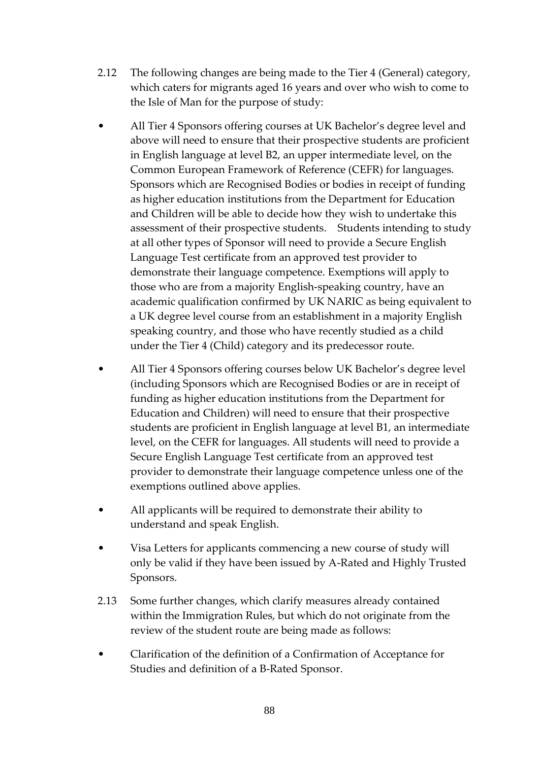- 2.12 The following changes are being made to the Tier 4 (General) category, which caters for migrants aged 16 years and over who wish to come to the Isle of Man for the purpose of study:
- All Tier 4 Sponsors offering courses at UK Bachelor's degree level and above will need to ensure that their prospective students are proficient in English language at level B2, an upper intermediate level, on the Common European Framework of Reference (CEFR) for languages. Sponsors which are Recognised Bodies or bodies in receipt of funding as higher education institutions from the Department for Education and Children will be able to decide how they wish to undertake this assessment of their prospective students. Students intending to study at all other types of Sponsor will need to provide a Secure English Language Test certificate from an approved test provider to demonstrate their language competence. Exemptions will apply to those who are from a majority English-speaking country, have an academic qualification confirmed by UK NARIC as being equivalent to a UK degree level course from an establishment in a majority English speaking country, and those who have recently studied as a child under the Tier 4 (Child) category and its predecessor route.
- All Tier 4 Sponsors offering courses below UK Bachelor's degree level (including Sponsors which are Recognised Bodies or are in receipt of funding as higher education institutions from the Department for Education and Children) will need to ensure that their prospective students are proficient in English language at level B1, an intermediate level, on the CEFR for languages. All students will need to provide a Secure English Language Test certificate from an approved test provider to demonstrate their language competence unless one of the exemptions outlined above applies.
- All applicants will be required to demonstrate their ability to understand and speak English.
- Visa Letters for applicants commencing a new course of study will only be valid if they have been issued by A-Rated and Highly Trusted Sponsors.
- 2.13 Some further changes, which clarify measures already contained within the Immigration Rules, but which do not originate from the review of the student route are being made as follows:
- Clarification of the definition of a Confirmation of Acceptance for Studies and definition of a B-Rated Sponsor.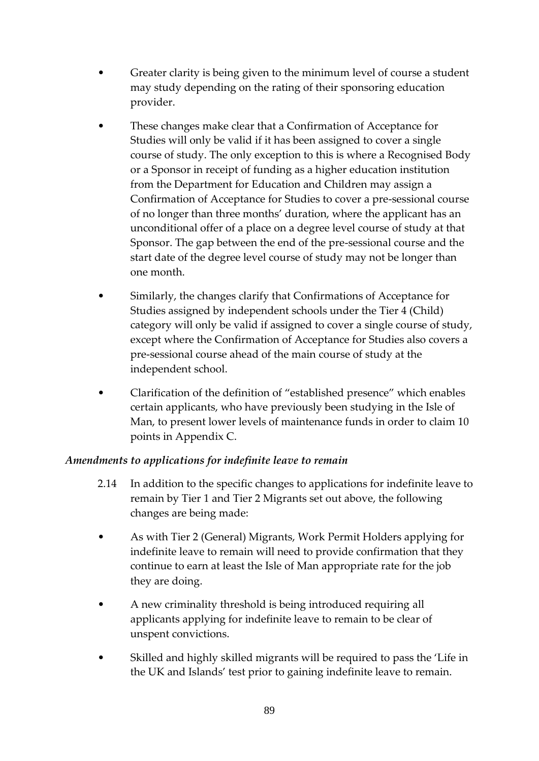- Greater clarity is being given to the minimum level of course a student may study depending on the rating of their sponsoring education provider.
- These changes make clear that a Confirmation of Acceptance for Studies will only be valid if it has been assigned to cover a single course of study. The only exception to this is where a Recognised Body or a Sponsor in receipt of funding as a higher education institution from the Department for Education and Children may assign a Confirmation of Acceptance for Studies to cover a pre-sessional course of no longer than three months' duration, where the applicant has an unconditional offer of a place on a degree level course of study at that Sponsor. The gap between the end of the pre-sessional course and the start date of the degree level course of study may not be longer than one month.
- Similarly, the changes clarify that Confirmations of Acceptance for Studies assigned by independent schools under the Tier 4 (Child) category will only be valid if assigned to cover a single course of study, except where the Confirmation of Acceptance for Studies also covers a pre-sessional course ahead of the main course of study at the independent school.
- Clarification of the definition of "established presence" which enables certain applicants, who have previously been studying in the Isle of Man, to present lower levels of maintenance funds in order to claim 10 points in Appendix C.

### *Amendments to applications for indefinite leave to remain*

- 2.14 In addition to the specific changes to applications for indefinite leave to remain by Tier 1 and Tier 2 Migrants set out above, the following changes are being made:
- As with Tier 2 (General) Migrants, Work Permit Holders applying for indefinite leave to remain will need to provide confirmation that they continue to earn at least the Isle of Man appropriate rate for the job they are doing.
- A new criminality threshold is being introduced requiring all applicants applying for indefinite leave to remain to be clear of unspent convictions.
- Skilled and highly skilled migrants will be required to pass the 'Life in the UK and Islands' test prior to gaining indefinite leave to remain.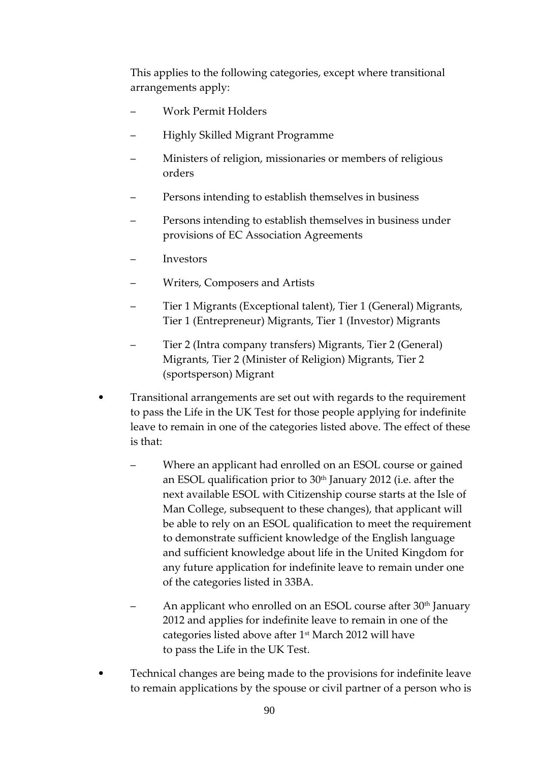This applies to the following categories, except where transitional arrangements apply:

- Work Permit Holders
- Highly Skilled Migrant Programme
- Ministers of religion, missionaries or members of religious orders
- Persons intending to establish themselves in business
- Persons intending to establish themselves in business under provisions of EC Association Agreements
- **Investors**
- Writers, Composers and Artists
- Tier 1 Migrants (Exceptional talent), Tier 1 (General) Migrants, Tier 1 (Entrepreneur) Migrants, Tier 1 (Investor) Migrants
- Tier 2 (Intra company transfers) Migrants, Tier 2 (General) Migrants, Tier 2 (Minister of Religion) Migrants, Tier 2 (sportsperson) Migrant
- Transitional arrangements are set out with regards to the requirement to pass the Life in the UK Test for those people applying for indefinite leave to remain in one of the categories listed above. The effect of these is that:
	- Where an applicant had enrolled on an ESOL course or gained an ESOL qualification prior to 30<sup>th</sup> January 2012 (i.e. after the next available ESOL with Citizenship course starts at the Isle of Man College, subsequent to these changes), that applicant will be able to rely on an ESOL qualification to meet the requirement to demonstrate sufficient knowledge of the English language and sufficient knowledge about life in the United Kingdom for any future application for indefinite leave to remain under one of the categories listed in 33BA.
	- An applicant who enrolled on an ESOL course after 30<sup>th</sup> January 2012 and applies for indefinite leave to remain in one of the categories listed above after 1<sup>st</sup> March 2012 will have to pass the Life in the UK Test.
- Technical changes are being made to the provisions for indefinite leave to remain applications by the spouse or civil partner of a person who is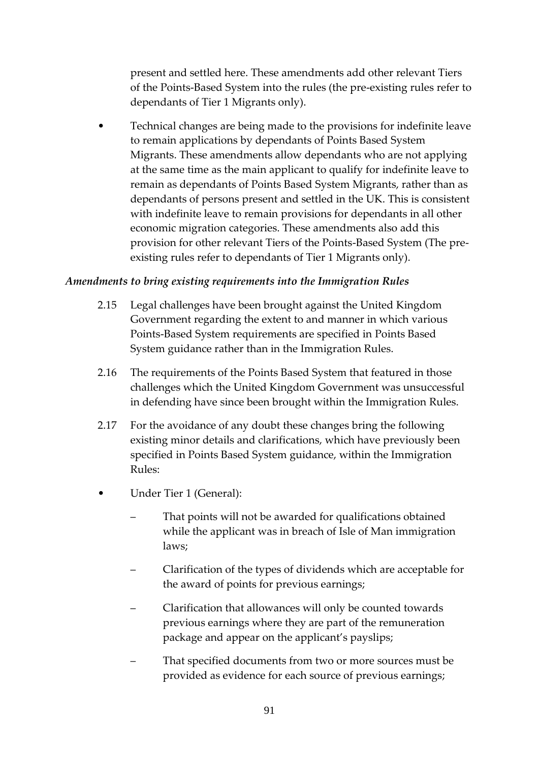present and settled here. These amendments add other relevant Tiers of the Points-Based System into the rules (the pre-existing rules refer to dependants of Tier 1 Migrants only).

• Technical changes are being made to the provisions for indefinite leave to remain applications by dependants of Points Based System Migrants. These amendments allow dependants who are not applying at the same time as the main applicant to qualify for indefinite leave to remain as dependants of Points Based System Migrants, rather than as dependants of persons present and settled in the UK. This is consistent with indefinite leave to remain provisions for dependants in all other economic migration categories. These amendments also add this provision for other relevant Tiers of the Points-Based System (The preexisting rules refer to dependants of Tier 1 Migrants only).

#### *Amendments to bring existing requirements into the Immigration Rules*

- 2.15 Legal challenges have been brought against the United Kingdom Government regarding the extent to and manner in which various Points-Based System requirements are specified in Points Based System guidance rather than in the Immigration Rules.
- 2.16 The requirements of the Points Based System that featured in those challenges which the United Kingdom Government was unsuccessful in defending have since been brought within the Immigration Rules.
- 2.17 For the avoidance of any doubt these changes bring the following existing minor details and clarifications, which have previously been specified in Points Based System guidance, within the Immigration Rules:
- Under Tier 1 (General):
	- That points will not be awarded for qualifications obtained while the applicant was in breach of Isle of Man immigration laws;
	- Clarification of the types of dividends which are acceptable for the award of points for previous earnings;
	- Clarification that allowances will only be counted towards previous earnings where they are part of the remuneration package and appear on the applicant's payslips;
	- That specified documents from two or more sources must be provided as evidence for each source of previous earnings;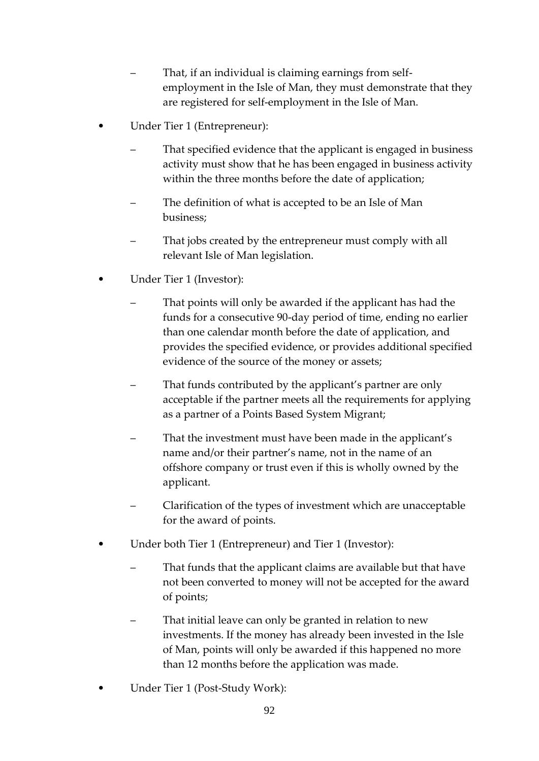- That, if an individual is claiming earnings from selfemployment in the Isle of Man, they must demonstrate that they are registered for self-employment in the Isle of Man.
- Under Tier 1 (Entrepreneur):
	- That specified evidence that the applicant is engaged in business activity must show that he has been engaged in business activity within the three months before the date of application;
	- The definition of what is accepted to be an Isle of Man business;
	- That jobs created by the entrepreneur must comply with all relevant Isle of Man legislation.
- Under Tier 1 (Investor):
	- That points will only be awarded if the applicant has had the funds for a consecutive 90-day period of time, ending no earlier than one calendar month before the date of application, and provides the specified evidence, or provides additional specified evidence of the source of the money or assets;
	- That funds contributed by the applicant's partner are only acceptable if the partner meets all the requirements for applying as a partner of a Points Based System Migrant;
	- That the investment must have been made in the applicant's name and/or their partner's name, not in the name of an offshore company or trust even if this is wholly owned by the applicant.
	- Clarification of the types of investment which are unacceptable for the award of points.
- Under both Tier 1 (Entrepreneur) and Tier 1 (Investor):
	- That funds that the applicant claims are available but that have not been converted to money will not be accepted for the award of points;
	- That initial leave can only be granted in relation to new investments. If the money has already been invested in the Isle of Man, points will only be awarded if this happened no more than 12 months before the application was made.
- Under Tier 1 (Post-Study Work):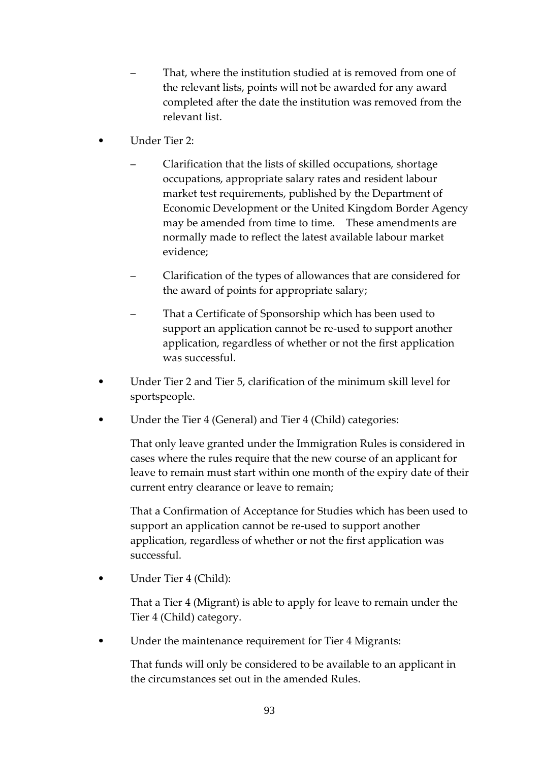- That, where the institution studied at is removed from one of the relevant lists, points will not be awarded for any award completed after the date the institution was removed from the relevant list.
- Under Tier 2:
	- Clarification that the lists of skilled occupations, shortage occupations, appropriate salary rates and resident labour market test requirements, published by the Department of Economic Development or the United Kingdom Border Agency may be amended from time to time. These amendments are normally made to reflect the latest available labour market evidence;
	- Clarification of the types of allowances that are considered for the award of points for appropriate salary;
	- That a Certificate of Sponsorship which has been used to support an application cannot be re-used to support another application, regardless of whether or not the first application was successful.
- Under Tier 2 and Tier 5, clarification of the minimum skill level for sportspeople.
- Under the Tier 4 (General) and Tier 4 (Child) categories:

That only leave granted under the Immigration Rules is considered in cases where the rules require that the new course of an applicant for leave to remain must start within one month of the expiry date of their current entry clearance or leave to remain;

That a Confirmation of Acceptance for Studies which has been used to support an application cannot be re-used to support another application, regardless of whether or not the first application was successful.

Under Tier 4 (Child):

That a Tier 4 (Migrant) is able to apply for leave to remain under the Tier 4 (Child) category.

Under the maintenance requirement for Tier 4 Migrants:

That funds will only be considered to be available to an applicant in the circumstances set out in the amended Rules.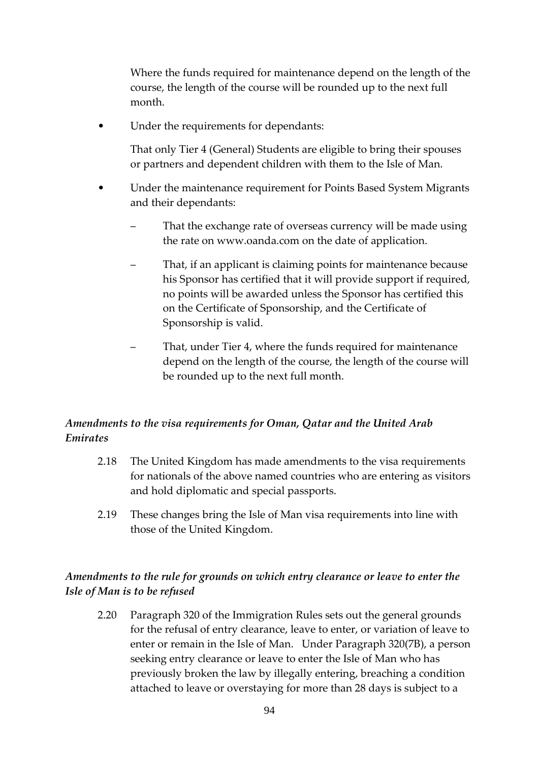Where the funds required for maintenance depend on the length of the course, the length of the course will be rounded up to the next full month.

Under the requirements for dependants:

That only Tier 4 (General) Students are eligible to bring their spouses or partners and dependent children with them to the Isle of Man.

- Under the maintenance requirement for Points Based System Migrants and their dependants:
	- That the exchange rate of overseas currency will be made using the rate on www.oanda.com on the date of application.
	- That, if an applicant is claiming points for maintenance because his Sponsor has certified that it will provide support if required, no points will be awarded unless the Sponsor has certified this on the Certificate of Sponsorship, and the Certificate of Sponsorship is valid.
	- That, under Tier 4, where the funds required for maintenance depend on the length of the course, the length of the course will be rounded up to the next full month.

# *Amendments to the visa requirements for Oman, Qatar and the United Arab Emirates*

- 2.18 The United Kingdom has made amendments to the visa requirements for nationals of the above named countries who are entering as visitors and hold diplomatic and special passports.
- 2.19 These changes bring the Isle of Man visa requirements into line with those of the United Kingdom.

# *Amendments to the rule for grounds on which entry clearance or leave to enter the Isle of Man is to be refused*

2.20 Paragraph 320 of the Immigration Rules sets out the general grounds for the refusal of entry clearance, leave to enter, or variation of leave to enter or remain in the Isle of Man. Under Paragraph 320(7B), a person seeking entry clearance or leave to enter the Isle of Man who has previously broken the law by illegally entering, breaching a condition attached to leave or overstaying for more than 28 days is subject to a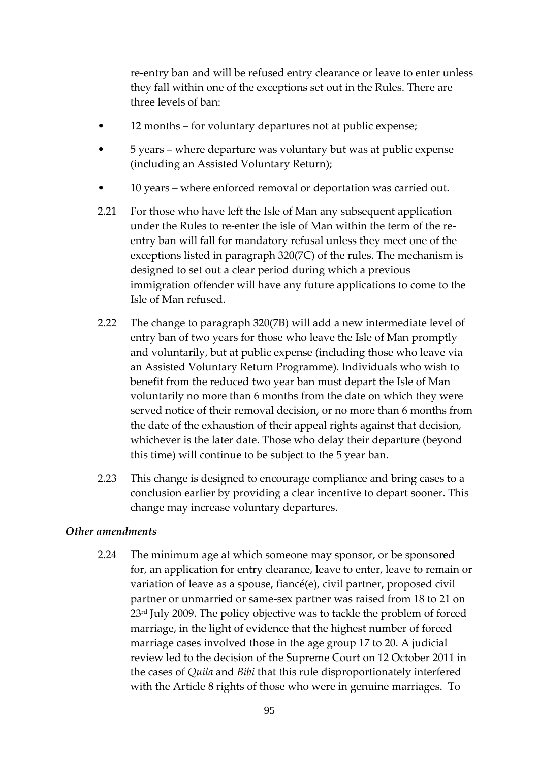re-entry ban and will be refused entry clearance or leave to enter unless they fall within one of the exceptions set out in the Rules. There are three levels of ban:

- 12 months for voluntary departures not at public expense;
- 5 years where departure was voluntary but was at public expense (including an Assisted Voluntary Return);
- 10 years where enforced removal or deportation was carried out.
- 2.21 For those who have left the Isle of Man any subsequent application under the Rules to re-enter the isle of Man within the term of the reentry ban will fall for mandatory refusal unless they meet one of the exceptions listed in paragraph 320(7C) of the rules. The mechanism is designed to set out a clear period during which a previous immigration offender will have any future applications to come to the Isle of Man refused.
- 2.22 The change to paragraph 320(7B) will add a new intermediate level of entry ban of two years for those who leave the Isle of Man promptly and voluntarily, but at public expense (including those who leave via an Assisted Voluntary Return Programme). Individuals who wish to benefit from the reduced two year ban must depart the Isle of Man voluntarily no more than 6 months from the date on which they were served notice of their removal decision, or no more than 6 months from the date of the exhaustion of their appeal rights against that decision, whichever is the later date. Those who delay their departure (beyond this time) will continue to be subject to the 5 year ban.
- 2.23 This change is designed to encourage compliance and bring cases to a conclusion earlier by providing a clear incentive to depart sooner. This change may increase voluntary departures.

#### *Other amendments*

2.24 The minimum age at which someone may sponsor, or be sponsored for, an application for entry clearance, leave to enter, leave to remain or variation of leave as a spouse, fiancé(e), civil partner, proposed civil partner or unmarried or same-sex partner was raised from 18 to 21 on 23<sup>rd</sup> July 2009. The policy objective was to tackle the problem of forced marriage, in the light of evidence that the highest number of forced marriage cases involved those in the age group 17 to 20. A judicial review led to the decision of the Supreme Court on 12 October 2011 in the cases of *Quila* and *Bibi* that this rule disproportionately interfered with the Article 8 rights of those who were in genuine marriages. To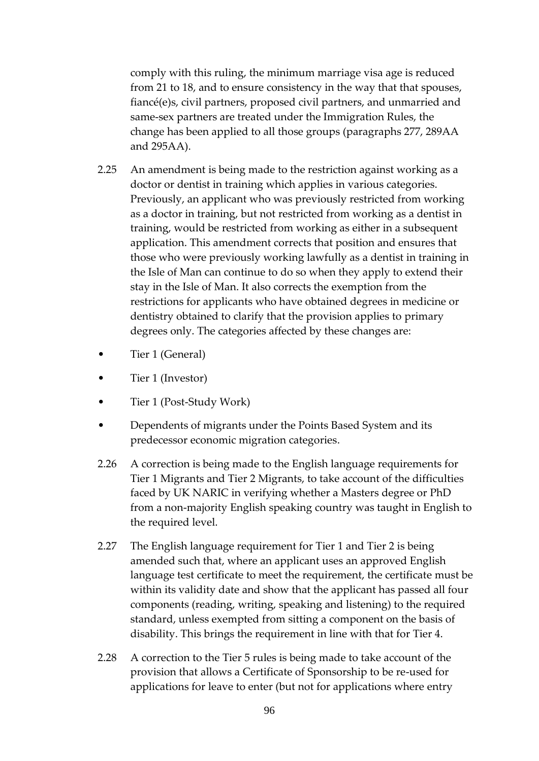comply with this ruling, the minimum marriage visa age is reduced from 21 to 18, and to ensure consistency in the way that that spouses, fiancé(e)s, civil partners, proposed civil partners, and unmarried and same-sex partners are treated under the Immigration Rules, the change has been applied to all those groups (paragraphs 277, 289AA and 295AA).

- 2.25 An amendment is being made to the restriction against working as a doctor or dentist in training which applies in various categories. Previously, an applicant who was previously restricted from working as a doctor in training, but not restricted from working as a dentist in training, would be restricted from working as either in a subsequent application. This amendment corrects that position and ensures that those who were previously working lawfully as a dentist in training in the Isle of Man can continue to do so when they apply to extend their stay in the Isle of Man. It also corrects the exemption from the restrictions for applicants who have obtained degrees in medicine or dentistry obtained to clarify that the provision applies to primary degrees only. The categories affected by these changes are:
- Tier 1 (General)
- Tier 1 (Investor)
- Tier 1 (Post-Study Work)
- Dependents of migrants under the Points Based System and its predecessor economic migration categories.
- 2.26 A correction is being made to the English language requirements for Tier 1 Migrants and Tier 2 Migrants, to take account of the difficulties faced by UK NARIC in verifying whether a Masters degree or PhD from a non-majority English speaking country was taught in English to the required level.
- 2.27 The English language requirement for Tier 1 and Tier 2 is being amended such that, where an applicant uses an approved English language test certificate to meet the requirement, the certificate must be within its validity date and show that the applicant has passed all four components (reading, writing, speaking and listening) to the required standard, unless exempted from sitting a component on the basis of disability. This brings the requirement in line with that for Tier 4.
- 2.28 A correction to the Tier 5 rules is being made to take account of the provision that allows a Certificate of Sponsorship to be re-used for applications for leave to enter (but not for applications where entry